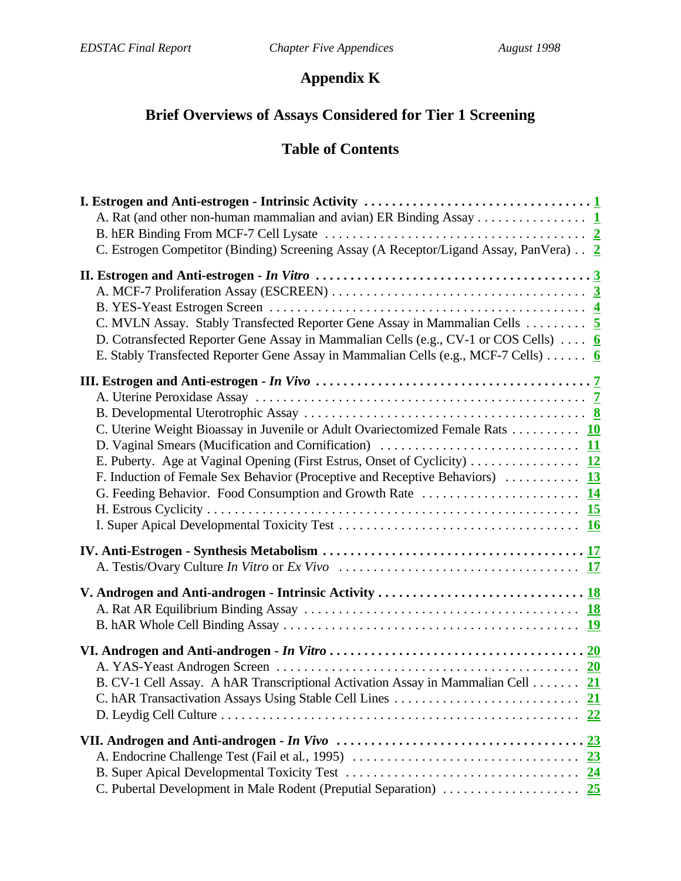# **Appendix K**

# **Brief Overviews of Assays Considered for Tier 1 Screening**

# **Table of Contents**

| A. Rat (and other non-human mammalian and avian) ER Binding Assay 1                                                                                                                                                                                        |  |
|------------------------------------------------------------------------------------------------------------------------------------------------------------------------------------------------------------------------------------------------------------|--|
| C. Estrogen Competitor (Binding) Screening Assay (A Receptor/Ligand Assay, PanVera) 2                                                                                                                                                                      |  |
| C. MVLN Assay. Stably Transfected Reporter Gene Assay in Mammalian Cells  5<br>D. Cotransfected Reporter Gene Assay in Mammalian Cells (e.g., CV-1 or COS Cells)  6<br>E. Stably Transfected Reporter Gene Assay in Mammalian Cells (e.g., MCF-7 Cells)  6 |  |
|                                                                                                                                                                                                                                                            |  |
| C. Uterine Weight Bioassay in Juvenile or Adult Ovariectomized Female Rats 10                                                                                                                                                                              |  |
| E. Puberty. Age at Vaginal Opening (First Estrus, Onset of Cyclicity) 12<br>F. Induction of Female Sex Behavior (Proceptive and Receptive Behaviors)  13                                                                                                   |  |
|                                                                                                                                                                                                                                                            |  |
|                                                                                                                                                                                                                                                            |  |
|                                                                                                                                                                                                                                                            |  |
| B. CV-1 Cell Assay. A hAR Transcriptional Activation Assay in Mammalian Cell 21<br><u>22</u>                                                                                                                                                               |  |
| 23<br>23                                                                                                                                                                                                                                                   |  |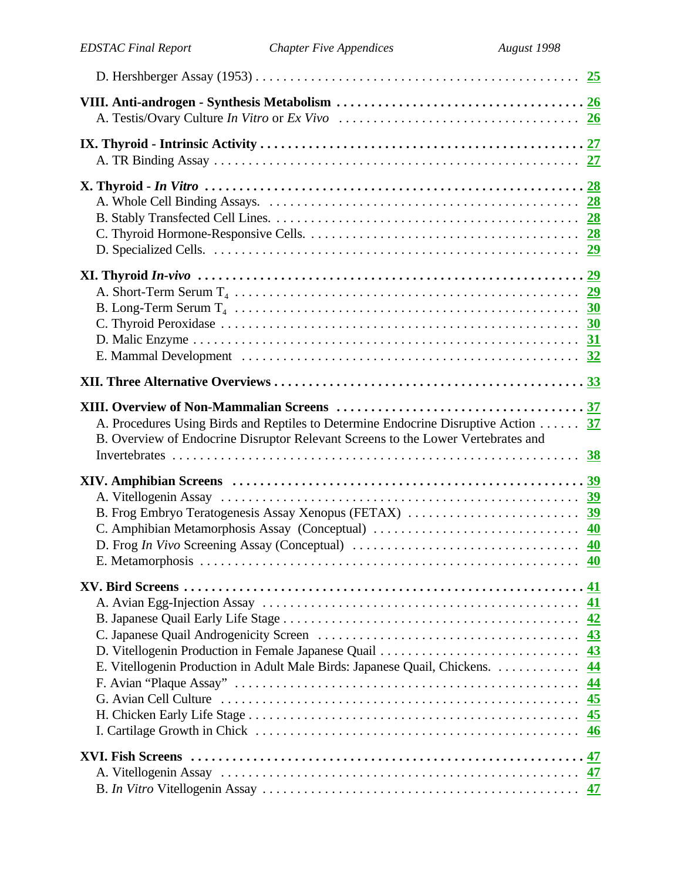| A. Procedures Using Birds and Reptiles to Determine Endocrine Disruptive Action 37<br>B. Overview of Endocrine Disruptor Relevant Screens to the Lower Vertebrates and |                 |
|------------------------------------------------------------------------------------------------------------------------------------------------------------------------|-----------------|
|                                                                                                                                                                        |                 |
|                                                                                                                                                                        |                 |
|                                                                                                                                                                        | 41              |
| D. Vitellogenin Production in Female Japanese Quail                                                                                                                    | 42<br>43<br>43  |
| E. Vitellogenin Production in Adult Male Birds: Japanese Quail, Chickens.                                                                                              | 44<br>44<br>45  |
|                                                                                                                                                                        | <u>45</u><br>46 |
|                                                                                                                                                                        | 47              |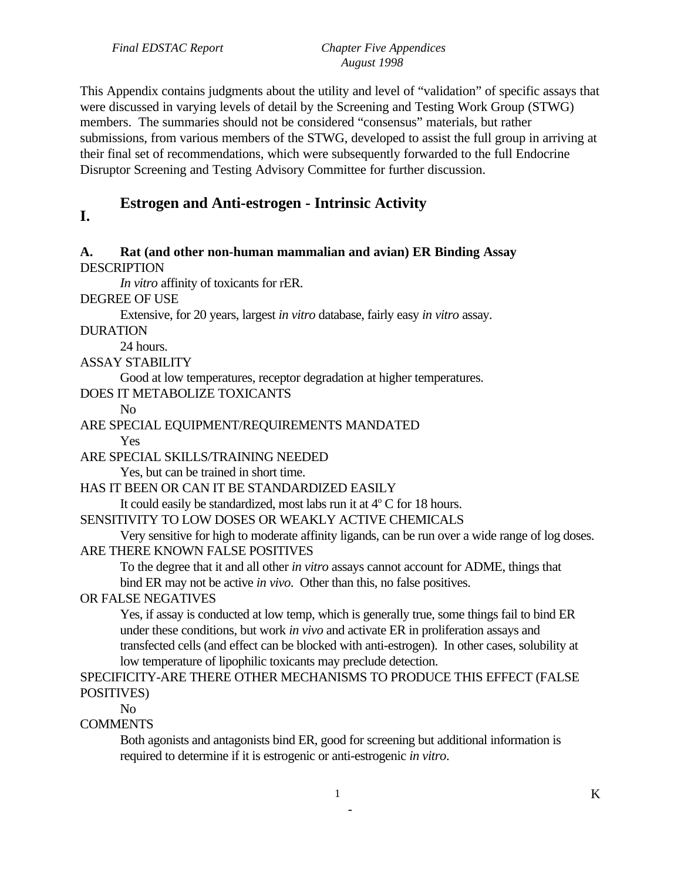This Appendix contains judgments about the utility and level of "validation" of specific assays that were discussed in varying levels of detail by the Screening and Testing Work Group (STWG) members. The summaries should not be considered "consensus" materials, but rather submissions, from various members of the STWG, developed to assist the full group in arriving at their final set of recommendations, which were subsequently forwarded to the full Endocrine Disruptor Screening and Testing Advisory Committee for further discussion.

# **Estrogen and Anti-estrogen - Intrinsic Activity I.**

### **A. Rat (and other non-human mammalian and avian) ER Binding Assay DESCRIPTION**

*In vitro* affinity of toxicants for rER.

DEGREE OF USE

Extensive, for 20 years, largest *in vitro* database, fairly easy *in vitro* assay.

DURATION

24 hours.

### ASSAY STABILITY

Good at low temperatures, receptor degradation at higher temperatures.

### DOES IT METABOLIZE TOXICANTS

No

# ARE SPECIAL EQUIPMENT/REQUIREMENTS MANDATED

Yes

ARE SPECIAL SKILLS/TRAINING NEEDED

Yes, but can be trained in short time.

# HAS IT BEEN OR CAN IT BE STANDARDIZED EASILY

It could easily be standardized, most labs run it at  $4^{\circ}$  C for 18 hours.

# SENSITIVITY TO LOW DOSES OR WEAKLY ACTIVE CHEMICALS

Very sensitive for high to moderate affinity ligands, can be run over a wide range of log doses. ARE THERE KNOWN FALSE POSITIVES

To the degree that it and all other *in vitro* assays cannot account for ADME, things that bind ER may not be active *in vivo*. Other than this, no false positives.

# OR FALSE NEGATIVES

Yes, if assay is conducted at low temp, which is generally true, some things fail to bind ER under these conditions, but work *in vivo* and activate ER in proliferation assays and transfected cells (and effect can be blocked with anti-estrogen). In other cases, solubility at low temperature of lipophilic toxicants may preclude detection.

# SPECIFICITY-ARE THERE OTHER MECHANISMS TO PRODUCE THIS EFFECT (FALSE POSITIVES)

No

# **COMMENTS**

Both agonists and antagonists bind ER, good for screening but additional information is required to determine if it is estrogenic or anti-estrogenic *in vitro*.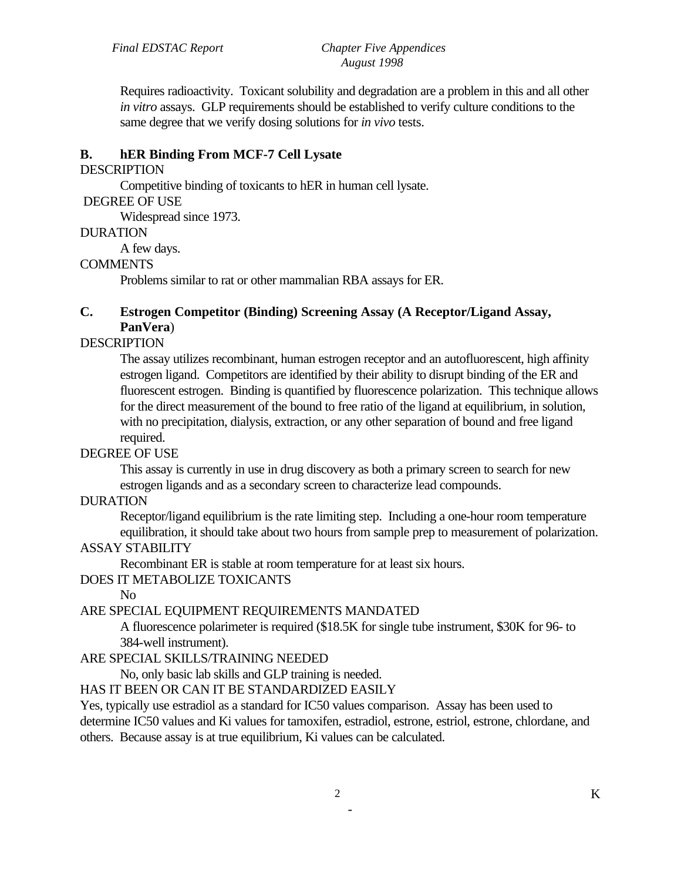Requires radioactivity. Toxicant solubility and degradation are a problem in this and all other *in vitro* assays. GLP requirements should be established to verify culture conditions to the same degree that we verify dosing solutions for *in vivo* tests.

# **B. hER Binding From MCF-7 Cell Lysate**

#### **DESCRIPTION**

Competitive binding of toxicants to hER in human cell lysate.

#### DEGREE OF USE

Widespread since 1973.

### DURATION

A few days.

# **COMMENTS**

Problems similar to rat or other mammalian RBA assays for ER.

# **C. Estrogen Competitor (Binding) Screening Assay (A Receptor/Ligand Assay, PanVera**)

# DESCRIPTION

The assay utilizes recombinant, human estrogen receptor and an autofluorescent, high affinity estrogen ligand. Competitors are identified by their ability to disrupt binding of the ER and fluorescent estrogen. Binding is quantified by fluorescence polarization. This technique allows for the direct measurement of the bound to free ratio of the ligand at equilibrium, in solution, with no precipitation, dialysis, extraction, or any other separation of bound and free ligand required.

# DEGREE OF USE

This assay is currently in use in drug discovery as both a primary screen to search for new estrogen ligands and as a secondary screen to characterize lead compounds.

# DURATION

Receptor/ligand equilibrium is the rate limiting step. Including a one-hour room temperature equilibration, it should take about two hours from sample prep to measurement of polarization.

# ASSAY STABILITY

Recombinant ER is stable at room temperature for at least six hours.

# DOES IT METABOLIZE TOXICANTS

No

# ARE SPECIAL EQUIPMENT REQUIREMENTS MANDATED

A fluorescence polarimeter is required (\$18.5K for single tube instrument, \$30K for 96- to 384-well instrument).

# ARE SPECIAL SKILLS/TRAINING NEEDED

No, only basic lab skills and GLP training is needed.

HAS IT BEEN OR CAN IT BE STANDARDIZED EASILY

Yes, typically use estradiol as a standard for IC50 values comparison. Assay has been used to determine IC50 values and Ki values for tamoxifen, estradiol, estrone, estriol, estrone, chlordane, and others. Because assay is at true equilibrium, Ki values can be calculated.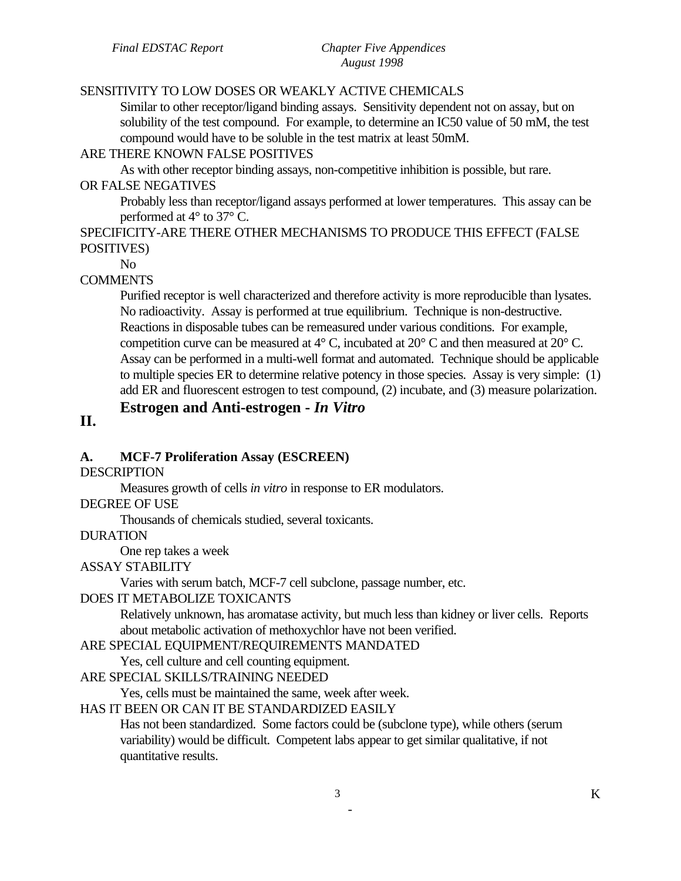# SENSITIVITY TO LOW DOSES OR WEAKLY ACTIVE CHEMICALS

Similar to other receptor/ligand binding assays. Sensitivity dependent not on assay, but on solubility of the test compound. For example, to determine an IC50 value of 50 mM, the test compound would have to be soluble in the test matrix at least 50mM.

# ARE THERE KNOWN FALSE POSITIVES

As with other receptor binding assays, non-competitive inhibition is possible, but rare.

# OR FALSE NEGATIVES

Probably less than receptor/ligand assays performed at lower temperatures. This assay can be performed at 4° to 37° C.

# SPECIFICITY-ARE THERE OTHER MECHANISMS TO PRODUCE THIS EFFECT (FALSE POSITIVES)

No

# **COMMENTS**

Purified receptor is well characterized and therefore activity is more reproducible than lysates. No radioactivity. Assay is performed at true equilibrium. Technique is non-destructive. Reactions in disposable tubes can be remeasured under various conditions. For example, competition curve can be measured at  $4^{\circ}$  C, incubated at  $20^{\circ}$  C and then measured at  $20^{\circ}$  C. Assay can be performed in a multi-well format and automated. Technique should be applicable to multiple species ER to determine relative potency in those species. Assay is very simple: (1) add ER and fluorescent estrogen to test compound, (2) incubate, and (3) measure polarization.

# **Estrogen and Anti-estrogen -** *In Vitro*

# **II.**

# **A. MCF-7 Proliferation Assay (ESCREEN)**

# **DESCRIPTION**

Measures growth of cells *in vitro* in response to ER modulators.

# DEGREE OF USE

Thousands of chemicals studied, several toxicants.

# DURATION

One rep takes a week

# ASSAY STABILITY

Varies with serum batch, MCF-7 cell subclone, passage number, etc.

# DOES IT METABOLIZE TOXICANTS

Relatively unknown, has aromatase activity, but much less than kidney or liver cells. Reports about metabolic activation of methoxychlor have not been verified.

# ARE SPECIAL EQUIPMENT/REQUIREMENTS MANDATED

Yes, cell culture and cell counting equipment.

# ARE SPECIAL SKILLS/TRAINING NEEDED

Yes, cells must be maintained the same, week after week.

# HAS IT BEEN OR CAN IT BE STANDARDIZED EASILY

Has not been standardized. Some factors could be (subclone type), while others (serum variability) would be difficult. Competent labs appear to get similar qualitative, if not quantitative results.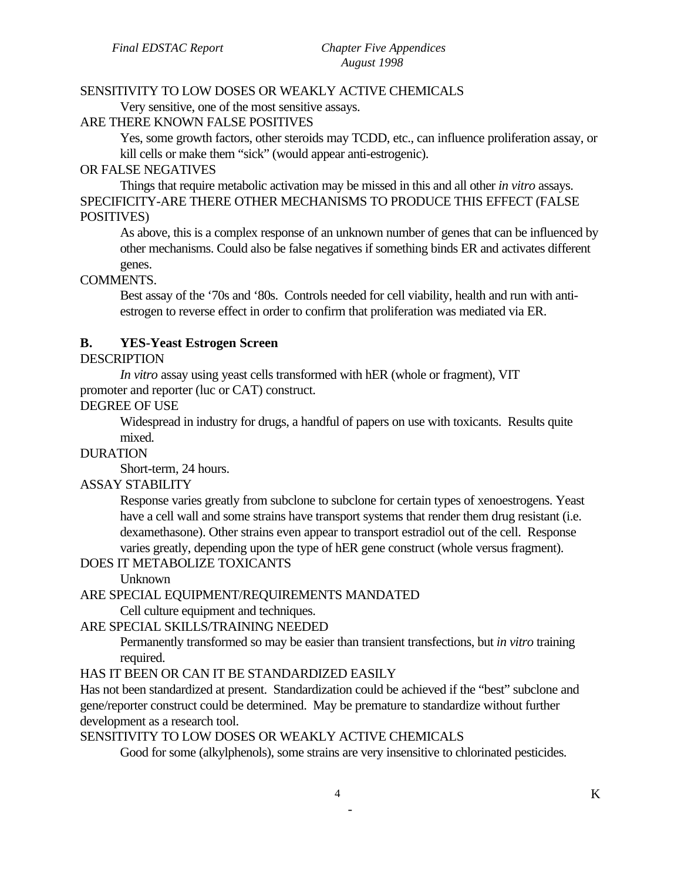#### SENSITIVITY TO LOW DOSES OR WEAKLY ACTIVE CHEMICALS

Very sensitive, one of the most sensitive assays.

# ARE THERE KNOWN FALSE POSITIVES

Yes, some growth factors, other steroids may TCDD, etc., can influence proliferation assay, or kill cells or make them "sick" (would appear anti-estrogenic).

#### OR FALSE NEGATIVES

Things that require metabolic activation may be missed in this and all other *in vitro* assays. SPECIFICITY-ARE THERE OTHER MECHANISMS TO PRODUCE THIS EFFECT (FALSE POSITIVES)

As above, this is a complex response of an unknown number of genes that can be influenced by other mechanisms. Could also be false negatives if something binds ER and activates different genes.

#### COMMENTS.

Best assay of the '70s and '80s. Controls needed for cell viability, health and run with antiestrogen to reverse effect in order to confirm that proliferation was mediated via ER.

#### **B. YES-Yeast Estrogen Screen**

### **DESCRIPTION**

*In vitro* assay using yeast cells transformed with hER (whole or fragment), VIT promoter and reporter (luc or CAT) construct.

#### DEGREE OF USE

Widespread in industry for drugs, a handful of papers on use with toxicants. Results quite mixed.

#### DURATION

Short-term, 24 hours.

#### ASSAY STABILITY

Response varies greatly from subclone to subclone for certain types of xenoestrogens. Yeast have a cell wall and some strains have transport systems that render them drug resistant (i.e. dexamethasone). Other strains even appear to transport estradiol out of the cell. Response varies greatly, depending upon the type of hER gene construct (whole versus fragment).

#### DOES IT METABOLIZE TOXICANTS

Unknown

#### ARE SPECIAL EQUIPMENT/REQUIREMENTS MANDATED

Cell culture equipment and techniques.

#### ARE SPECIAL SKILLS/TRAINING NEEDED

Permanently transformed so may be easier than transient transfections, but *in vitro* training required.

#### HAS IT BEEN OR CAN IT BE STANDARDIZED EASILY

Has not been standardized at present. Standardization could be achieved if the "best" subclone and gene/reporter construct could be determined. May be premature to standardize without further development as a research tool.

### SENSITIVITY TO LOW DOSES OR WEAKLY ACTIVE CHEMICALS

Good for some (alkylphenols), some strains are very insensitive to chlorinated pesticides.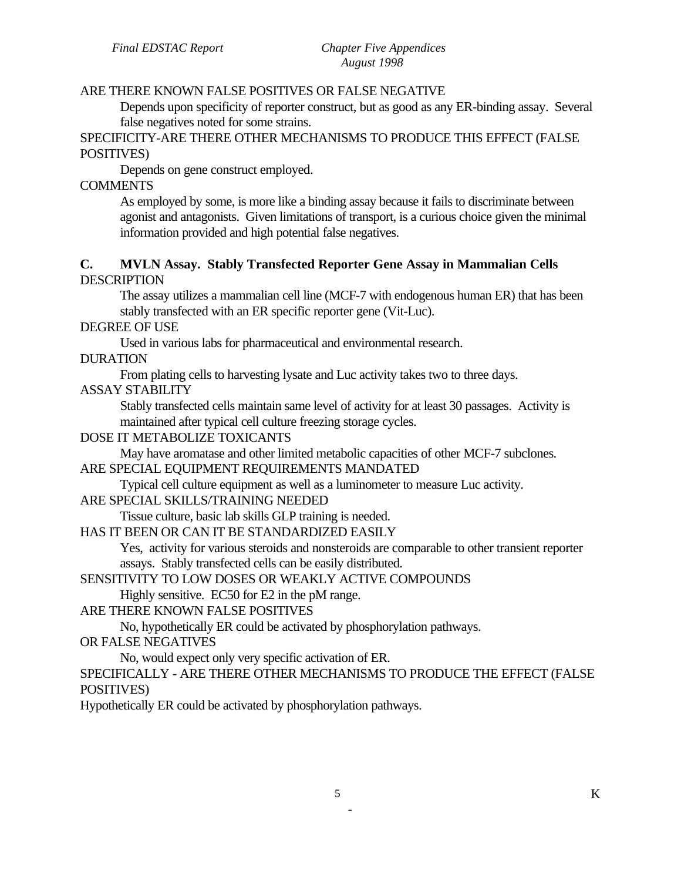# ARE THERE KNOWN FALSE POSITIVES OR FALSE NEGATIVE

Depends upon specificity of reporter construct, but as good as any ER-binding assay. Several false negatives noted for some strains.

SPECIFICITY-ARE THERE OTHER MECHANISMS TO PRODUCE THIS EFFECT (FALSE POSITIVES)

Depends on gene construct employed.

#### **COMMENTS**

As employed by some, is more like a binding assay because it fails to discriminate between agonist and antagonists. Given limitations of transport, is a curious choice given the minimal information provided and high potential false negatives.

#### **C. MVLN Assay. Stably Transfected Reporter Gene Assay in Mammalian Cells**  DESCRIPTION

The assay utilizes a mammalian cell line (MCF-7 with endogenous human ER) that has been stably transfected with an ER specific reporter gene (Vit-Luc).

DEGREE OF USE

Used in various labs for pharmaceutical and environmental research.

DURATION

From plating cells to harvesting lysate and Luc activity takes two to three days.

#### ASSAY STABILITY

Stably transfected cells maintain same level of activity for at least 30 passages. Activity is maintained after typical cell culture freezing storage cycles.

#### DOSE IT METABOLIZE TOXICANTS

May have aromatase and other limited metabolic capacities of other MCF-7 subclones.

#### ARE SPECIAL EQUIPMENT REQUIREMENTS MANDATED

Typical cell culture equipment as well as a luminometer to measure Luc activity.

#### ARE SPECIAL SKILLS/TRAINING NEEDED

Tissue culture, basic lab skills GLP training is needed.

#### HAS IT BEEN OR CAN IT BE STANDARDIZED EASILY

Yes, activity for various steroids and nonsteroids are comparable to other transient reporter assays. Stably transfected cells can be easily distributed.

SENSITIVITY TO LOW DOSES OR WEAKLY ACTIVE COMPOUNDS

Highly sensitive. EC50 for E2 in the pM range.

#### ARE THERE KNOWN FALSE POSITIVES

No, hypothetically ER could be activated by phosphorylation pathways.

#### OR FALSE NEGATIVES

No, would expect only very specific activation of ER.

SPECIFICALLY - ARE THERE OTHER MECHANISMS TO PRODUCE THE EFFECT (FALSE POSITIVES)

Hypothetically ER could be activated by phosphorylation pathways.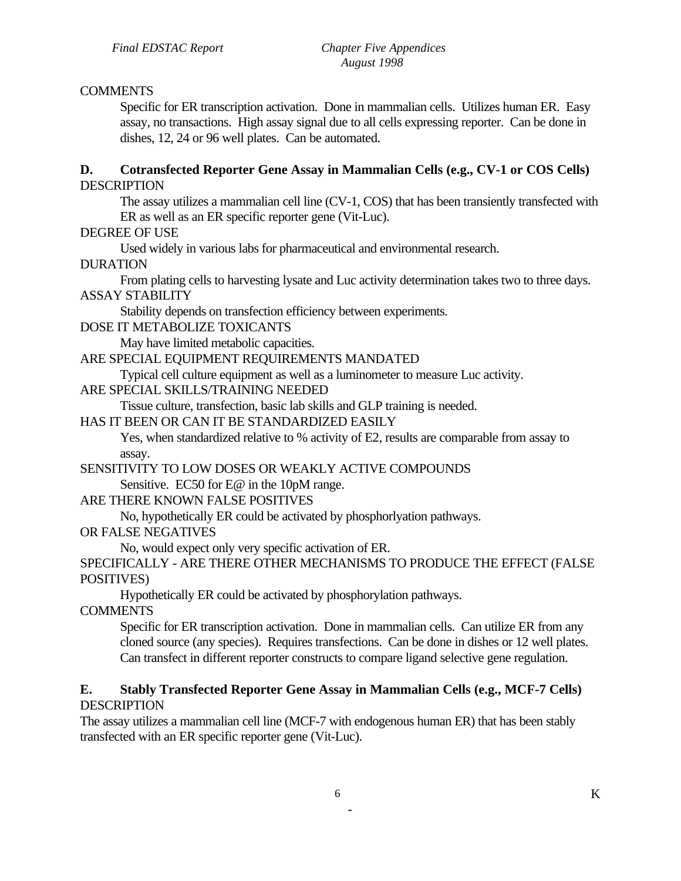#### **COMMENTS**

Specific for ER transcription activation. Done in mammalian cells. Utilizes human ER. Easy assay, no transactions. High assay signal due to all cells expressing reporter. Can be done in dishes, 12, 24 or 96 well plates. Can be automated.

#### **D. Cotransfected Reporter Gene Assay in Mammalian Cells (e.g., CV-1 or COS Cells)**  DESCRIPTION

The assay utilizes a mammalian cell line (CV-1, COS) that has been transiently transfected with ER as well as an ER specific reporter gene (Vit-Luc).

DEGREE OF USE

Used widely in various labs for pharmaceutical and environmental research.

DURATION

From plating cells to harvesting lysate and Luc activity determination takes two to three days. ASSAY STABILITY

Stability depends on transfection efficiency between experiments.

DOSE IT METABOLIZE TOXICANTS

May have limited metabolic capacities.

ARE SPECIAL EQUIPMENT REQUIREMENTS MANDATED

Typical cell culture equipment as well as a luminometer to measure Luc activity.

### ARE SPECIAL SKILLS/TRAINING NEEDED

Tissue culture, transfection, basic lab skills and GLP training is needed.

HAS IT BEEN OR CAN IT BE STANDARDIZED EASILY

Yes, when standardized relative to % activity of E2, results are comparable from assay to assay.

#### SENSITIVITY TO LOW DOSES OR WEAKLY ACTIVE COMPOUNDS

Sensitive. EC50 for E@ in the 10pM range.

#### ARE THERE KNOWN FALSE POSITIVES

No, hypothetically ER could be activated by phosphorlyation pathways.

OR FALSE NEGATIVES

No, would expect only very specific activation of ER.

SPECIFICALLY - ARE THERE OTHER MECHANISMS TO PRODUCE THE EFFECT (FALSE POSITIVES)

Hypothetically ER could be activated by phosphorylation pathways.

COMMENTS

Specific for ER transcription activation. Done in mammalian cells. Can utilize ER from any cloned source (any species). Requires transfections. Can be done in dishes or 12 well plates. Can transfect in different reporter constructs to compare ligand selective gene regulation.

### **E. Stably Transfected Reporter Gene Assay in Mammalian Cells (e.g., MCF-7 Cells) DESCRIPTION**

The assay utilizes a mammalian cell line (MCF-7 with endogenous human ER) that has been stably transfected with an ER specific reporter gene (Vit-Luc).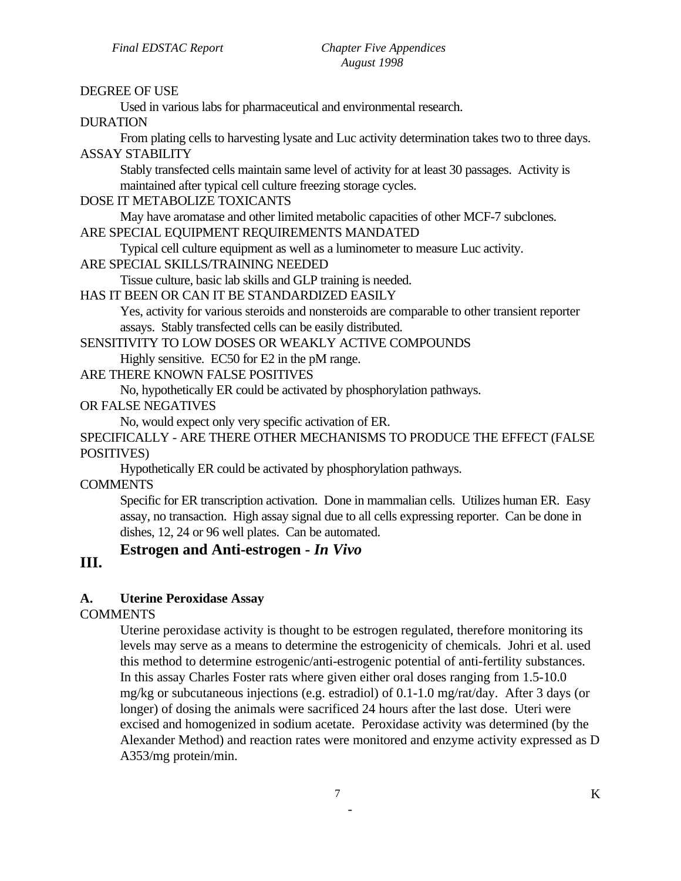#### DEGREE OF USE

Used in various labs for pharmaceutical and environmental research.

DURATION

From plating cells to harvesting lysate and Luc activity determination takes two to three days. ASSAY STABILITY

Stably transfected cells maintain same level of activity for at least 30 passages. Activity is maintained after typical cell culture freezing storage cycles.

#### DOSE IT METABOLIZE TOXICANTS

May have aromatase and other limited metabolic capacities of other MCF-7 subclones.

# ARE SPECIAL EQUIPMENT REQUIREMENTS MANDATED

Typical cell culture equipment as well as a luminometer to measure Luc activity.

#### ARE SPECIAL SKILLS/TRAINING NEEDED

Tissue culture, basic lab skills and GLP training is needed.

#### HAS IT BEEN OR CAN IT BE STANDARDIZED EASILY

Yes, activity for various steroids and nonsteroids are comparable to other transient reporter assays. Stably transfected cells can be easily distributed.

#### SENSITIVITY TO LOW DOSES OR WEAKLY ACTIVE COMPOUNDS

Highly sensitive. EC50 for E2 in the pM range.

#### ARE THERE KNOWN FALSE POSITIVES

No, hypothetically ER could be activated by phosphorylation pathways.

#### OR FALSE NEGATIVES

No, would expect only very specific activation of ER.

SPECIFICALLY - ARE THERE OTHER MECHANISMS TO PRODUCE THE EFFECT (FALSE POSITIVES)

Hypothetically ER could be activated by phosphorylation pathways.

**COMMENTS** 

Specific for ER transcription activation. Done in mammalian cells. Utilizes human ER. Easy assay, no transaction. High assay signal due to all cells expressing reporter. Can be done in dishes, 12, 24 or 96 well plates. Can be automated.

# **Estrogen and Anti-estrogen -** *In Vivo*

# **III.**

#### **A. Uterine Peroxidase Assay**

**COMMENTS** 

Uterine peroxidase activity is thought to be estrogen regulated, therefore monitoring its levels may serve as a means to determine the estrogenicity of chemicals. Johri et al. used this method to determine estrogenic/anti-estrogenic potential of anti-fertility substances. In this assay Charles Foster rats where given either oral doses ranging from 1.5-10.0 mg/kg or subcutaneous injections (e.g. estradiol) of 0.1-1.0 mg/rat/day. After 3 days (or longer) of dosing the animals were sacrificed 24 hours after the last dose. Uteri were excised and homogenized in sodium acetate. Peroxidase activity was determined (by the Alexander Method) and reaction rates were monitored and enzyme activity expressed as D A353/mg protein/min.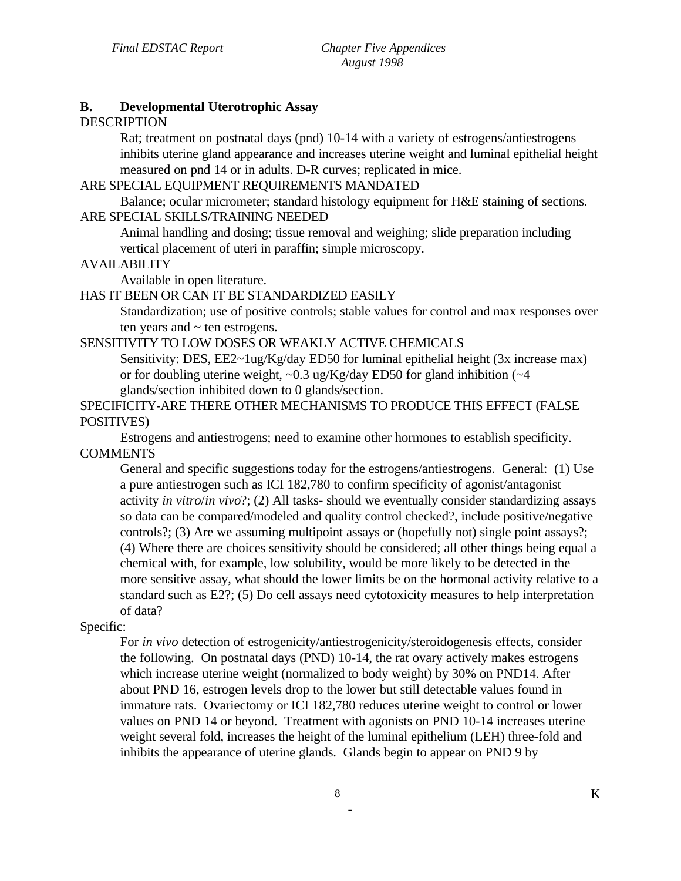#### **B. Developmental Uterotrophic Assay**

#### DESCRIPTION

Rat; treatment on postnatal days (pnd) 10-14 with a variety of estrogens/antiestrogens inhibits uterine gland appearance and increases uterine weight and luminal epithelial height measured on pnd 14 or in adults. D-R curves; replicated in mice.

#### ARE SPECIAL EQUIPMENT REQUIREMENTS MANDATED

Balance; ocular micrometer; standard histology equipment for H&E staining of sections. ARE SPECIAL SKILLS/TRAINING NEEDED

Animal handling and dosing; tissue removal and weighing; slide preparation including vertical placement of uteri in paraffin; simple microscopy.

#### AVAILABILITY

Available in open literature.

### HAS IT BEEN OR CAN IT BE STANDARDIZED EASILY

Standardization; use of positive controls; stable values for control and max responses over ten years and  $\sim$  ten estrogens.

#### SENSITIVITY TO LOW DOSES OR WEAKLY ACTIVE CHEMICALS

Sensitivity: DES, EE2~1ug/Kg/day ED50 for luminal epithelial height (3x increase max) or for doubling uterine weight,  $\sim 0.3$  ug/Kg/day ED50 for gland inhibition ( $\sim 4$ ) glands/section inhibited down to 0 glands/section.

# SPECIFICITY-ARE THERE OTHER MECHANISMS TO PRODUCE THIS EFFECT (FALSE POSITIVES)

Estrogens and antiestrogens; need to examine other hormones to establish specificity. **COMMENTS** 

General and specific suggestions today for the estrogens/antiestrogens. General: (1) Use a pure antiestrogen such as ICI 182,780 to confirm specificity of agonist/antagonist activity *in vitro*/*in vivo*?; (2) All tasks- should we eventually consider standardizing assays so data can be compared/modeled and quality control checked?, include positive/negative controls?; (3) Are we assuming multipoint assays or (hopefully not) single point assays?; (4) Where there are choices sensitivity should be considered; all other things being equal a chemical with, for example, low solubility, would be more likely to be detected in the more sensitive assay, what should the lower limits be on the hormonal activity relative to a standard such as E2?; (5) Do cell assays need cytotoxicity measures to help interpretation of data?

# Specific:

For *in vivo* detection of estrogenicity/antiestrogenicity/steroidogenesis effects, consider the following. On postnatal days (PND) 10-14, the rat ovary actively makes estrogens which increase uterine weight (normalized to body weight) by 30% on PND14. After about PND 16, estrogen levels drop to the lower but still detectable values found in immature rats. Ovariectomy or ICI 182,780 reduces uterine weight to control or lower values on PND 14 or beyond. Treatment with agonists on PND 10-14 increases uterine weight several fold, increases the height of the luminal epithelium (LEH) three-fold and inhibits the appearance of uterine glands. Glands begin to appear on PND 9 by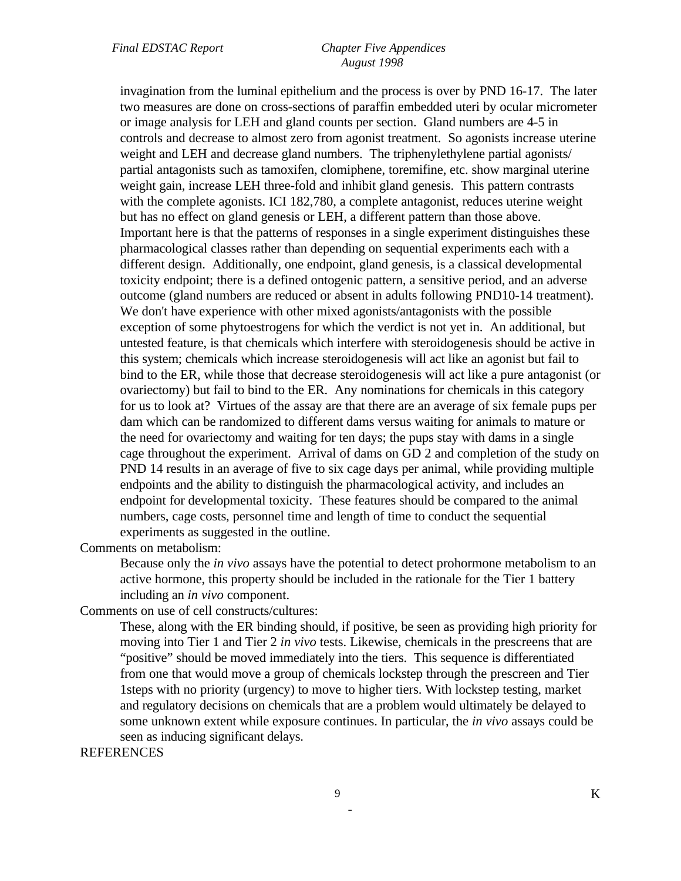#### *Final EDSTAC Report Chapter Five Appendices August 1998*

invagination from the luminal epithelium and the process is over by PND 16-17. The later two measures are done on cross-sections of paraffin embedded uteri by ocular micrometer or image analysis for LEH and gland counts per section. Gland numbers are 4-5 in controls and decrease to almost zero from agonist treatment. So agonists increase uterine weight and LEH and decrease gland numbers. The triphenylethylene partial agonists/ partial antagonists such as tamoxifen, clomiphene, toremifine, etc. show marginal uterine weight gain, increase LEH three-fold and inhibit gland genesis. This pattern contrasts with the complete agonists. ICI 182,780, a complete antagonist, reduces uterine weight but has no effect on gland genesis or LEH, a different pattern than those above. Important here is that the patterns of responses in a single experiment distinguishes these pharmacological classes rather than depending on sequential experiments each with a different design. Additionally, one endpoint, gland genesis, is a classical developmental toxicity endpoint; there is a defined ontogenic pattern, a sensitive period, and an adverse outcome (gland numbers are reduced or absent in adults following PND10-14 treatment). We don't have experience with other mixed agonists/antagonists with the possible exception of some phytoestrogens for which the verdict is not yet in. An additional, but untested feature, is that chemicals which interfere with steroidogenesis should be active in this system; chemicals which increase steroidogenesis will act like an agonist but fail to bind to the ER, while those that decrease steroidogenesis will act like a pure antagonist (or ovariectomy) but fail to bind to the ER. Any nominations for chemicals in this category for us to look at? Virtues of the assay are that there are an average of six female pups per dam which can be randomized to different dams versus waiting for animals to mature or the need for ovariectomy and waiting for ten days; the pups stay with dams in a single cage throughout the experiment. Arrival of dams on GD 2 and completion of the study on PND 14 results in an average of five to six cage days per animal, while providing multiple endpoints and the ability to distinguish the pharmacological activity, and includes an endpoint for developmental toxicity. These features should be compared to the animal numbers, cage costs, personnel time and length of time to conduct the sequential experiments as suggested in the outline.

Comments on metabolism:

Because only the *in vivo* assays have the potential to detect prohormone metabolism to an active hormone, this property should be included in the rationale for the Tier 1 battery including an *in vivo* component.

Comments on use of cell constructs/cultures:

These, along with the ER binding should, if positive, be seen as providing high priority for moving into Tier 1 and Tier 2 *in vivo* tests. Likewise, chemicals in the prescreens that are "positive" should be moved immediately into the tiers. This sequence is differentiated from one that would move a group of chemicals lockstep through the prescreen and Tier 1steps with no priority (urgency) to move to higher tiers. With lockstep testing, market and regulatory decisions on chemicals that are a problem would ultimately be delayed to some unknown extent while exposure continues. In particular, the *in vivo* assays could be seen as inducing significant delays.

REFERENCES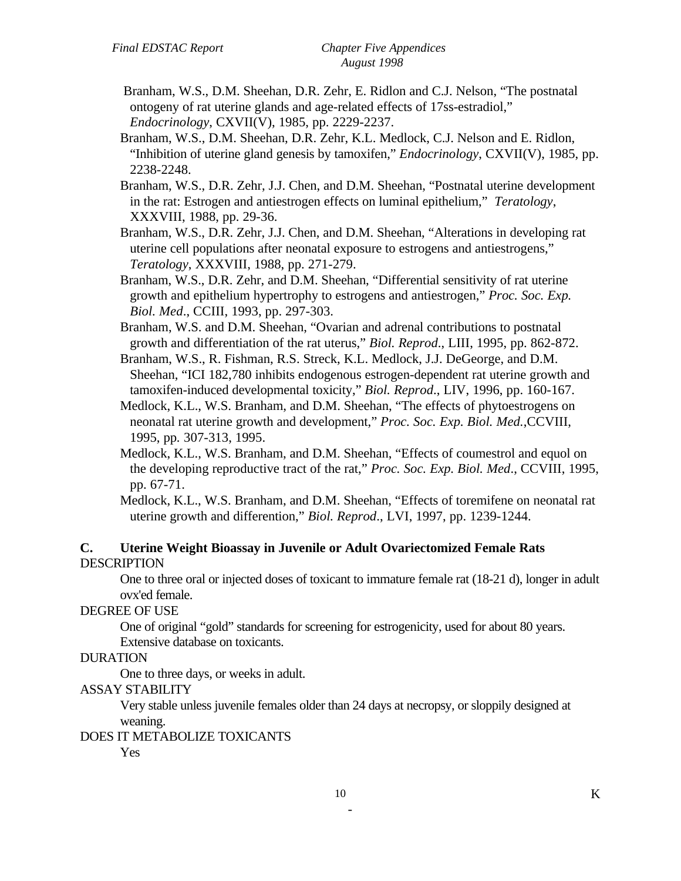- Branham, W.S., D.M. Sheehan, D.R. Zehr, E. Ridlon and C.J. Nelson, "The postnatal ontogeny of rat uterine glands and age-related effects of 17ss-estradiol," *Endocrinology*, CXVII(V), 1985, pp. 2229-2237.
- Branham, W.S., D.M. Sheehan, D.R. Zehr, K.L. Medlock, C.J. Nelson and E. Ridlon, "Inhibition of uterine gland genesis by tamoxifen," *Endocrinology*, CXVII(V), 1985, pp. 2238-2248.
- Branham, W.S., D.R. Zehr, J.J. Chen, and D.M. Sheehan, "Postnatal uterine development in the rat: Estrogen and antiestrogen effects on luminal epithelium," *Teratology*, XXXVIII, 1988, pp. 29-36.
- Branham, W.S., D.R. Zehr, J.J. Chen, and D.M. Sheehan, "Alterations in developing rat uterine cell populations after neonatal exposure to estrogens and antiestrogens," *Teratology*, XXXVIII, 1988, pp. 271-279.
- Branham, W.S., D.R. Zehr, and D.M. Sheehan, "Differential sensitivity of rat uterine growth and epithelium hypertrophy to estrogens and antiestrogen," *Proc. Soc. Exp. Biol. Med*., CCIII, 1993, pp. 297-303.
- Branham, W.S. and D.M. Sheehan, "Ovarian and adrenal contributions to postnatal growth and differentiation of the rat uterus," *Biol. Reprod*., LIII, 1995, pp. 862-872.
- Branham, W.S., R. Fishman, R.S. Streck, K.L. Medlock, J.J. DeGeorge, and D.M. Sheehan, "ICI 182,780 inhibits endogenous estrogen-dependent rat uterine growth and tamoxifen-induced developmental toxicity," *Biol. Reprod*., LIV, 1996, pp. 160-167.
- Medlock, K.L., W.S. Branham, and D.M. Sheehan, "The effects of phytoestrogens on neonatal rat uterine growth and development," *Proc. Soc. Exp. Biol. Med.*,CCVIII, 1995, pp*.* 307-313, 1995.
- Medlock, K.L., W.S. Branham, and D.M. Sheehan, "Effects of coumestrol and equol on the developing reproductive tract of the rat," *Proc. Soc. Exp. Biol. Med*., CCVIII, 1995, pp. 67-71.
- Medlock, K.L., W.S. Branham, and D.M. Sheehan, "Effects of toremifene on neonatal rat uterine growth and differention," *Biol. Reprod*., LVI, 1997, pp. 1239-1244.

### **C. Uterine Weight Bioassay in Juvenile or Adult Ovariectomized Female Rats**  DESCRIPTION

One to three oral or injected doses of toxicant to immature female rat (18-21 d), longer in adult ovx'ed female.

#### DEGREE OF USE

One of original "gold" standards for screening for estrogenicity, used for about 80 years. Extensive database on toxicants.

#### DURATION

One to three days, or weeks in adult.

#### ASSAY STABILITY

Very stable unless juvenile females older than 24 days at necropsy, or sloppily designed at weaning.

#### DOES IT METABOLIZE TOXICANTS

Yes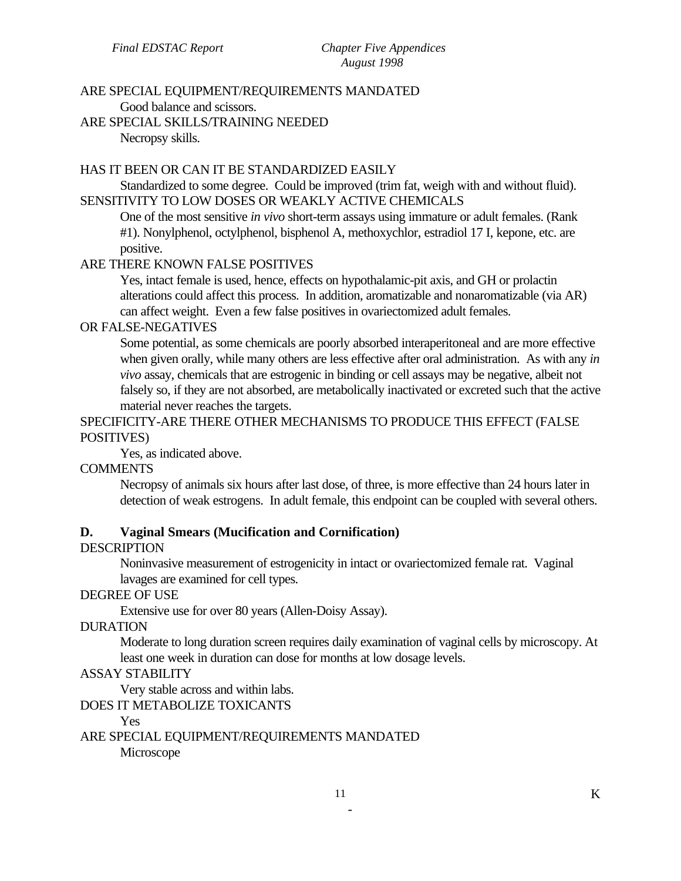#### ARE SPECIAL EQUIPMENT/REQUIREMENTS MANDATED

Good balance and scissors.

ARE SPECIAL SKILLS/TRAINING NEEDED

Necropsy skills.

#### HAS IT BEEN OR CAN IT BE STANDARDIZED EASILY

Standardized to some degree. Could be improved (trim fat, weigh with and without fluid). SENSITIVITY TO LOW DOSES OR WEAKLY ACTIVE CHEMICALS

One of the most sensitive *in vivo* short-term assays using immature or adult females. (Rank #1). Nonylphenol, octylphenol, bisphenol A, methoxychlor, estradiol 17 I, kepone, etc. are positive.

### ARE THERE KNOWN FALSE POSITIVES

Yes, intact female is used, hence, effects on hypothalamic-pit axis, and GH or prolactin alterations could affect this process. In addition, aromatizable and nonaromatizable (via AR) can affect weight. Even a few false positives in ovariectomized adult females.

#### OR FALSE-NEGATIVES

Some potential, as some chemicals are poorly absorbed interaperitoneal and are more effective when given orally, while many others are less effective after oral administration. As with any *in vivo* assay, chemicals that are estrogenic in binding or cell assays may be negative, albeit not falsely so, if they are not absorbed, are metabolically inactivated or excreted such that the active material never reaches the targets.

#### SPECIFICITY-ARE THERE OTHER MECHANISMS TO PRODUCE THIS EFFECT (FALSE POSITIVES)

Yes, as indicated above.

#### COMMENTS

Necropsy of animals six hours after last dose, of three, is more effective than 24 hours later in detection of weak estrogens. In adult female, this endpoint can be coupled with several others.

# **D. Vaginal Smears (Mucification and Cornification)**

#### **DESCRIPTION**

Noninvasive measurement of estrogenicity in intact or ovariectomized female rat. Vaginal lavages are examined for cell types.

#### DEGREE OF USE

Extensive use for over 80 years (Allen-Doisy Assay).

#### DURATION

Moderate to long duration screen requires daily examination of vaginal cells by microscopy. At least one week in duration can dose for months at low dosage levels.

#### ASSAY STABILITY

Very stable across and within labs.

#### DOES IT METABOLIZE TOXICANTS

Yes

ARE SPECIAL EQUIPMENT/REQUIREMENTS MANDATED Microscope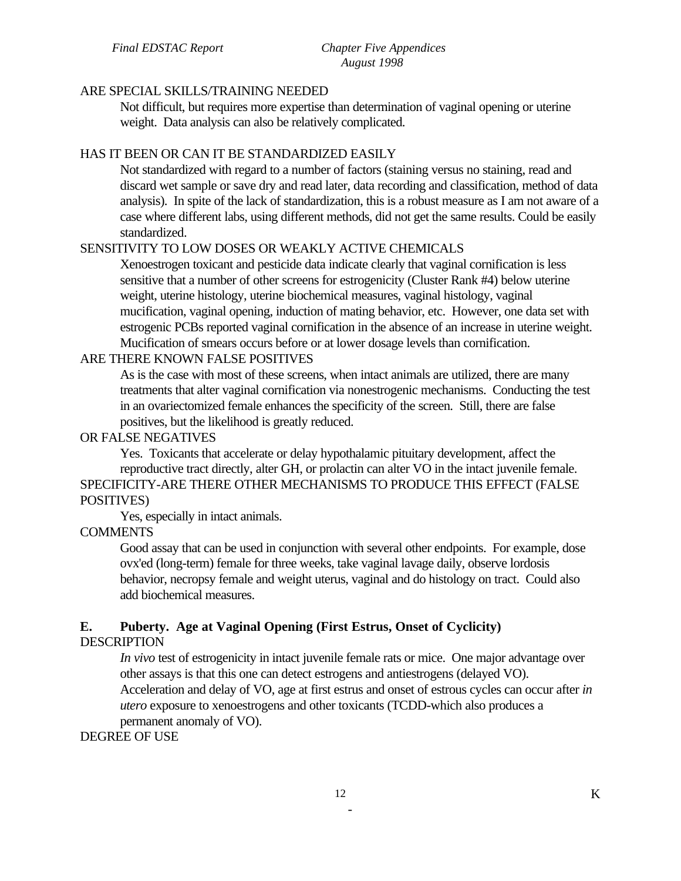#### ARE SPECIAL SKILLS/TRAINING NEEDED

Not difficult, but requires more expertise than determination of vaginal opening or uterine weight. Data analysis can also be relatively complicated.

#### HAS IT BEEN OR CAN IT BE STANDARDIZED EASILY

Not standardized with regard to a number of factors (staining versus no staining, read and discard wet sample or save dry and read later, data recording and classification, method of data analysis). In spite of the lack of standardization, this is a robust measure as I am not aware of a case where different labs, using different methods, did not get the same results. Could be easily standardized.

#### SENSITIVITY TO LOW DOSES OR WEAKLY ACTIVE CHEMICALS

Xenoestrogen toxicant and pesticide data indicate clearly that vaginal cornification is less sensitive that a number of other screens for estrogenicity (Cluster Rank #4) below uterine weight, uterine histology, uterine biochemical measures, vaginal histology, vaginal mucification, vaginal opening, induction of mating behavior, etc. However, one data set with estrogenic PCBs reported vaginal cornification in the absence of an increase in uterine weight. Mucification of smears occurs before or at lower dosage levels than cornification.

### ARE THERE KNOWN FALSE POSITIVES

As is the case with most of these screens, when intact animals are utilized, there are many treatments that alter vaginal cornification via nonestrogenic mechanisms. Conducting the test in an ovariectomized female enhances the specificity of the screen. Still, there are false positives, but the likelihood is greatly reduced.

#### OR FALSE NEGATIVES

Yes. Toxicants that accelerate or delay hypothalamic pituitary development, affect the reproductive tract directly, alter GH, or prolactin can alter VO in the intact juvenile female. SPECIFICITY-ARE THERE OTHER MECHANISMS TO PRODUCE THIS EFFECT (FALSE POSITIVES)

Yes, especially in intact animals.

## **COMMENTS**

Good assay that can be used in conjunction with several other endpoints. For example, dose ovx'ed (long-term) female for three weeks, take vaginal lavage daily, observe lordosis behavior, necropsy female and weight uterus, vaginal and do histology on tract. Could also add biochemical measures.

# **E. Puberty. Age at Vaginal Opening (First Estrus, Onset of Cyclicity)**

#### DESCRIPTION

*In vivo* test of estrogenicity in intact juvenile female rats or mice. One major advantage over other assays is that this one can detect estrogens and antiestrogens (delayed VO).

Acceleration and delay of VO, age at first estrus and onset of estrous cycles can occur after *in utero* exposure to xenoestrogens and other toxicants (TCDD-which also produces a permanent anomaly of VO).

# DEGREE OF USE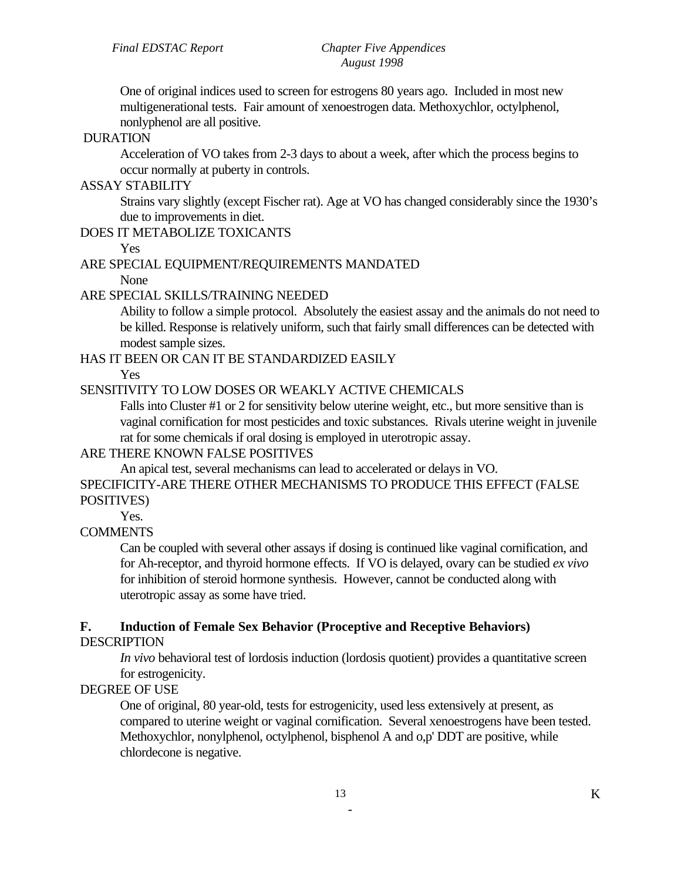One of original indices used to screen for estrogens 80 years ago. Included in most new multigenerational tests. Fair amount of xenoestrogen data. Methoxychlor, octylphenol, nonlyphenol are all positive.

#### DURATION

Acceleration of VO takes from 2-3 days to about a week, after which the process begins to occur normally at puberty in controls.

# ASSAY STABILITY

Strains vary slightly (except Fischer rat). Age at VO has changed considerably since the 1930's due to improvements in diet.

# DOES IT METABOLIZE TOXICANTS

Yes

### ARE SPECIAL EQUIPMENT/REQUIREMENTS MANDATED

None

# ARE SPECIAL SKILLS/TRAINING NEEDED

Ability to follow a simple protocol. Absolutely the easiest assay and the animals do not need to be killed. Response is relatively uniform, such that fairly small differences can be detected with modest sample sizes.

HAS IT BEEN OR CAN IT BE STANDARDIZED EASILY

Yes

# SENSITIVITY TO LOW DOSES OR WEAKLY ACTIVE CHEMICALS

Falls into Cluster #1 or 2 for sensitivity below uterine weight, etc., but more sensitive than is vaginal cornification for most pesticides and toxic substances. Rivals uterine weight in juvenile rat for some chemicals if oral dosing is employed in uterotropic assay.

# ARE THERE KNOWN FALSE POSITIVES

An apical test, several mechanisms can lead to accelerated or delays in VO.

SPECIFICITY-ARE THERE OTHER MECHANISMS TO PRODUCE THIS EFFECT (FALSE POSITIVES)

Yes.

# **COMMENTS**

Can be coupled with several other assays if dosing is continued like vaginal cornification, and for Ah-receptor, and thyroid hormone effects. If VO is delayed, ovary can be studied *ex vivo*  for inhibition of steroid hormone synthesis. However, cannot be conducted along with uterotropic assay as some have tried.

# **F. Induction of Female Sex Behavior (Proceptive and Receptive Behaviors)**

# **DESCRIPTION**

*In vivo* behavioral test of lordosis induction (lordosis quotient) provides a quantitative screen for estrogenicity.

# DEGREE OF USE

One of original, 80 year-old, tests for estrogenicity, used less extensively at present, as compared to uterine weight or vaginal cornification. Several xenoestrogens have been tested. Methoxychlor, nonylphenol, octylphenol, bisphenol A and o,p' DDT are positive, while chlordecone is negative.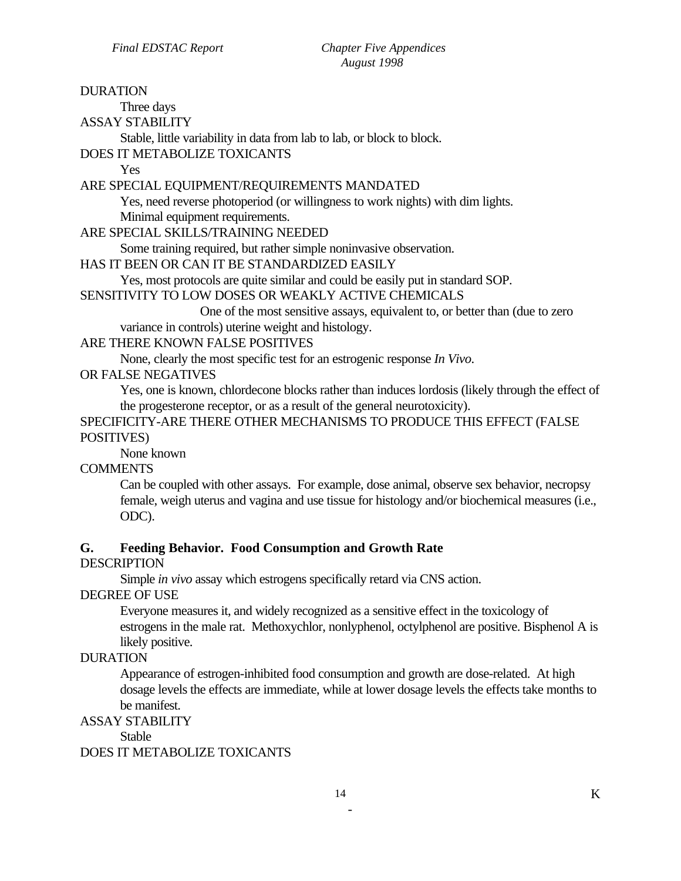DURATION Three days ASSAY STABILITY Stable, little variability in data from lab to lab, or block to block. DOES IT METABOLIZE TOXICANTS Yes ARE SPECIAL EQUIPMENT/REQUIREMENTS MANDATED Yes, need reverse photoperiod (or willingness to work nights) with dim lights. Minimal equipment requirements. ARE SPECIAL SKILLS/TRAINING NEEDED Some training required, but rather simple noninvasive observation. HAS IT BEEN OR CAN IT BE STANDARDIZED EASILY Yes, most protocols are quite similar and could be easily put in standard SOP. SENSITIVITY TO LOW DOSES OR WEAKLY ACTIVE CHEMICALS One of the most sensitive assays, equivalent to, or better than (due to zero variance in controls) uterine weight and histology. ARE THERE KNOWN FALSE POSITIVES None, clearly the most specific test for an estrogenic response *In Vivo*. OR FALSE NEGATIVES Yes, one is known, chlordecone blocks rather than induces lordosis (likely through the effect of the progesterone receptor, or as a result of the general neurotoxicity). SPECIFICITY-ARE THERE OTHER MECHANISMS TO PRODUCE THIS EFFECT (FALSE POSITIVES) None known COMMENTS Can be coupled with other assays. For example, dose animal, observe sex behavior, necropsy female, weigh uterus and vagina and use tissue for histology and/or biochemical measures (i.e., ODC). **G. Feeding Behavior. Food Consumption and Growth Rate DESCRIPTION** Simple *in vivo* assay which estrogens specifically retard via CNS action. DEGREE OF USE Everyone measures it, and widely recognized as a sensitive effect in the toxicology of estrogens in the male rat. Methoxychlor, nonlyphenol, octylphenol are positive. Bisphenol A is likely positive. DURATION

Appearance of estrogen-inhibited food consumption and growth are dose-related. At high dosage levels the effects are immediate, while at lower dosage levels the effects take months to be manifest.

#### ASSAY STABILITY

**Stable** 

#### DOES IT METABOLIZE TOXICANTS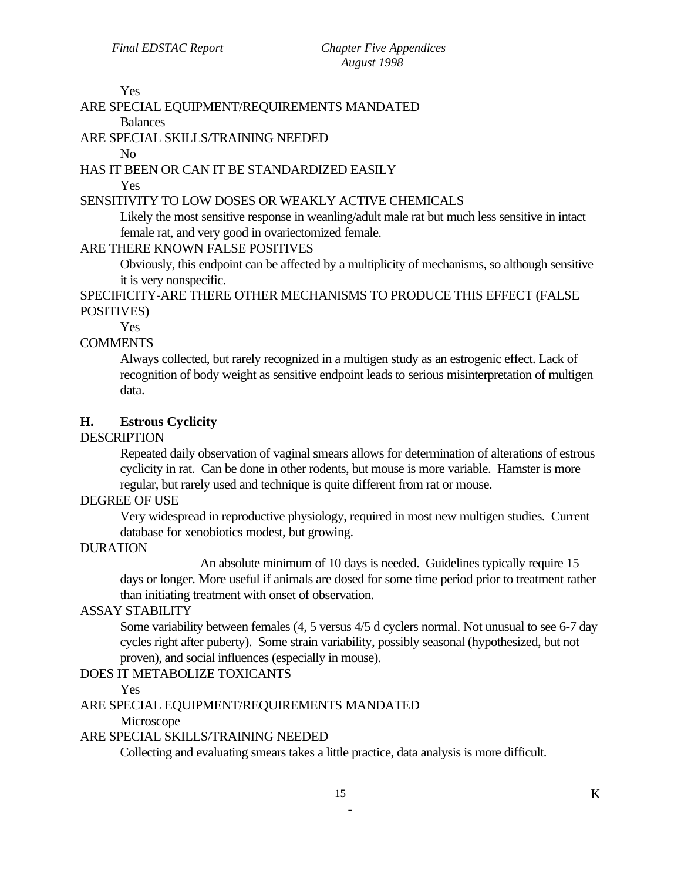Yes

# ARE SPECIAL EQUIPMENT/REQUIREMENTS MANDATED

Balances

# ARE SPECIAL SKILLS/TRAINING NEEDED

No

#### HAS IT BEEN OR CAN IT BE STANDARDIZED EASILY

Yes

### SENSITIVITY TO LOW DOSES OR WEAKLY ACTIVE CHEMICALS

Likely the most sensitive response in weanling/adult male rat but much less sensitive in intact female rat, and very good in ovariectomized female.

#### ARE THERE KNOWN FALSE POSITIVES

Obviously, this endpoint can be affected by a multiplicity of mechanisms, so although sensitive it is very nonspecific.

SPECIFICITY-ARE THERE OTHER MECHANISMS TO PRODUCE THIS EFFECT (FALSE POSITIVES)

Yes

# **COMMENTS**

Always collected, but rarely recognized in a multigen study as an estrogenic effect. Lack of recognition of body weight as sensitive endpoint leads to serious misinterpretation of multigen data.

# **H. Estrous Cyclicity**

#### DESCRIPTION

Repeated daily observation of vaginal smears allows for determination of alterations of estrous cyclicity in rat. Can be done in other rodents, but mouse is more variable. Hamster is more regular, but rarely used and technique is quite different from rat or mouse.

# DEGREE OF USE

Very widespread in reproductive physiology, required in most new multigen studies. Current database for xenobiotics modest, but growing.

# DURATION

An absolute minimum of 10 days is needed. Guidelines typically require 15 days or longer. More useful if animals are dosed for some time period prior to treatment rather than initiating treatment with onset of observation.

#### ASSAY STABILITY

Some variability between females (4, 5 versus 4/5 d cyclers normal. Not unusual to see 6-7 day cycles right after puberty). Some strain variability, possibly seasonal (hypothesized, but not proven), and social influences (especially in mouse).

# DOES IT METABOLIZE TOXICANTS

Yes

ARE SPECIAL EQUIPMENT/REQUIREMENTS MANDATED

Microscope

#### ARE SPECIAL SKILLS/TRAINING NEEDED

Collecting and evaluating smears takes a little practice, data analysis is more difficult.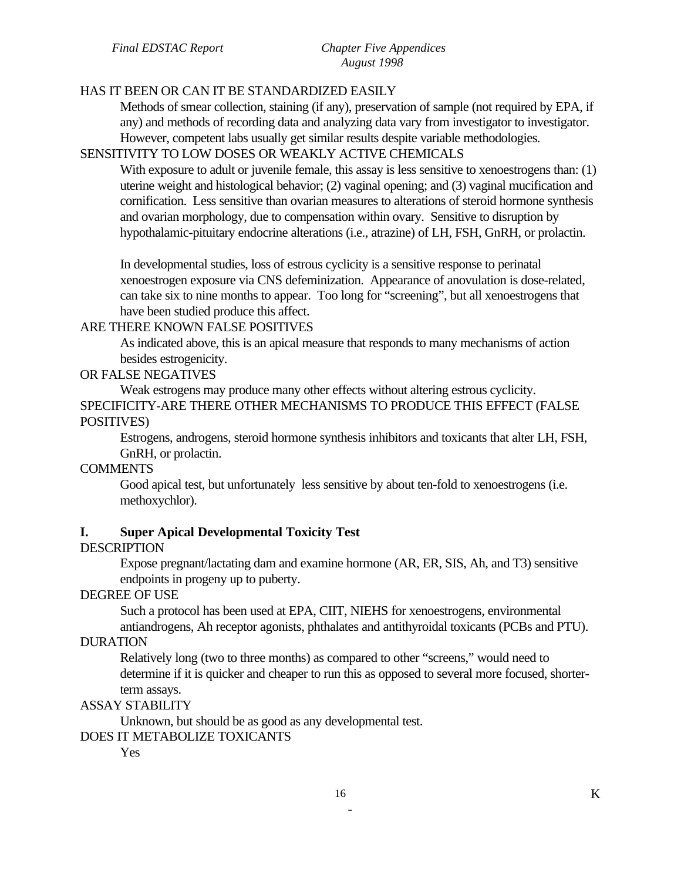#### HAS IT BEEN OR CAN IT BE STANDARDIZED EASILY

Methods of smear collection, staining (if any), preservation of sample (not required by EPA, if any) and methods of recording data and analyzing data vary from investigator to investigator. However, competent labs usually get similar results despite variable methodologies.

#### SENSITIVITY TO LOW DOSES OR WEAKLY ACTIVE CHEMICALS

With exposure to adult or juvenile female, this assay is less sensitive to xenoestrogens than: (1) uterine weight and histological behavior; (2) vaginal opening; and (3) vaginal mucification and cornification. Less sensitive than ovarian measures to alterations of steroid hormone synthesis and ovarian morphology, due to compensation within ovary. Sensitive to disruption by hypothalamic-pituitary endocrine alterations (i.e., atrazine) of LH, FSH, GnRH, or prolactin.

In developmental studies, loss of estrous cyclicity is a sensitive response to perinatal xenoestrogen exposure via CNS defeminization. Appearance of anovulation is dose-related, can take six to nine months to appear. Too long for "screening", but all xenoestrogens that have been studied produce this affect.

# ARE THERE KNOWN FALSE POSITIVES

As indicated above, this is an apical measure that responds to many mechanisms of action besides estrogenicity.

#### OR FALSE NEGATIVES

Weak estrogens may produce many other effects without altering estrous cyclicity. SPECIFICITY-ARE THERE OTHER MECHANISMS TO PRODUCE THIS EFFECT (FALSE POSITIVES)

Estrogens, androgens, steroid hormone synthesis inhibitors and toxicants that alter LH, FSH, GnRH, or prolactin.

#### COMMENTS

Good apical test, but unfortunately less sensitive by about ten-fold to xenoestrogens (i.e. methoxychlor).

#### **I. Super Apical Developmental Toxicity Test**

#### **DESCRIPTION**

Expose pregnant/lactating dam and examine hormone (AR, ER, SIS, Ah, and T3) sensitive endpoints in progeny up to puberty.

# DEGREE OF USE

Such a protocol has been used at EPA, CIIT, NIEHS for xenoestrogens, environmental

antiandrogens, Ah receptor agonists, phthalates and antithyroidal toxicants (PCBs and PTU). DURATION

Relatively long (two to three months) as compared to other "screens," would need to determine if it is quicker and cheaper to run this as opposed to several more focused, shorterterm assays.

#### ASSAY STABILITY

Unknown, but should be as good as any developmental test.

### DOES IT METABOLIZE TOXICANTS

Yes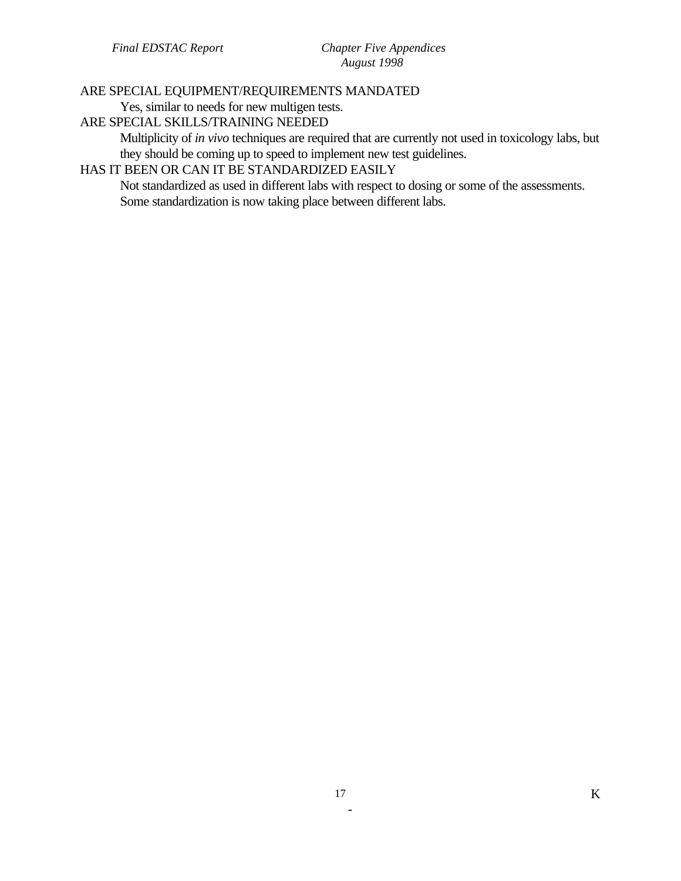# ARE SPECIAL EQUIPMENT/REQUIREMENTS MANDATED

Yes, similar to needs for new multigen tests.

### ARE SPECIAL SKILLS/TRAINING NEEDED

Multiplicity of *in vivo* techniques are required that are currently not used in toxicology labs, but they should be coming up to speed to implement new test guidelines.

# HAS IT BEEN OR CAN IT BE STANDARDIZED EASILY

Not standardized as used in different labs with respect to dosing or some of the assessments. Some standardization is now taking place between different labs.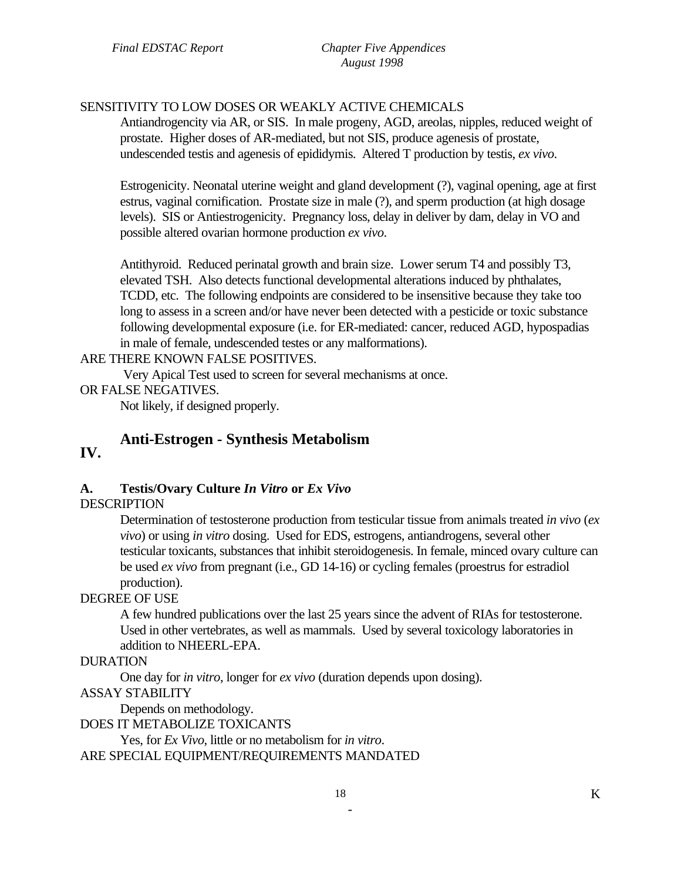### SENSITIVITY TO LOW DOSES OR WEAKLY ACTIVE CHEMICALS

Antiandrogencity via AR, or SIS. In male progeny, AGD, areolas, nipples, reduced weight of prostate. Higher doses of AR-mediated, but not SIS, produce agenesis of prostate, undescended testis and agenesis of epididymis. Altered T production by testis, *ex vivo*.

Estrogenicity. Neonatal uterine weight and gland development (?), vaginal opening, age at first estrus, vaginal cornification. Prostate size in male (?), and sperm production (at high dosage levels). SIS or Antiestrogenicity. Pregnancy loss, delay in deliver by dam, delay in VO and possible altered ovarian hormone production *ex vivo*.

Antithyroid. Reduced perinatal growth and brain size. Lower serum T4 and possibly T3, elevated TSH. Also detects functional developmental alterations induced by phthalates, TCDD, etc. The following endpoints are considered to be insensitive because they take too long to assess in a screen and/or have never been detected with a pesticide or toxic substance following developmental exposure (i.e. for ER-mediated: cancer, reduced AGD, hypospadias in male of female, undescended testes or any malformations).

#### ARE THERE KNOWN FALSE POSITIVES.

Very Apical Test used to screen for several mechanisms at once.

#### OR FALSE NEGATIVES.

Not likely, if designed properly.

# **Anti-Estrogen - Synthesis Metabolism IV.**

#### **A. Testis/Ovary Culture** *In Vitro* **or** *Ex Vivo*

#### **DESCRIPTION**

Determination of testosterone production from testicular tissue from animals treated *in vivo* (*ex vivo*) or using *in vitro* dosing. Used for EDS, estrogens, antiandrogens, several other testicular toxicants, substances that inhibit steroidogenesis. In female, minced ovary culture can be used *ex vivo* from pregnant (i.e., GD 14-16) or cycling females (proestrus for estradiol production).

#### DEGREE OF USE

A few hundred publications over the last 25 years since the advent of RIAs for testosterone. Used in other vertebrates, as well as mammals. Used by several toxicology laboratories in addition to NHEERL-EPA.

#### DURATION

One day for *in vitro*, longer for *ex vivo* (duration depends upon dosing).

#### ASSAY STABILITY

Depends on methodology.

DOES IT METABOLIZE TOXICANTS

Yes, for *Ex Vivo*, little or no metabolism for *in vitro*. ARE SPECIAL EQUIPMENT/REQUIREMENTS MANDATED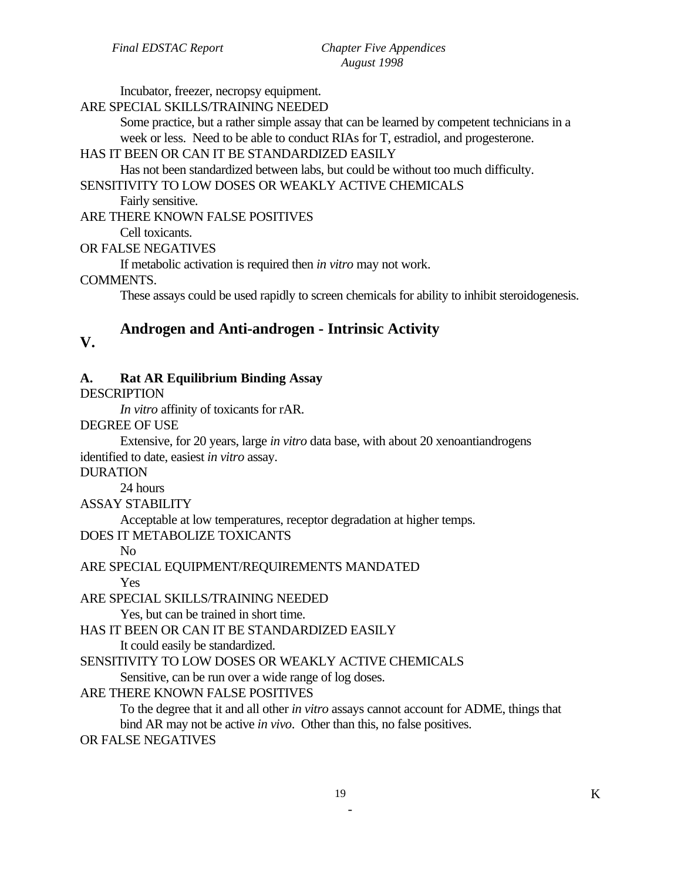Incubator, freezer, necropsy equipment.

### ARE SPECIAL SKILLS/TRAINING NEEDED

Some practice, but a rather simple assay that can be learned by competent technicians in a week or less. Need to be able to conduct RIAs for T, estradiol, and progesterone.

# HAS IT BEEN OR CAN IT BE STANDARDIZED EASILY

Has not been standardized between labs, but could be without too much difficulty.

# SENSITIVITY TO LOW DOSES OR WEAKLY ACTIVE CHEMICALS

Fairly sensitive.

ARE THERE KNOWN FALSE POSITIVES

Cell toxicants.

# OR FALSE NEGATIVES

If metabolic activation is required then *in vitro* may not work.

### COMMENTS.

These assays could be used rapidly to screen chemicals for ability to inhibit steroidogenesis.

# **Androgen and Anti-androgen - Intrinsic Activity V.**

# **A. Rat AR Equilibrium Binding Assay**

DESCRIPTION

*In vitro* affinity of toxicants for rAR.

DEGREE OF USE

Extensive, for 20 years, large *in vitro* data base, with about 20 xenoantiandrogens identified to date, easiest *in vitro* assay.

DURATION

24 hours

ASSAY STABILITY

Acceptable at low temperatures, receptor degradation at higher temps.

# DOES IT METABOLIZE TOXICANTS

No

ARE SPECIAL EQUIPMENT/REQUIREMENTS MANDATED

Yes

ARE SPECIAL SKILLS/TRAINING NEEDED

Yes, but can be trained in short time.

HAS IT BEEN OR CAN IT BE STANDARDIZED EASILY

It could easily be standardized.

SENSITIVITY TO LOW DOSES OR WEAKLY ACTIVE CHEMICALS

Sensitive, can be run over a wide range of log doses.

# ARE THERE KNOWN FALSE POSITIVES

To the degree that it and all other *in vitro* assays cannot account for ADME, things that bind AR may not be active *in vivo*. Other than this, no false positives.

OR FALSE NEGATIVES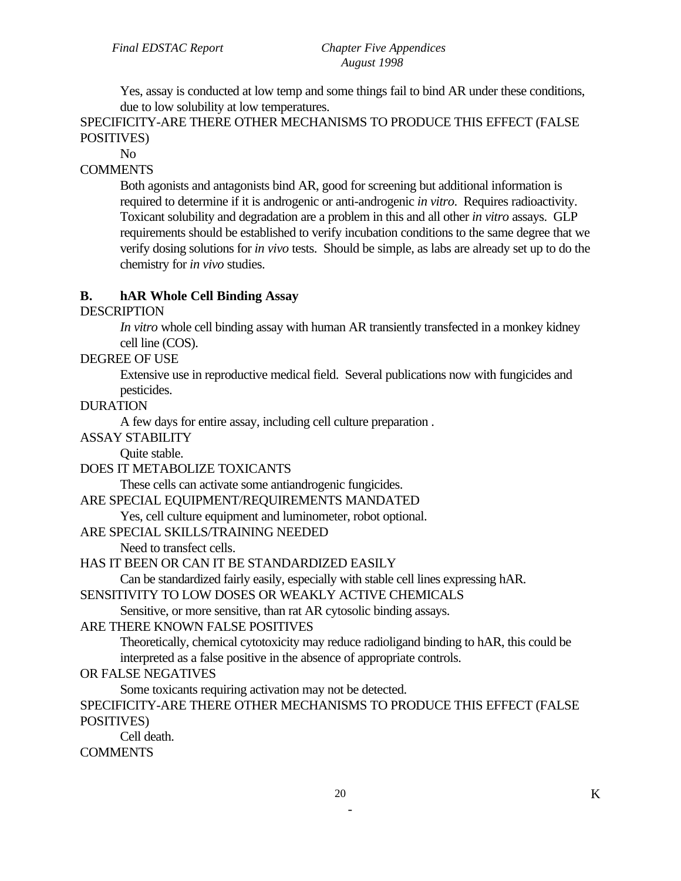Yes, assay is conducted at low temp and some things fail to bind AR under these conditions, due to low solubility at low temperatures.

SPECIFICITY-ARE THERE OTHER MECHANISMS TO PRODUCE THIS EFFECT (FALSE POSITIVES)

No

# **COMMENTS**

Both agonists and antagonists bind AR, good for screening but additional information is required to determine if it is androgenic or anti-androgenic *in vitro*. Requires radioactivity. Toxicant solubility and degradation are a problem in this and all other *in vitro* assays. GLP requirements should be established to verify incubation conditions to the same degree that we verify dosing solutions for *in vivo* tests. Should be simple, as labs are already set up to do the chemistry for *in vivo* studies.

### **B. hAR Whole Cell Binding Assay**

#### **DESCRIPTION**

*In vitro* whole cell binding assay with human AR transiently transfected in a monkey kidney cell line (COS).

#### DEGREE OF USE

Extensive use in reproductive medical field. Several publications now with fungicides and pesticides.

#### DURATION

A few days for entire assay, including cell culture preparation .

ASSAY STABILITY

Quite stable.

DOES IT METABOLIZE TOXICANTS

These cells can activate some antiandrogenic fungicides.

#### ARE SPECIAL EQUIPMENT/REQUIREMENTS MANDATED

Yes, cell culture equipment and luminometer, robot optional.

#### ARE SPECIAL SKILLS/TRAINING NEEDED

Need to transfect cells.

#### HAS IT BEEN OR CAN IT BE STANDARDIZED EASILY

Can be standardized fairly easily, especially with stable cell lines expressing hAR.

SENSITIVITY TO LOW DOSES OR WEAKLY ACTIVE CHEMICALS

Sensitive, or more sensitive, than rat AR cytosolic binding assays.

#### ARE THERE KNOWN FALSE POSITIVES

Theoretically, chemical cytotoxicity may reduce radioligand binding to hAR, this could be interpreted as a false positive in the absence of appropriate controls.

#### OR FALSE NEGATIVES

Some toxicants requiring activation may not be detected.

SPECIFICITY-ARE THERE OTHER MECHANISMS TO PRODUCE THIS EFFECT (FALSE POSITIVES)

Cell death.

## **COMMENTS**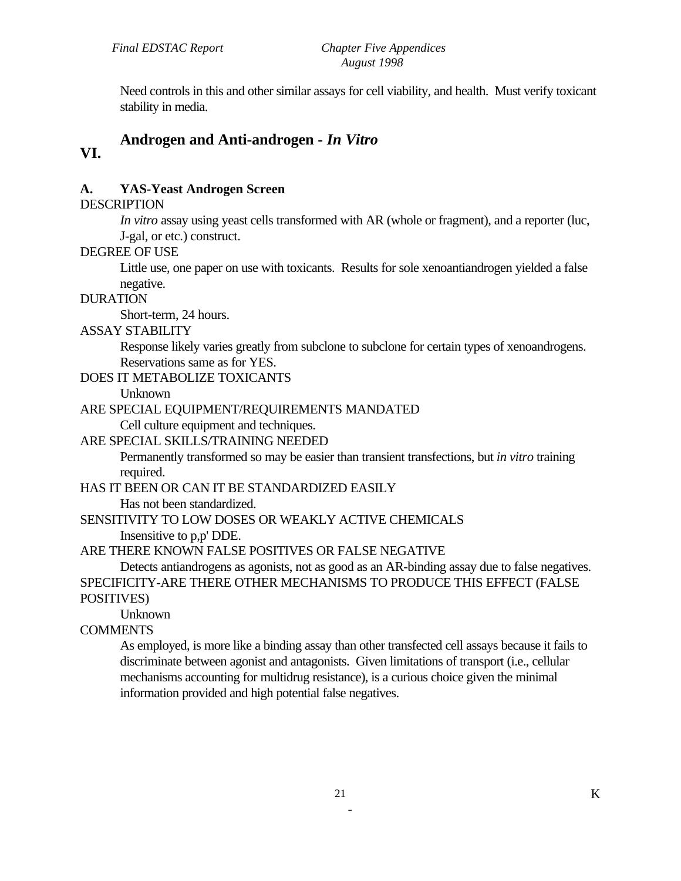Need controls in this and other similar assays for cell viability, and health. Must verify toxicant stability in media.

#### **Androgen and Anti-androgen -** *In Vitro*  **VI.**

# **A. YAS-Yeast Androgen Screen**

#### DESCRIPTION

*In vitro* assay using yeast cells transformed with AR (whole or fragment), and a reporter (luc, J-gal, or etc.) construct.

### DEGREE OF USE

Little use, one paper on use with toxicants. Results for sole xenoantiandrogen yielded a false negative.

#### DURATION

Short-term, 24 hours.

# ASSAY STABILITY

Response likely varies greatly from subclone to subclone for certain types of xenoandrogens. Reservations same as for YES.

# DOES IT METABOLIZE TOXICANTS

Unknown

# ARE SPECIAL EQUIPMENT/REQUIREMENTS MANDATED

Cell culture equipment and techniques.

# ARE SPECIAL SKILLS/TRAINING NEEDED

Permanently transformed so may be easier than transient transfections, but *in vitro* training required.

# HAS IT BEEN OR CAN IT BE STANDARDIZED EASILY

Has not been standardized.

# SENSITIVITY TO LOW DOSES OR WEAKLY ACTIVE CHEMICALS

Insensitive to p,p' DDE.

# ARE THERE KNOWN FALSE POSITIVES OR FALSE NEGATIVE

Detects antiandrogens as agonists, not as good as an AR-binding assay due to false negatives. SPECIFICITY-ARE THERE OTHER MECHANISMS TO PRODUCE THIS EFFECT (FALSE

# POSITIVES)

Unknown

# COMMENTS

As employed, is more like a binding assay than other transfected cell assays because it fails to discriminate between agonist and antagonists. Given limitations of transport (i.e., cellular mechanisms accounting for multidrug resistance), is a curious choice given the minimal information provided and high potential false negatives.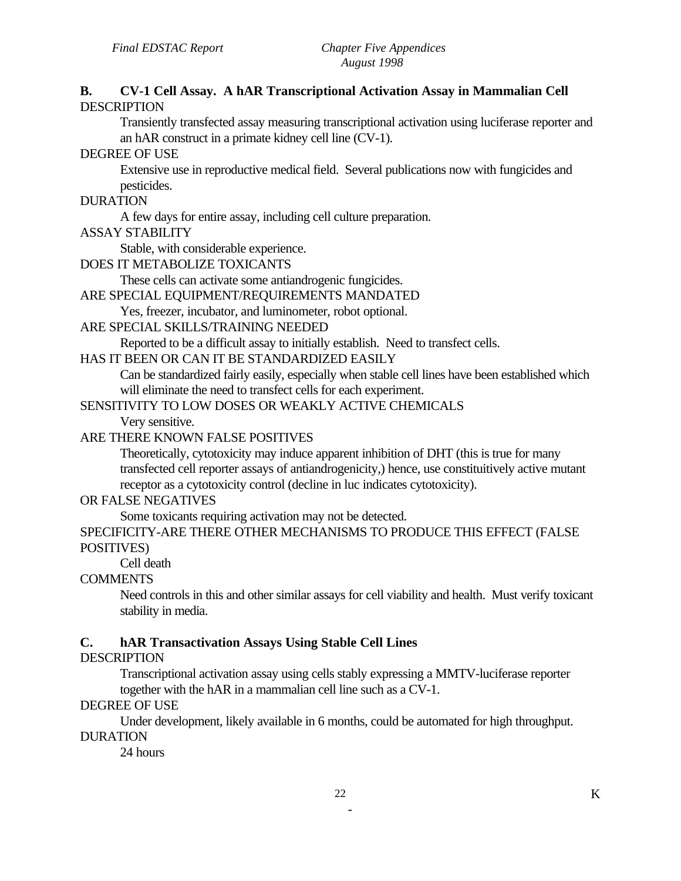#### **B. CV-1 Cell Assay. A hAR Transcriptional Activation Assay in Mammalian Cell**  DESCRIPTION

Transiently transfected assay measuring transcriptional activation using luciferase reporter and an hAR construct in a primate kidney cell line (CV-1).

#### DEGREE OF USE

Extensive use in reproductive medical field. Several publications now with fungicides and pesticides.

#### DURATION

A few days for entire assay, including cell culture preparation.

#### ASSAY STABILITY

Stable, with considerable experience.

#### DOES IT METABOLIZE TOXICANTS

These cells can activate some antiandrogenic fungicides.

#### ARE SPECIAL EQUIPMENT/REQUIREMENTS MANDATED

Yes, freezer, incubator, and luminometer, robot optional.

#### ARE SPECIAL SKILLS/TRAINING NEEDED

Reported to be a difficult assay to initially establish. Need to transfect cells.

#### HAS IT BEEN OR CAN IT BE STANDARDIZED EASILY

Can be standardized fairly easily, especially when stable cell lines have been established which will eliminate the need to transfect cells for each experiment.

### SENSITIVITY TO LOW DOSES OR WEAKLY ACTIVE CHEMICALS

Very sensitive.

#### ARE THERE KNOWN FALSE POSITIVES

Theoretically, cytotoxicity may induce apparent inhibition of DHT (this is true for many transfected cell reporter assays of antiandrogenicity,) hence, use constituitively active mutant receptor as a cytotoxicity control (decline in luc indicates cytotoxicity).

#### OR FALSE NEGATIVES

Some toxicants requiring activation may not be detected.

SPECIFICITY-ARE THERE OTHER MECHANISMS TO PRODUCE THIS EFFECT (FALSE POSITIVES)

Cell death

#### **COMMENTS**

Need controls in this and other similar assays for cell viability and health. Must verify toxicant stability in media.

#### **C. hAR Transactivation Assays Using Stable Cell Lines**

#### **DESCRIPTION**

Transcriptional activation assay using cells stably expressing a MMTV-luciferase reporter together with the hAR in a mammalian cell line such as a CV-1.

#### DEGREE OF USE

Under development, likely available in 6 months, could be automated for high throughput. DURATION

24 hours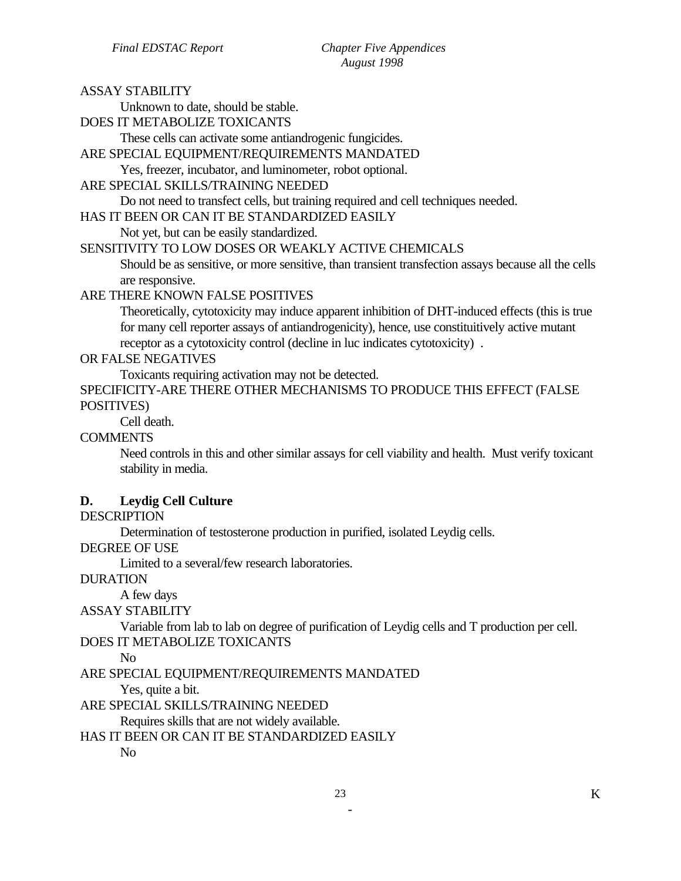ASSAY STABILITY

| Unknown to date, should be stable.                                                                                                                                                                                                                                              |
|---------------------------------------------------------------------------------------------------------------------------------------------------------------------------------------------------------------------------------------------------------------------------------|
| DOES IT METABOLIZE TOXICANTS                                                                                                                                                                                                                                                    |
| These cells can activate some antiandrogenic fungicides.                                                                                                                                                                                                                        |
| ARE SPECIAL EQUIPMENT/REQUIREMENTS MANDATED                                                                                                                                                                                                                                     |
| Yes, freezer, incubator, and luminometer, robot optional.                                                                                                                                                                                                                       |
| ARE SPECIAL SKILLS/TRAINING NEEDED                                                                                                                                                                                                                                              |
| Do not need to transfect cells, but training required and cell techniques needed.                                                                                                                                                                                               |
| HAS IT BEEN OR CAN IT BE STANDARDIZED EASILY                                                                                                                                                                                                                                    |
| Not yet, but can be easily standardized.                                                                                                                                                                                                                                        |
| SENSITIVITY TO LOW DOSES OR WEAKLY ACTIVE CHEMICALS                                                                                                                                                                                                                             |
| Should be as sensitive, or more sensitive, than transient transfection assays because all the cells<br>are responsive.                                                                                                                                                          |
| ARE THERE KNOWN FALSE POSITIVES                                                                                                                                                                                                                                                 |
| Theoretically, cytotoxicity may induce apparent inhibition of DHT-induced effects (this is true<br>for many cell reporter assays of antiandrogenicity), hence, use constituitively active mutant<br>receptor as a cytotoxicity control (decline in luc indicates cytotoxicity). |
| OR FALSE NEGATIVES                                                                                                                                                                                                                                                              |
| Toxicants requiring activation may not be detected.                                                                                                                                                                                                                             |
| SPECIFICITY-ARE THERE OTHER MECHANISMS TO PRODUCE THIS EFFECT (FALSE                                                                                                                                                                                                            |
| POSITIVES)                                                                                                                                                                                                                                                                      |
| Cell death.                                                                                                                                                                                                                                                                     |
| <b>COMMENTS</b>                                                                                                                                                                                                                                                                 |
| Need controls in this and other similar assays for cell viability and health. Must verify toxicant<br>stability in media.                                                                                                                                                       |
| <b>Leydig Cell Culture</b><br>D.<br><b>DESCRIPTION</b>                                                                                                                                                                                                                          |
| Determination of testosterone production in purified, isolated Leydig cells.                                                                                                                                                                                                    |
| DEGREE OF USE                                                                                                                                                                                                                                                                   |
| Limited to a several/few research laboratories.                                                                                                                                                                                                                                 |
| <b>DURATION</b>                                                                                                                                                                                                                                                                 |
| A few days                                                                                                                                                                                                                                                                      |
| <b>ASSAY STABILITY</b>                                                                                                                                                                                                                                                          |
| Variable from lab to lab on degree of purification of Leydig cells and T production per cell.                                                                                                                                                                                   |
| DOES IT METABOLIZE TOXICANTS                                                                                                                                                                                                                                                    |
| N <sub>o</sub>                                                                                                                                                                                                                                                                  |
|                                                                                                                                                                                                                                                                                 |

ARE SPECIAL EQUIPMENT/REQUIREMENTS MANDATED

Yes, quite a bit.

ARE SPECIAL SKILLS/TRAINING NEEDED

Requires skills that are not widely available.

HAS IT BEEN OR CAN IT BE STANDARDIZED EASILY

No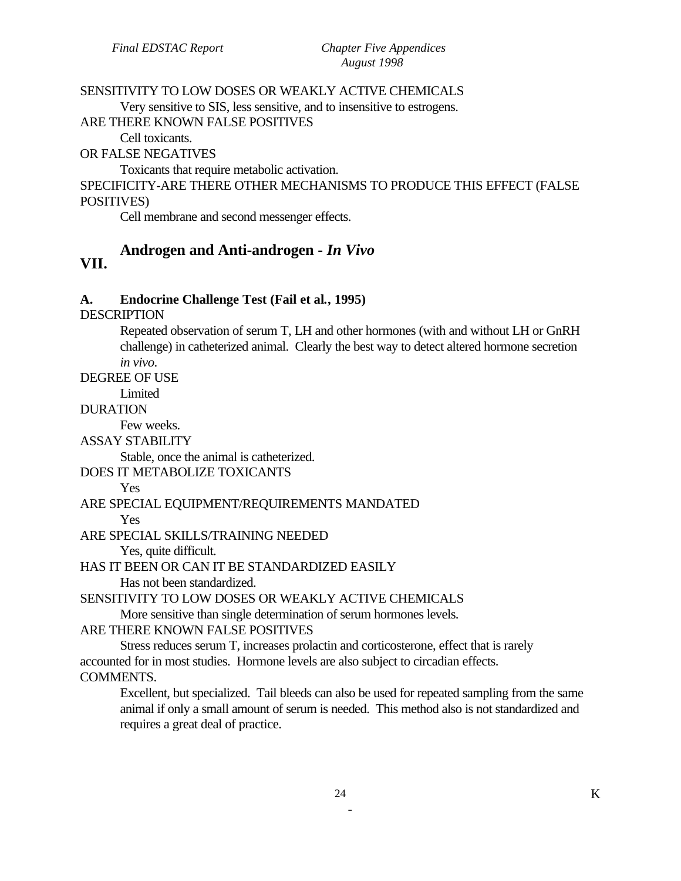### SENSITIVITY TO LOW DOSES OR WEAKLY ACTIVE CHEMICALS

Very sensitive to SIS, less sensitive, and to insensitive to estrogens.

ARE THERE KNOWN FALSE POSITIVES

Cell toxicants.

OR FALSE NEGATIVES

Toxicants that require metabolic activation.

SPECIFICITY-ARE THERE OTHER MECHANISMS TO PRODUCE THIS EFFECT (FALSE POSITIVES)

Cell membrane and second messenger effects.

#### **Androgen and Anti-androgen -** *In Vivo*  **VII.**

#### **A. Endocrine Challenge Test (Fail et al***.***, 1995)**

DESCRIPTION

Repeated observation of serum T, LH and other hormones (with and without LH or GnRH challenge) in catheterized animal. Clearly the best way to detect altered hormone secretion *in vivo*.

DEGREE OF USE

Limited

DURATION

Few weeks.

ASSAY STABILITY

Stable, once the animal is catheterized.

DOES IT METABOLIZE TOXICANTS

#### Yes

#### ARE SPECIAL EQUIPMENT/REQUIREMENTS MANDATED

Yes

ARE SPECIAL SKILLS/TRAINING NEEDED

Yes, quite difficult.

HAS IT BEEN OR CAN IT BE STANDARDIZED EASILY

Has not been standardized.

SENSITIVITY TO LOW DOSES OR WEAKLY ACTIVE CHEMICALS

More sensitive than single determination of serum hormones levels.

```
ARE THERE KNOWN FALSE POSITIVES
```
Stress reduces serum T, increases prolactin and corticosterone, effect that is rarely accounted for in most studies. Hormone levels are also subject to circadian effects. COMMENTS.

Excellent, but specialized. Tail bleeds can also be used for repeated sampling from the same animal if only a small amount of serum is needed. This method also is not standardized and requires a great deal of practice.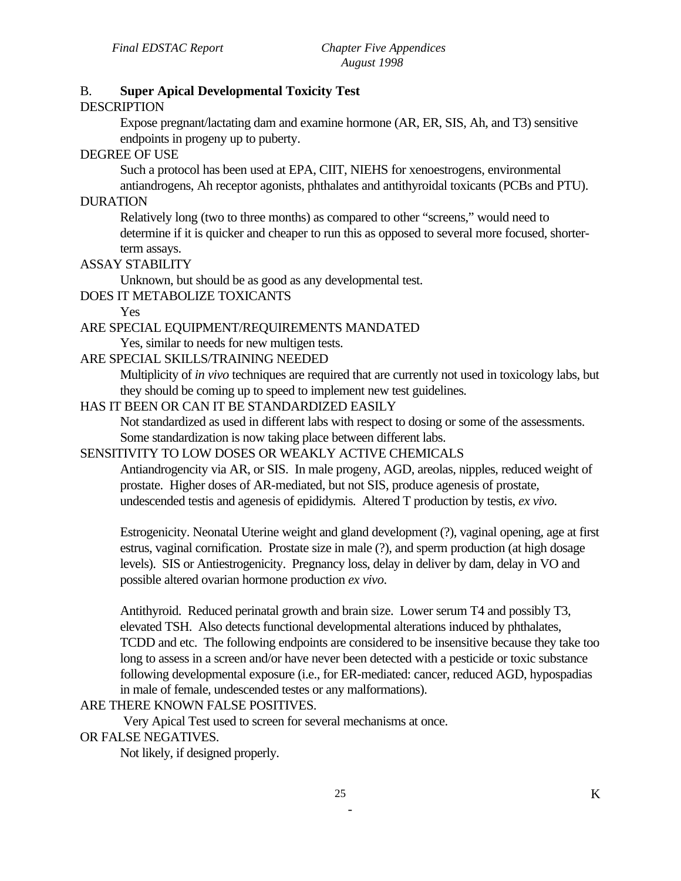# B. **Super Apical Developmental Toxicity Test**

#### **DESCRIPTION**

Expose pregnant/lactating dam and examine hormone (AR, ER, SIS, Ah, and T3) sensitive endpoints in progeny up to puberty.

### DEGREE OF USE

Such a protocol has been used at EPA, CIIT, NIEHS for xenoestrogens, environmental

antiandrogens, Ah receptor agonists, phthalates and antithyroidal toxicants (PCBs and PTU). DURATION

Relatively long (two to three months) as compared to other "screens," would need to determine if it is quicker and cheaper to run this as opposed to several more focused, shorterterm assays.

#### ASSAY STABILITY

Unknown, but should be as good as any developmental test.

### DOES IT METABOLIZE TOXICANTS

Yes

#### ARE SPECIAL EQUIPMENT/REQUIREMENTS MANDATED

Yes, similar to needs for new multigen tests.

#### ARE SPECIAL SKILLS/TRAINING NEEDED

Multiplicity of *in vivo* techniques are required that are currently not used in toxicology labs, but they should be coming up to speed to implement new test guidelines.

# HAS IT BEEN OR CAN IT BE STANDARDIZED EASILY

Not standardized as used in different labs with respect to dosing or some of the assessments. Some standardization is now taking place between different labs.

#### SENSITIVITY TO LOW DOSES OR WEAKLY ACTIVE CHEMICALS

Antiandrogencity via AR, or SIS. In male progeny, AGD, areolas, nipples, reduced weight of prostate. Higher doses of AR-mediated, but not SIS, produce agenesis of prostate, undescended testis and agenesis of epididymis. Altered T production by testis, *ex vivo*.

Estrogenicity. Neonatal Uterine weight and gland development (?), vaginal opening, age at first estrus, vaginal cornification. Prostate size in male (?), and sperm production (at high dosage levels). SIS or Antiestrogenicity. Pregnancy loss, delay in deliver by dam, delay in VO and possible altered ovarian hormone production *ex vivo*.

Antithyroid. Reduced perinatal growth and brain size. Lower serum T4 and possibly T3, elevated TSH. Also detects functional developmental alterations induced by phthalates, TCDD and etc. The following endpoints are considered to be insensitive because they take too long to assess in a screen and/or have never been detected with a pesticide or toxic substance following developmental exposure (i.e., for ER-mediated: cancer, reduced AGD, hypospadias in male of female, undescended testes or any malformations).

#### ARE THERE KNOWN FALSE POSITIVES.

Very Apical Test used to screen for several mechanisms at once. OR FALSE NEGATIVES.

Not likely, if designed properly.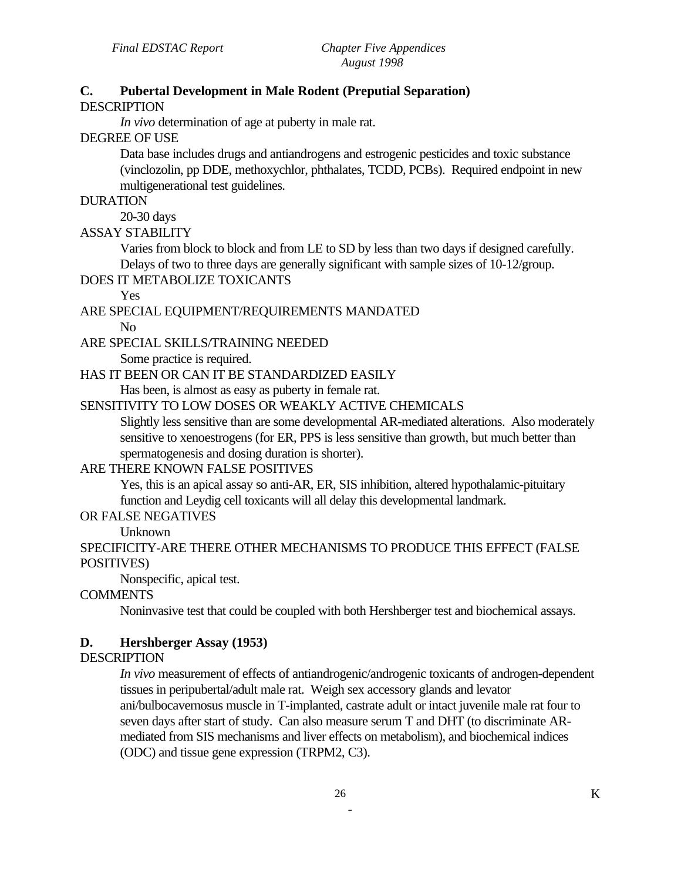# **C. Pubertal Development in Male Rodent (Preputial Separation)**

#### DESCRIPTION

*In vivo* determination of age at puberty in male rat.

DEGREE OF USE

Data base includes drugs and antiandrogens and estrogenic pesticides and toxic substance (vinclozolin, pp DDE, methoxychlor, phthalates, TCDD, PCBs). Required endpoint in new multigenerational test guidelines.

#### DURATION

20-30 days

# ASSAY STABILITY

Varies from block to block and from LE to SD by less than two days if designed carefully. Delays of two to three days are generally significant with sample sizes of 10-12/group.

#### DOES IT METABOLIZE TOXICANTS

Yes

#### ARE SPECIAL EQUIPMENT/REQUIREMENTS MANDATED

No

#### ARE SPECIAL SKILLS/TRAINING NEEDED

Some practice is required.

### HAS IT BEEN OR CAN IT BE STANDARDIZED EASILY

Has been, is almost as easy as puberty in female rat.

# SENSITIVITY TO LOW DOSES OR WEAKLY ACTIVE CHEMICALS

Slightly less sensitive than are some developmental AR-mediated alterations. Also moderately sensitive to xenoestrogens (for ER, PPS is less sensitive than growth, but much better than spermatogenesis and dosing duration is shorter).

# ARE THERE KNOWN FALSE POSITIVES

Yes, this is an apical assay so anti-AR, ER, SIS inhibition, altered hypothalamic-pituitary function and Leydig cell toxicants will all delay this developmental landmark.

#### OR FALSE NEGATIVES

Unknown

# SPECIFICITY-ARE THERE OTHER MECHANISMS TO PRODUCE THIS EFFECT (FALSE POSITIVES)

Nonspecific, apical test.

# **COMMENTS**

Noninvasive test that could be coupled with both Hershberger test and biochemical assays.

#### **D. Hershberger Assay (1953)**

#### **DESCRIPTION**

*In vivo* measurement of effects of antiandrogenic/androgenic toxicants of androgen-dependent tissues in peripubertal/adult male rat. Weigh sex accessory glands and levator ani/bulbocavernosus muscle in T-implanted, castrate adult or intact juvenile male rat four to seven days after start of study. Can also measure serum T and DHT (to discriminate ARmediated from SIS mechanisms and liver effects on metabolism), and biochemical indices (ODC) and tissue gene expression (TRPM2, C3).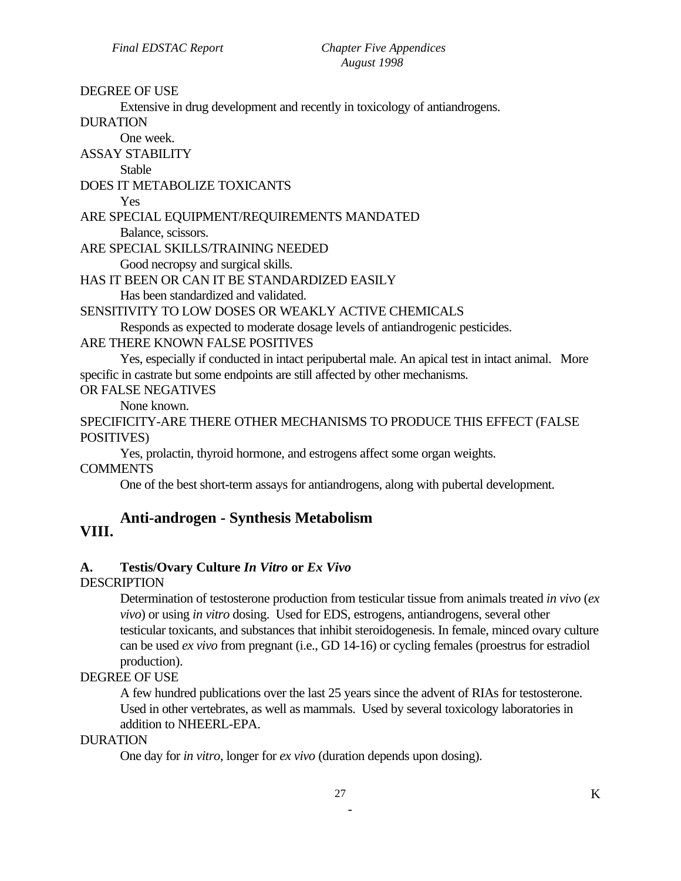#### DEGREE OF USE

Extensive in drug development and recently in toxicology of antiandrogens.

DURATION

One week.

ASSAY STABILITY

Stable

DOES IT METABOLIZE TOXICANTS

Yes

#### ARE SPECIAL EQUIPMENT/REQUIREMENTS MANDATED Balance, scissors.

ARE SPECIAL SKILLS/TRAINING NEEDED

Good necropsy and surgical skills.

# HAS IT BEEN OR CAN IT BE STANDARDIZED EASILY

Has been standardized and validated.

SENSITIVITY TO LOW DOSES OR WEAKLY ACTIVE CHEMICALS

Responds as expected to moderate dosage levels of antiandrogenic pesticides.

#### ARE THERE KNOWN FALSE POSITIVES

Yes, especially if conducted in intact peripubertal male. An apical test in intact animal. More specific in castrate but some endpoints are still affected by other mechanisms.

OR FALSE NEGATIVES

None known.

SPECIFICITY-ARE THERE OTHER MECHANISMS TO PRODUCE THIS EFFECT (FALSE POSITIVES)

Yes, prolactin, thyroid hormone, and estrogens affect some organ weights.

COMMENTS

One of the best short-term assays for antiandrogens, along with pubertal development.

# **VIII. Anti-androgen - Synthesis Metabolism**

# **A. Testis/Ovary Culture** *In Vitro* **or** *Ex Vivo*

#### **DESCRIPTION**

Determination of testosterone production from testicular tissue from animals treated *in vivo* (*ex vivo*) or using *in vitro* dosing. Used for EDS, estrogens, antiandrogens, several other testicular toxicants, and substances that inhibit steroidogenesis. In female, minced ovary culture can be used *ex vivo* from pregnant (i.e., GD 14-16) or cycling females (proestrus for estradiol production).

#### DEGREE OF USE

A few hundred publications over the last 25 years since the advent of RIAs for testosterone. Used in other vertebrates, as well as mammals. Used by several toxicology laboratories in addition to NHEERL-EPA.

#### DURATION

One day for *in vitro*, longer for *ex vivo* (duration depends upon dosing).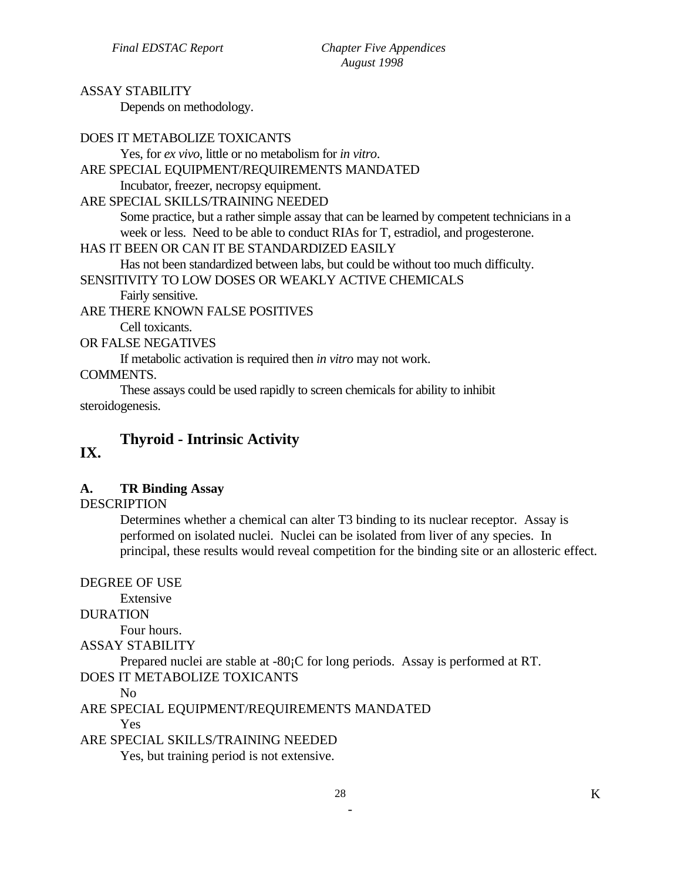# ASSAY STABILITY

Depends on methodology.

| DOES IT METABOLIZE TOXICANTS                                                               |
|--------------------------------------------------------------------------------------------|
| Yes, for ex vivo, little or no metabolism for in vitro.                                    |
| ARE SPECIAL EQUIPMENT/REQUIREMENTS MANDATED                                                |
| Incubator, freezer, necropsy equipment.                                                    |
| ARE SPECIAL SKILLS/TRAINING NEEDED                                                         |
| Some practice, but a rather simple assay that can be learned by competent technicians in a |
| week or less. Need to be able to conduct RIAs for T, estradiol, and progesterone.          |
| HAS IT BEEN OR CAN IT BE STANDARDIZED EASILY                                               |
| Has not been standardized between labs, but could be without too much difficulty.          |
| SENSITIVITY TO LOW DOSES OR WEAKLY ACTIVE CHEMICALS                                        |
| Fairly sensitive.                                                                          |
| ARE THERE KNOWN FALSE POSITIVES                                                            |
| Cell toxicants.                                                                            |
| OR FALSE NEGATIVES                                                                         |
| If metabolic activation is required then <i>in vitro</i> may not work.                     |
| <b>COMMENTS.</b>                                                                           |
| These assays could be used rapidly to screen chemicals for ability to inhibit              |
| steroidogenesis.                                                                           |

# **Thyroid - Intrinsic Activity IX.**

# **A. TR Binding Assay**

# **DESCRIPTION**

Determines whether a chemical can alter T3 binding to its nuclear receptor. Assay is performed on isolated nuclei. Nuclei can be isolated from liver of any species. In principal, these results would reveal competition for the binding site or an allosteric effect.

DEGREE OF USE

Extensive

# DURATION

Four hours.

ASSAY STABILITY

Prepared nuclei are stable at -80¡C for long periods. Assay is performed at RT.

DOES IT METABOLIZE TOXICANTS

No

ARE SPECIAL EQUIPMENT/REQUIREMENTS MANDATED Yes

ARE SPECIAL SKILLS/TRAINING NEEDED

Yes, but training period is not extensive.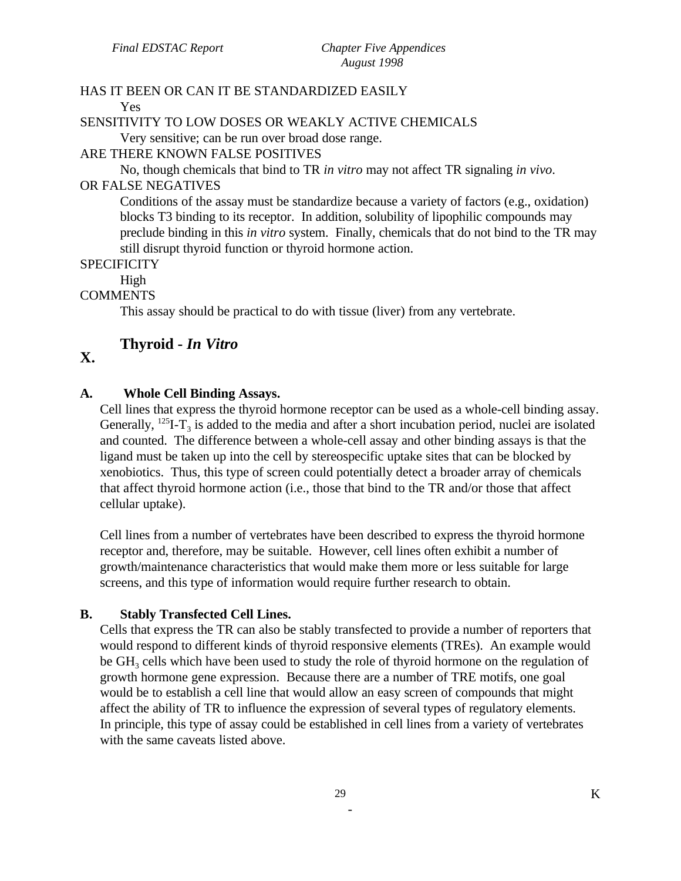#### HAS IT BEEN OR CAN IT BE STANDARDIZED EASILY Yes

# SENSITIVITY TO LOW DOSES OR WEAKLY ACTIVE CHEMICALS

Very sensitive; can be run over broad dose range.

### ARE THERE KNOWN FALSE POSITIVES

No, though chemicals that bind to TR *in vitro* may not affect TR signaling *in vivo*.

# OR FALSE NEGATIVES

Conditions of the assay must be standardize because a variety of factors (e.g., oxidation) blocks T3 binding to its receptor. In addition, solubility of lipophilic compounds may preclude binding in this *in vitro* system. Finally, chemicals that do not bind to the TR may still disrupt thyroid function or thyroid hormone action.

### **SPECIFICITY**

High

# COMMENTS

This assay should be practical to do with tissue (liver) from any vertebrate.

# **Thyroid -** *In Vitro*

# **X.**

# **A. Whole Cell Binding Assays.**

Cell lines that express the thyroid hormone receptor can be used as a whole-cell binding assay. Generally,  $^{125}I-T_3$  is added to the media and after a short incubation period, nuclei are isolated and counted. The difference between a whole-cell assay and other binding assays is that the ligand must be taken up into the cell by stereospecific uptake sites that can be blocked by xenobiotics. Thus, this type of screen could potentially detect a broader array of chemicals that affect thyroid hormone action (i.e., those that bind to the TR and/or those that affect cellular uptake).

Cell lines from a number of vertebrates have been described to express the thyroid hormone receptor and, therefore, may be suitable. However, cell lines often exhibit a number of growth/maintenance characteristics that would make them more or less suitable for large screens, and this type of information would require further research to obtain.

# **B. Stably Transfected Cell Lines.**

Cells that express the TR can also be stably transfected to provide a number of reporters that would respond to different kinds of thyroid responsive elements (TREs). An example would be  $GH<sub>3</sub>$  cells which have been used to study the role of thyroid hormone on the regulation of growth hormone gene expression. Because there are a number of TRE motifs, one goal would be to establish a cell line that would allow an easy screen of compounds that might affect the ability of TR to influence the expression of several types of regulatory elements. In principle, this type of assay could be established in cell lines from a variety of vertebrates with the same caveats listed above.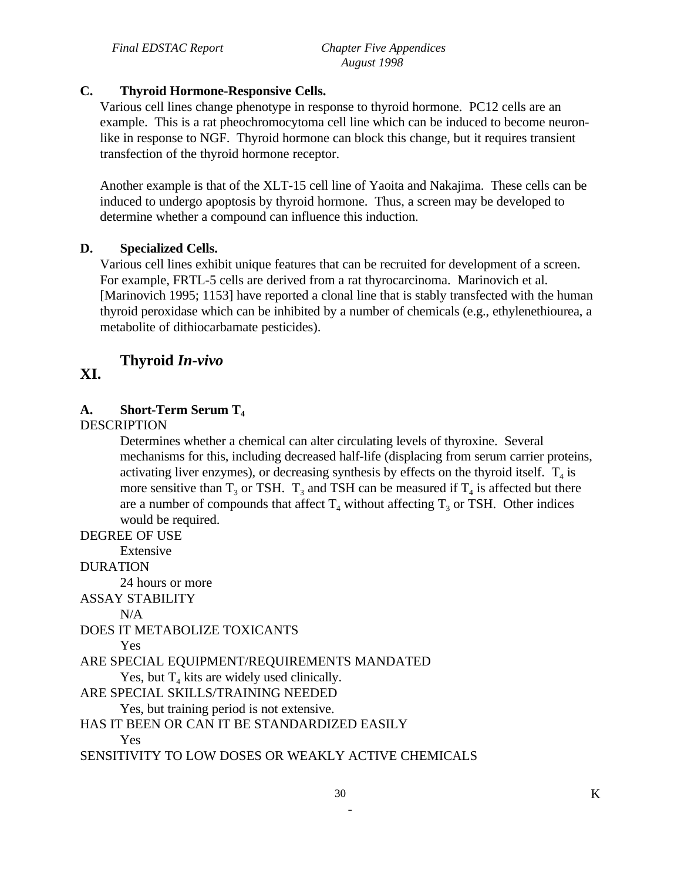# **C. Thyroid Hormone-Responsive Cells.**

Various cell lines change phenotype in response to thyroid hormone. PC12 cells are an example. This is a rat pheochromocytoma cell line which can be induced to become neuronlike in response to NGF. Thyroid hormone can block this change, but it requires transient transfection of the thyroid hormone receptor.

Another example is that of the XLT-15 cell line of Yaoita and Nakajima. These cells can be induced to undergo apoptosis by thyroid hormone. Thus, a screen may be developed to determine whether a compound can influence this induction.

### **D. Specialized Cells.**

Various cell lines exhibit unique features that can be recruited for development of a screen. For example, FRTL-5 cells are derived from a rat thyrocarcinoma. Marinovich et al. [Marinovich 1995; 1153] have reported a clonal line that is stably transfected with the human thyroid peroxidase which can be inhibited by a number of chemicals (e.g., ethylenethiourea, a metabolite of dithiocarbamate pesticides).

# **Thyroid** *In-vivo*

# **XI.**

# **A. Short-Term Serum T4**

**DESCRIPTION** 

Determines whether a chemical can alter circulating levels of thyroxine. Several mechanisms for this, including decreased half-life (displacing from serum carrier proteins, activating liver enzymes), or decreasing synthesis by effects on the thyroid itself.  $T_4$  is more sensitive than  $T_3$  or TSH.  $T_3$  and TSH can be measured if  $T_4$  is affected but there are a number of compounds that affect  $T_4$  without affecting  $T_3$  or TSH. Other indices would be required.

DEGREE OF USE

Extensive

DURATION

24 hours or more

ASSAY STABILITY

 $N/A$ 

DOES IT METABOLIZE TOXICANTS

Yes

ARE SPECIAL EQUIPMENT/REQUIREMENTS MANDATED

Yes, but  $T_4$  kits are widely used clinically.

ARE SPECIAL SKILLS/TRAINING NEEDED

Yes, but training period is not extensive.

HAS IT BEEN OR CAN IT BE STANDARDIZED EASILY

Yes

SENSITIVITY TO LOW DOSES OR WEAKLY ACTIVE CHEMICALS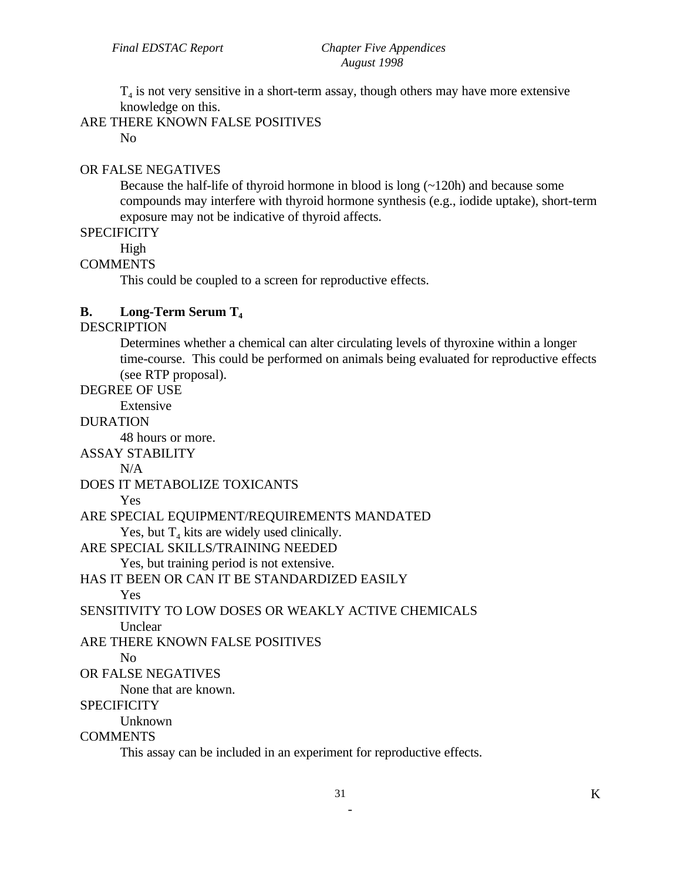$T<sub>4</sub>$  is not very sensitive in a short-term assay, though others may have more extensive knowledge on this.

ARE THERE KNOWN FALSE POSITIVES

No

#### OR FALSE NEGATIVES

Because the half-life of thyroid hormone in blood is long (~120h) and because some compounds may interfere with thyroid hormone synthesis (e.g., iodide uptake), short-term exposure may not be indicative of thyroid affects.

**SPECIFICITY** 

High

# **COMMENTS**

This could be coupled to a screen for reproductive effects.

#### **B. Long-Term Serum T4**

# **DESCRIPTION**

Determines whether a chemical can alter circulating levels of thyroxine within a longer time-course. This could be performed on animals being evaluated for reproductive effects (see RTP proposal).

#### DEGREE OF USE

Extensive

# DURATION

48 hours or more.

ASSAY STABILITY

 $N/A$ 

DOES IT METABOLIZE TOXICANTS

#### Yes

ARE SPECIAL EQUIPMENT/REQUIREMENTS MANDATED

Yes, but  $T_4$  kits are widely used clinically.

ARE SPECIAL SKILLS/TRAINING NEEDED

Yes, but training period is not extensive.

#### HAS IT BEEN OR CAN IT BE STANDARDIZED EASILY

Yes

SENSITIVITY TO LOW DOSES OR WEAKLY ACTIVE CHEMICALS

**Unclear** 

ARE THERE KNOWN FALSE POSITIVES

No

# OR FALSE NEGATIVES

None that are known.

#### **SPECIFICITY**

Unknown

#### **COMMENTS**

This assay can be included in an experiment for reproductive effects.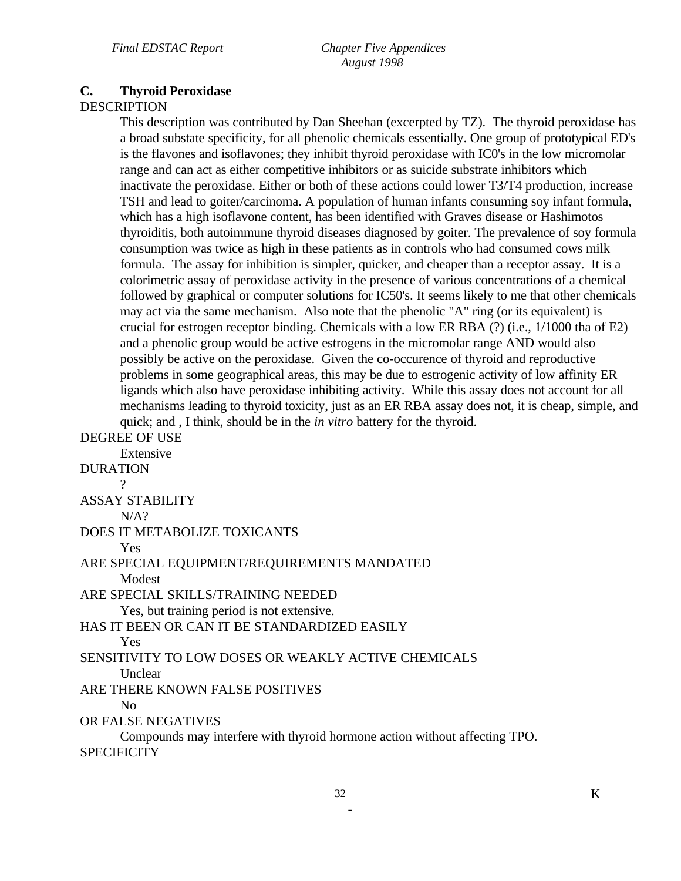*Final EDSTAC Report Chapter Five Appendices August 1998* 

# **C. Thyroid Peroxidase**

# **DESCRIPTION**

This description was contributed by Dan Sheehan (excerpted by TZ). The thyroid peroxidase has a broad substate specificity, for all phenolic chemicals essentially. One group of prototypical ED's is the flavones and isoflavones; they inhibit thyroid peroxidase with IC0's in the low micromolar range and can act as either competitive inhibitors or as suicide substrate inhibitors which inactivate the peroxidase. Either or both of these actions could lower T3/T4 production, increase TSH and lead to goiter/carcinoma. A population of human infants consuming soy infant formula, which has a high isoflavone content, has been identified with Graves disease or Hashimotos thyroiditis, both autoimmune thyroid diseases diagnosed by goiter. The prevalence of soy formula consumption was twice as high in these patients as in controls who had consumed cows milk formula. The assay for inhibition is simpler, quicker, and cheaper than a receptor assay. It is a colorimetric assay of peroxidase activity in the presence of various concentrations of a chemical followed by graphical or computer solutions for IC50's. It seems likely to me that other chemicals may act via the same mechanism. Also note that the phenolic "A" ring (or its equivalent) is crucial for estrogen receptor binding. Chemicals with a low ER RBA (?) (i.e., 1/1000 tha of E2) and a phenolic group would be active estrogens in the micromolar range AND would also possibly be active on the peroxidase. Given the co-occurence of thyroid and reproductive problems in some geographical areas, this may be due to estrogenic activity of low affinity ER ligands which also have peroxidase inhibiting activity. While this assay does not account for all mechanisms leading to thyroid toxicity, just as an ER RBA assay does not, it is cheap, simple, and quick; and , I think, should be in the *in vitro* battery for the thyroid.

DEGREE OF USE Extensive DURATION  $\gamma$ ASSAY STABILITY  $N/A$ ? DOES IT METABOLIZE TOXICANTS Yes ARE SPECIAL EQUIPMENT/REQUIREMENTS MANDATED Modest ARE SPECIAL SKILLS/TRAINING NEEDED Yes, but training period is not extensive. HAS IT BEEN OR CAN IT BE STANDARDIZED EASILY Yes SENSITIVITY TO LOW DOSES OR WEAKLY ACTIVE CHEMICALS **Unclear** ARE THERE KNOWN FALSE POSITIVES No OR FALSE NEGATIVES Compounds may interfere with thyroid hormone action without affecting TPO. **SPECIFICITY**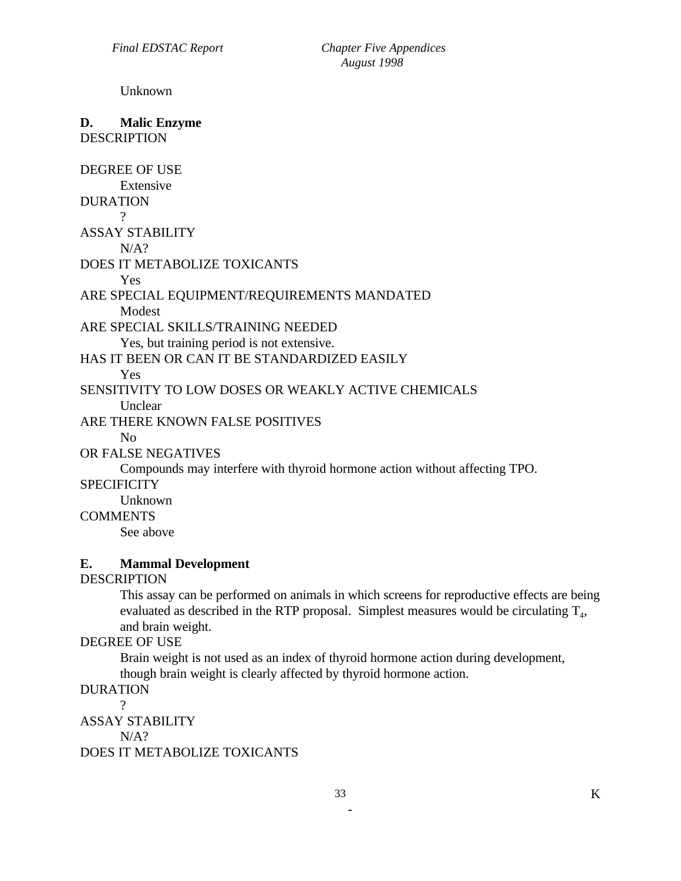Unknown

#### **D. Malic Enzyme**  DESCRIPTION

DEGREE OF USE Extensive DURATION  $\gamma$ ASSAY STABILITY  $N/A$ ? DOES IT METABOLIZE TOXICANTS Yes ARE SPECIAL EQUIPMENT/REQUIREMENTS MANDATED Modest ARE SPECIAL SKILLS/TRAINING NEEDED Yes, but training period is not extensive. HAS IT BEEN OR CAN IT BE STANDARDIZED EASILY Yes SENSITIVITY TO LOW DOSES OR WEAKLY ACTIVE CHEMICALS **Unclear** ARE THERE KNOWN FALSE POSITIVES No OR FALSE NEGATIVES Compounds may interfere with thyroid hormone action without affecting TPO. **SPECIFICITY** Unknown

COMMENTS

See above

# **E. Mammal Development**

#### DESCRIPTION

This assay can be performed on animals in which screens for reproductive effects are being evaluated as described in the RTP proposal. Simplest measures would be circulating  $T_{4}$ , and brain weight.

## DEGREE OF USE

Brain weight is not used as an index of thyroid hormone action during development, though brain weight is clearly affected by thyroid hormone action.

#### DURATION

?

ASSAY STABILITY

 $N/A$ ?

DOES IT METABOLIZE TOXICANTS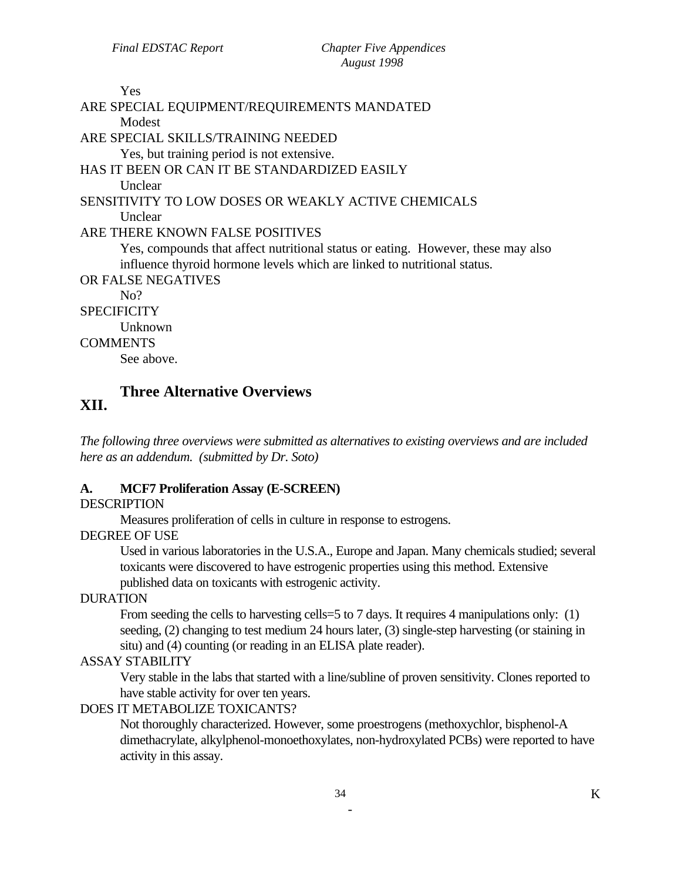# Yes ARE SPECIAL EQUIPMENT/REQUIREMENTS MANDATED Modest ARE SPECIAL SKILLS/TRAINING NEEDED Yes, but training period is not extensive. HAS IT BEEN OR CAN IT BE STANDARDIZED EASILY Unclear SENSITIVITY TO LOW DOSES OR WEAKLY ACTIVE CHEMICALS **Unclear** ARE THERE KNOWN FALSE POSITIVES Yes, compounds that affect nutritional status or eating. However, these may also influence thyroid hormone levels which are linked to nutritional status. OR FALSE NEGATIVES No? **SPECIFICITY** Unknown

# **COMMENTS**

See above.

# **Three Alternative Overviews XII.**

*The following three overviews were submitted as alternatives to existing overviews and are included here as an addendum. (submitted by Dr. Soto)* 

# **A. MCF7 Proliferation Assay (E-SCREEN)**

# **DESCRIPTION**

Measures proliferation of cells in culture in response to estrogens.

# DEGREE OF USE

Used in various laboratories in the U.S.A., Europe and Japan. Many chemicals studied; several toxicants were discovered to have estrogenic properties using this method. Extensive published data on toxicants with estrogenic activity.

# DURATION

From seeding the cells to harvesting cells=5 to 7 days. It requires 4 manipulations only: (1) seeding, (2) changing to test medium 24 hours later, (3) single-step harvesting (or staining in situ) and (4) counting (or reading in an ELISA plate reader).

# ASSAY STABILITY

Very stable in the labs that started with a line/subline of proven sensitivity. Clones reported to have stable activity for over ten years.

# DOES IT METABOLIZE TOXICANTS?

Not thoroughly characterized. However, some proestrogens (methoxychlor, bisphenol-A dimethacrylate, alkylphenol-monoethoxylates, non-hydroxylated PCBs) were reported to have activity in this assay.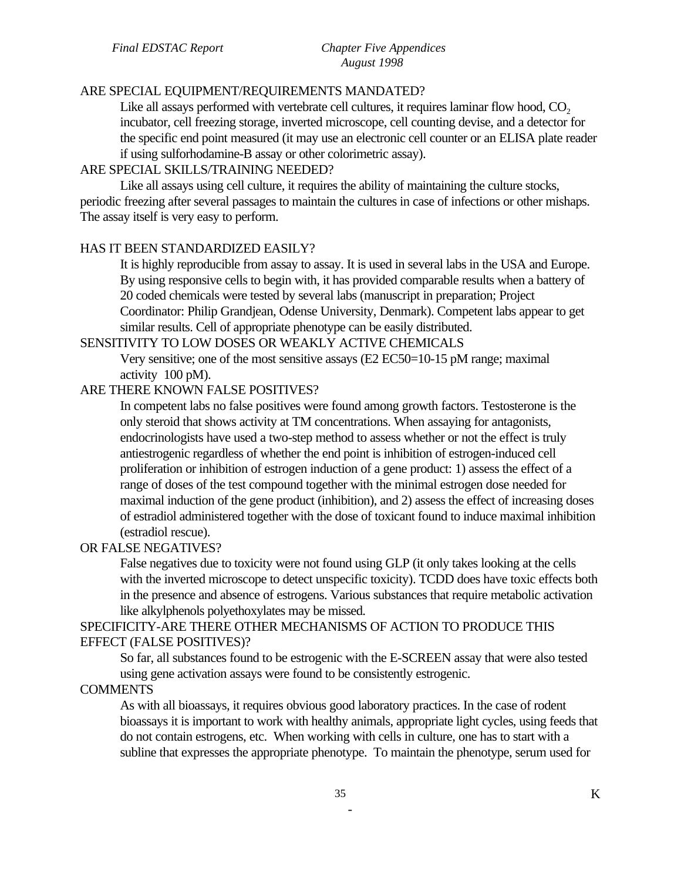#### ARE SPECIAL EQUIPMENT/REQUIREMENTS MANDATED?

Like all assays performed with vertebrate cell cultures, it requires laminar flow hood,  $CO<sub>2</sub>$ incubator, cell freezing storage, inverted microscope, cell counting devise, and a detector for the specific end point measured (it may use an electronic cell counter or an ELISA plate reader if using sulforhodamine-B assay or other colorimetric assay).

### ARE SPECIAL SKILLS/TRAINING NEEDED?

Like all assays using cell culture, it requires the ability of maintaining the culture stocks, periodic freezing after several passages to maintain the cultures in case of infections or other mishaps. The assay itself is very easy to perform.

### HAS IT BEEN STANDARDIZED EASILY?

It is highly reproducible from assay to assay. It is used in several labs in the USA and Europe. By using responsive cells to begin with, it has provided comparable results when a battery of 20 coded chemicals were tested by several labs (manuscript in preparation; Project Coordinator: Philip Grandjean, Odense University, Denmark). Competent labs appear to get similar results. Cell of appropriate phenotype can be easily distributed.

#### SENSITIVITY TO LOW DOSES OR WEAKLY ACTIVE CHEMICALS

Very sensitive; one of the most sensitive assays (E2 EC50=10-15 pM range; maximal activity 100 pM).

# ARE THERE KNOWN FALSE POSITIVES?

In competent labs no false positives were found among growth factors. Testosterone is the only steroid that shows activity at TM concentrations. When assaying for antagonists, endocrinologists have used a two-step method to assess whether or not the effect is truly antiestrogenic regardless of whether the end point is inhibition of estrogen-induced cell proliferation or inhibition of estrogen induction of a gene product: 1) assess the effect of a range of doses of the test compound together with the minimal estrogen dose needed for maximal induction of the gene product (inhibition), and 2) assess the effect of increasing doses of estradiol administered together with the dose of toxicant found to induce maximal inhibition (estradiol rescue).

# OR FALSE NEGATIVES?

False negatives due to toxicity were not found using GLP (it only takes looking at the cells with the inverted microscope to detect unspecific toxicity). TCDD does have toxic effects both in the presence and absence of estrogens. Various substances that require metabolic activation like alkylphenols polyethoxylates may be missed.

# SPECIFICITY-ARE THERE OTHER MECHANISMS OF ACTION TO PRODUCE THIS EFFECT (FALSE POSITIVES)?

So far, all substances found to be estrogenic with the E-SCREEN assay that were also tested using gene activation assays were found to be consistently estrogenic.

#### **COMMENTS**

As with all bioassays, it requires obvious good laboratory practices. In the case of rodent bioassays it is important to work with healthy animals, appropriate light cycles, using feeds that do not contain estrogens, etc. When working with cells in culture, one has to start with a subline that expresses the appropriate phenotype. To maintain the phenotype, serum used for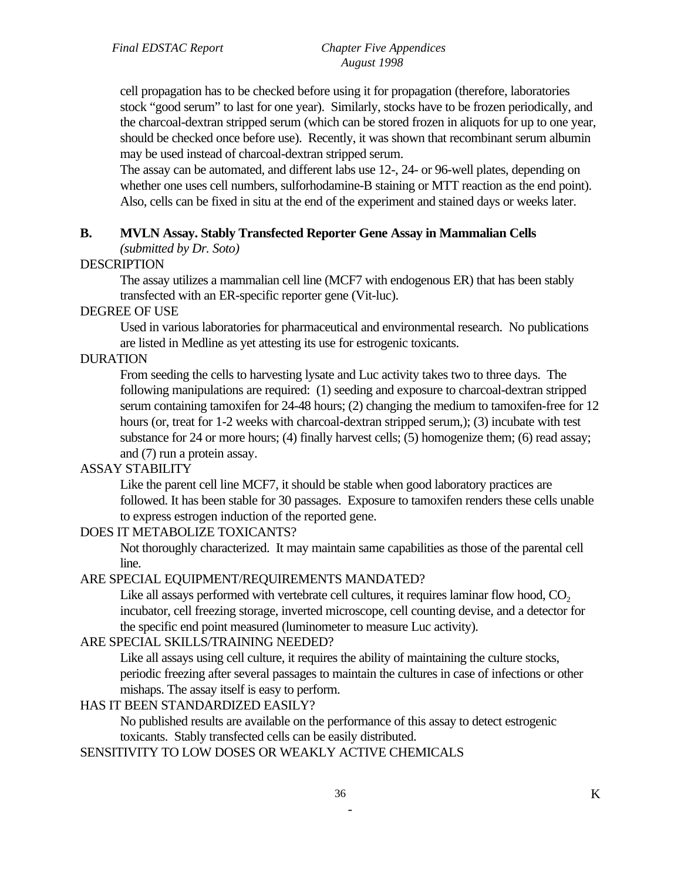cell propagation has to be checked before using it for propagation (therefore, laboratories stock "good serum" to last for one year). Similarly, stocks have to be frozen periodically, and the charcoal-dextran stripped serum (which can be stored frozen in aliquots for up to one year, should be checked once before use). Recently, it was shown that recombinant serum albumin may be used instead of charcoal-dextran stripped serum.

The assay can be automated, and different labs use 12-, 24- or 96-well plates, depending on whether one uses cell numbers, sulforhodamine-B staining or MTT reaction as the end point). Also, cells can be fixed in situ at the end of the experiment and stained days or weeks later.

### **B. MVLN Assay. Stably Transfected Reporter Gene Assay in Mammalian Cells**

*(submitted by Dr. Soto)* 

#### **DESCRIPTION**

The assay utilizes a mammalian cell line (MCF7 with endogenous ER) that has been stably transfected with an ER-specific reporter gene (Vit-luc).

#### DEGREE OF USE

Used in various laboratories for pharmaceutical and environmental research. No publications are listed in Medline as yet attesting its use for estrogenic toxicants.

#### DURATION

From seeding the cells to harvesting lysate and Luc activity takes two to three days. The following manipulations are required: (1) seeding and exposure to charcoal-dextran stripped serum containing tamoxifen for 24-48 hours; (2) changing the medium to tamoxifen-free for 12 hours (or, treat for 1-2 weeks with charcoal-dextran stripped serum,); (3) incubate with test substance for 24 or more hours; (4) finally harvest cells; (5) homogenize them; (6) read assay; and (7) run a protein assay.

#### ASSAY STABILITY

Like the parent cell line MCF7, it should be stable when good laboratory practices are followed. It has been stable for 30 passages. Exposure to tamoxifen renders these cells unable to express estrogen induction of the reported gene.

## DOES IT METABOLIZE TOXICANTS?

Not thoroughly characterized. It may maintain same capabilities as those of the parental cell line.

#### ARE SPECIAL EQUIPMENT/REQUIREMENTS MANDATED?

Like all assays performed with vertebrate cell cultures, it requires laminar flow hood,  $CO<sub>2</sub>$ incubator, cell freezing storage, inverted microscope, cell counting devise, and a detector for the specific end point measured (luminometer to measure Luc activity).

## ARE SPECIAL SKILLS/TRAINING NEEDED?

Like all assays using cell culture, it requires the ability of maintaining the culture stocks, periodic freezing after several passages to maintain the cultures in case of infections or other mishaps. The assay itself is easy to perform.

#### HAS IT BEEN STANDARDIZED EASILY?

No published results are available on the performance of this assay to detect estrogenic toxicants. Stably transfected cells can be easily distributed.

## SENSITIVITY TO LOW DOSES OR WEAKLY ACTIVE CHEMICALS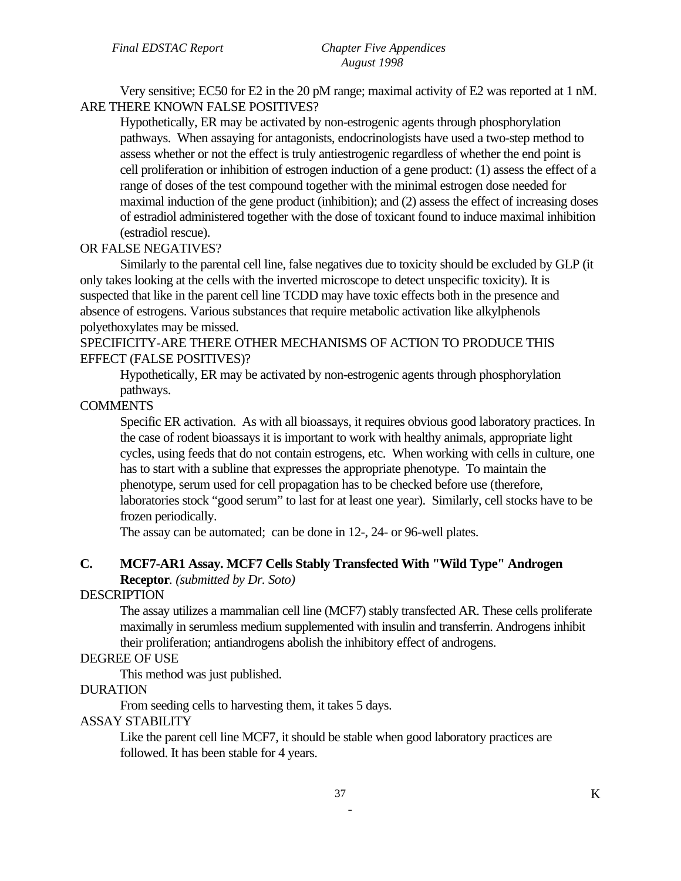Very sensitive; EC50 for E2 in the 20 pM range; maximal activity of E2 was reported at 1 nM. ARE THERE KNOWN FALSE POSITIVES?

Hypothetically, ER may be activated by non-estrogenic agents through phosphorylation pathways. When assaying for antagonists, endocrinologists have used a two-step method to assess whether or not the effect is truly antiestrogenic regardless of whether the end point is cell proliferation or inhibition of estrogen induction of a gene product: (1) assess the effect of a range of doses of the test compound together with the minimal estrogen dose needed for maximal induction of the gene product (inhibition); and (2) assess the effect of increasing doses of estradiol administered together with the dose of toxicant found to induce maximal inhibition (estradiol rescue).

### OR FALSE NEGATIVES?

Similarly to the parental cell line, false negatives due to toxicity should be excluded by GLP (it only takes looking at the cells with the inverted microscope to detect unspecific toxicity). It is suspected that like in the parent cell line TCDD may have toxic effects both in the presence and absence of estrogens. Various substances that require metabolic activation like alkylphenols polyethoxylates may be missed.

#### SPECIFICITY-ARE THERE OTHER MECHANISMS OF ACTION TO PRODUCE THIS EFFECT (FALSE POSITIVES)?

Hypothetically, ER may be activated by non-estrogenic agents through phosphorylation pathways.

### **COMMENTS**

Specific ER activation. As with all bioassays, it requires obvious good laboratory practices. In the case of rodent bioassays it is important to work with healthy animals, appropriate light cycles, using feeds that do not contain estrogens, etc. When working with cells in culture, one has to start with a subline that expresses the appropriate phenotype. To maintain the phenotype, serum used for cell propagation has to be checked before use (therefore, laboratories stock "good serum" to last for at least one year). Similarly, cell stocks have to be frozen periodically.

The assay can be automated; can be done in 12-, 24- or 96-well plates.

### **C. MCF7-AR1 Assay. MCF7 Cells Stably Transfected With "Wild Type" Androgen Receptor***. (submitted by Dr. Soto)*

#### **DESCRIPTION**

The assay utilizes a mammalian cell line (MCF7) stably transfected AR. These cells proliferate maximally in serumless medium supplemented with insulin and transferrin. Androgens inhibit their proliferation; antiandrogens abolish the inhibitory effect of androgens.

#### DEGREE OF USE

This method was just published.

#### DURATION

From seeding cells to harvesting them, it takes 5 days.

#### ASSAY STABILITY

Like the parent cell line MCF7, it should be stable when good laboratory practices are followed. It has been stable for 4 years.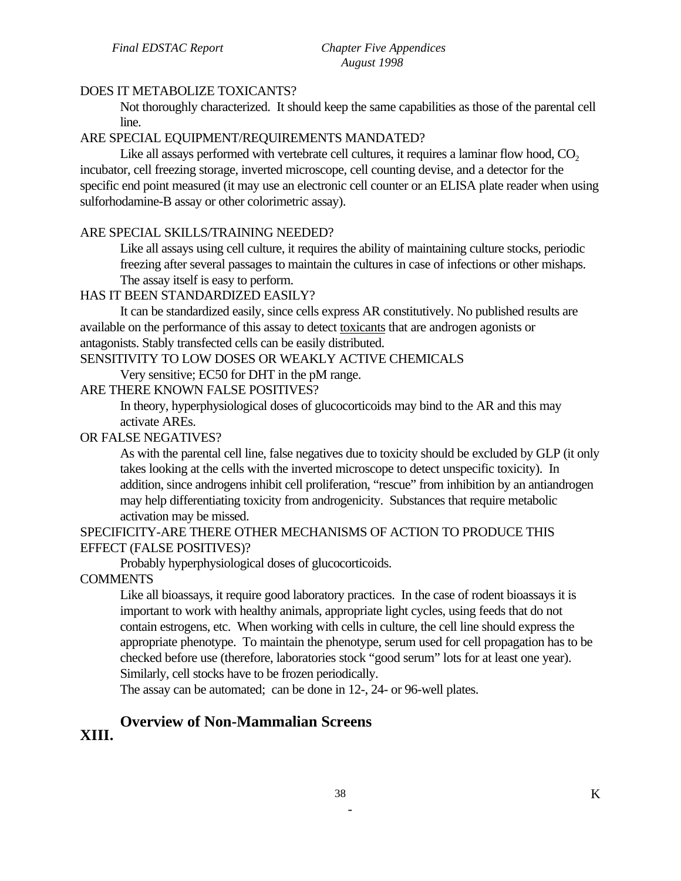# DOES IT METABOLIZE TOXICANTS?

Not thoroughly characterized. It should keep the same capabilities as those of the parental cell line.

# ARE SPECIAL EQUIPMENT/REQUIREMENTS MANDATED?

Like all assays performed with vertebrate cell cultures, it requires a laminar flow hood,  $CO<sub>2</sub>$ incubator, cell freezing storage, inverted microscope, cell counting devise, and a detector for the specific end point measured (it may use an electronic cell counter or an ELISA plate reader when using sulforhodamine-B assay or other colorimetric assay).

# ARE SPECIAL SKILLS/TRAINING NEEDED?

Like all assays using cell culture, it requires the ability of maintaining culture stocks, periodic freezing after several passages to maintain the cultures in case of infections or other mishaps. The assay itself is easy to perform.

# HAS IT BEEN STANDARDIZED EASILY?

It can be standardized easily, since cells express AR constitutively. No published results are available on the performance of this assay to detect toxicants that are androgen agonists or antagonists. Stably transfected cells can be easily distributed.

### SENSITIVITY TO LOW DOSES OR WEAKLY ACTIVE CHEMICALS

Very sensitive; EC50 for DHT in the pM range.

### ARE THERE KNOWN FALSE POSITIVES?

In theory, hyperphysiological doses of glucocorticoids may bind to the AR and this may activate AREs.

# OR FALSE NEGATIVES?

As with the parental cell line, false negatives due to toxicity should be excluded by GLP (it only takes looking at the cells with the inverted microscope to detect unspecific toxicity). In addition, since androgens inhibit cell proliferation, "rescue" from inhibition by an antiandrogen may help differentiating toxicity from androgenicity. Substances that require metabolic activation may be missed.

# SPECIFICITY-ARE THERE OTHER MECHANISMS OF ACTION TO PRODUCE THIS EFFECT (FALSE POSITIVES)?

Probably hyperphysiological doses of glucocorticoids.

# **COMMENTS**

Like all bioassays, it require good laboratory practices. In the case of rodent bioassays it is important to work with healthy animals, appropriate light cycles, using feeds that do not contain estrogens, etc. When working with cells in culture, the cell line should express the appropriate phenotype. To maintain the phenotype, serum used for cell propagation has to be checked before use (therefore, laboratories stock "good serum" lots for at least one year). Similarly, cell stocks have to be frozen periodically.

The assay can be automated; can be done in 12-, 24- or 96-well plates.

### **Overview of Non-Mammalian Screens XIII.**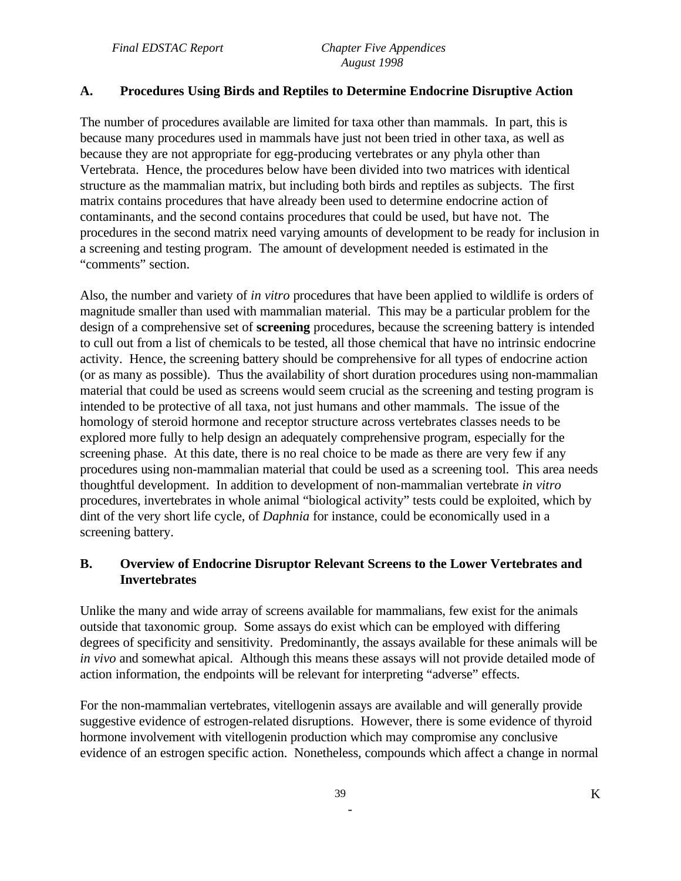# **A. Procedures Using Birds and Reptiles to Determine Endocrine Disruptive Action**

The number of procedures available are limited for taxa other than mammals. In part, this is because many procedures used in mammals have just not been tried in other taxa, as well as because they are not appropriate for egg-producing vertebrates or any phyla other than Vertebrata. Hence, the procedures below have been divided into two matrices with identical structure as the mammalian matrix, but including both birds and reptiles as subjects. The first matrix contains procedures that have already been used to determine endocrine action of contaminants, and the second contains procedures that could be used, but have not. The procedures in the second matrix need varying amounts of development to be ready for inclusion in a screening and testing program. The amount of development needed is estimated in the "comments" section.

Also, the number and variety of *in vitro* procedures that have been applied to wildlife is orders of magnitude smaller than used with mammalian material. This may be a particular problem for the design of a comprehensive set of **screening** procedures, because the screening battery is intended to cull out from a list of chemicals to be tested, all those chemical that have no intrinsic endocrine activity. Hence, the screening battery should be comprehensive for all types of endocrine action (or as many as possible). Thus the availability of short duration procedures using non-mammalian material that could be used as screens would seem crucial as the screening and testing program is intended to be protective of all taxa, not just humans and other mammals. The issue of the homology of steroid hormone and receptor structure across vertebrates classes needs to be explored more fully to help design an adequately comprehensive program, especially for the screening phase. At this date, there is no real choice to be made as there are very few if any procedures using non-mammalian material that could be used as a screening tool. This area needs thoughtful development. In addition to development of non-mammalian vertebrate *in vitro*  procedures, invertebrates in whole animal "biological activity" tests could be exploited, which by dint of the very short life cycle, of *Daphnia* for instance, could be economically used in a screening battery.

# **B. Overview of Endocrine Disruptor Relevant Screens to the Lower Vertebrates and Invertebrates**

Unlike the many and wide array of screens available for mammalians, few exist for the animals outside that taxonomic group. Some assays do exist which can be employed with differing degrees of specificity and sensitivity. Predominantly, the assays available for these animals will be *in vivo* and somewhat apical. Although this means these assays will not provide detailed mode of action information, the endpoints will be relevant for interpreting "adverse" effects.

For the non-mammalian vertebrates, vitellogenin assays are available and will generally provide suggestive evidence of estrogen-related disruptions. However, there is some evidence of thyroid hormone involvement with vitellogenin production which may compromise any conclusive evidence of an estrogen specific action. Nonetheless, compounds which affect a change in normal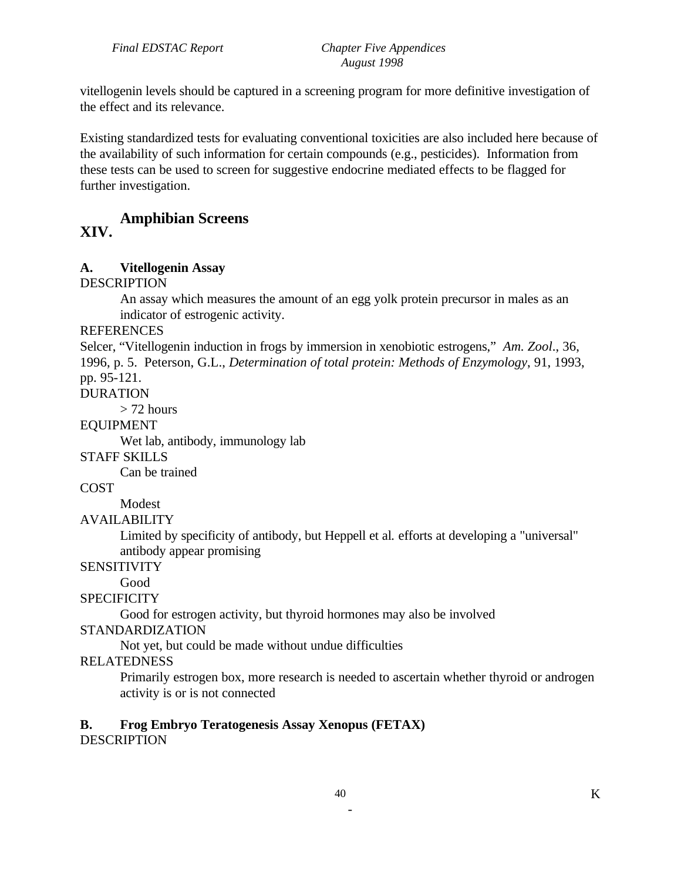vitellogenin levels should be captured in a screening program for more definitive investigation of the effect and its relevance.

Existing standardized tests for evaluating conventional toxicities are also included here because of the availability of such information for certain compounds (e.g., pesticides). Information from these tests can be used to screen for suggestive endocrine mediated effects to be flagged for further investigation.

# **XIV. Amphibian Screens**

#### **A. Vitellogenin Assay**

DESCRIPTION

An assay which measures the amount of an egg yolk protein precursor in males as an indicator of estrogenic activity.

**REFERENCES** 

Selcer, "Vitellogenin induction in frogs by immersion in xenobiotic estrogens," *Am. Zool*., 36, 1996, p. 5. Peterson, G.L., *Determination of total protein: Methods of Enzymology*, 91, 1993, pp. 95-121.

DURATION

 $>$  72 hours

EQUIPMENT

Wet lab, antibody, immunology lab

STAFF SKILLS

Can be trained

# **COST**

Modest

#### AVAILABILITY

Limited by specificity of antibody, but Heppell et al*.* efforts at developing a "universal" antibody appear promising

**SENSITIVITY** 

Good

**SPECIFICITY** 

Good for estrogen activity, but thyroid hormones may also be involved

#### STANDARDIZATION

Not yet, but could be made without undue difficulties

#### RELATEDNESS

Primarily estrogen box, more research is needed to ascertain whether thyroid or androgen activity is or is not connected

#### **B. Frog Embryo Teratogenesis Assay Xenopus (FETAX) DESCRIPTION**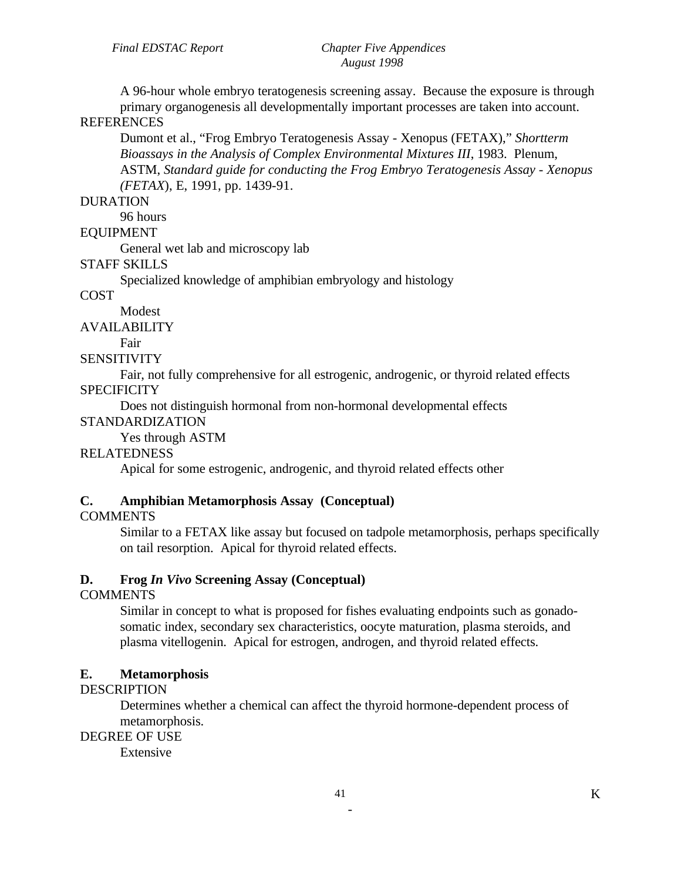A 96-hour whole embryo teratogenesis screening assay. Because the exposure is through primary organogenesis all developmentally important processes are taken into account.

# **REFERENCES**

Dumont et al., "Frog Embryo Teratogenesis Assay - Xenopus (FETAX)," *Shortterm Bioassays in the Analysis of Complex Environmental Mixtures III*, 1983. Plenum, ASTM, *Standard guide for conducting the Frog Embryo Teratogenesis Assay - Xenopus (FETAX*), E, 1991, pp. 1439-91.

### DURATION

96 hours

# EQUIPMENT

General wet lab and microscopy lab

### STAFF SKILLS

Specialized knowledge of amphibian embryology and histology

### **COST**

Modest

AVAILABILITY

# Fair

### **SENSITIVITY**

Fair, not fully comprehensive for all estrogenic, androgenic, or thyroid related effects

### **SPECIFICITY**

Does not distinguish hormonal from non-hormonal developmental effects

# STANDARDIZATION

Yes through ASTM

# RELATEDNESS

Apical for some estrogenic, androgenic, and thyroid related effects other

# **C. Amphibian Metamorphosis Assay (Conceptual)**

# **COMMENTS**

Similar to a FETAX like assay but focused on tadpole metamorphosis, perhaps specifically on tail resorption. Apical for thyroid related effects.

# **D. Frog** *In Vivo* **Screening Assay (Conceptual)**

# **COMMENTS**

Similar in concept to what is proposed for fishes evaluating endpoints such as gonadosomatic index, secondary sex characteristics, oocyte maturation, plasma steroids, and plasma vitellogenin. Apical for estrogen, androgen, and thyroid related effects.

# **E. Metamorphosis**

# **DESCRIPTION**

Determines whether a chemical can affect the thyroid hormone-dependent process of metamorphosis.

# DEGREE OF USE

Extensive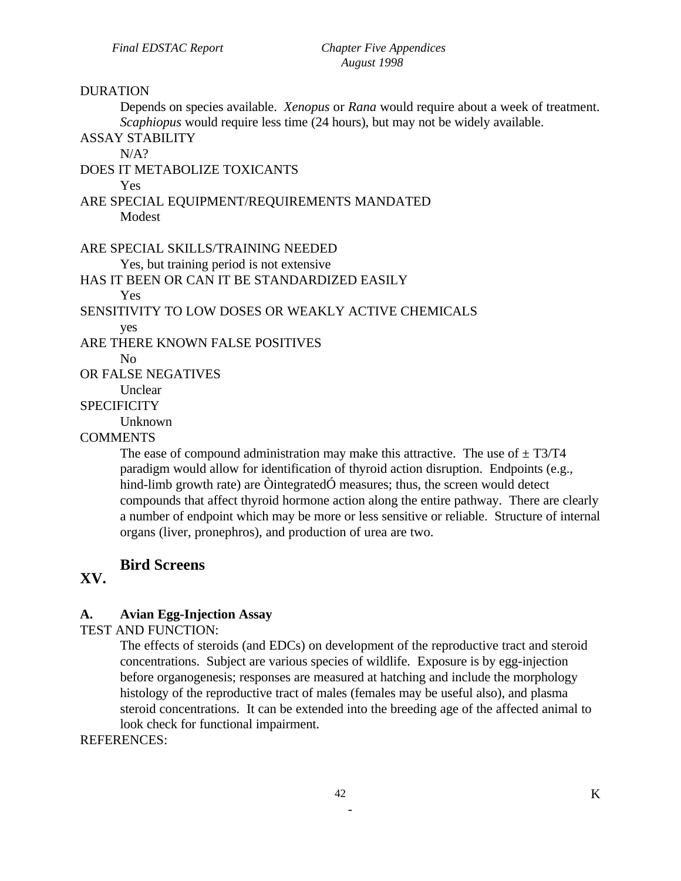#### DURATION

Depends on species available. *Xenopus* or *Rana* would require about a week of treatment. *Scaphiopus* would require less time (24 hours), but may not be widely available.

ASSAY STABILITY  $N/A$ ?

DOES IT METABOLIZE TOXICANTS Yes ARE SPECIAL EQUIPMENT/REQUIREMENTS MANDATED Modest

ARE SPECIAL SKILLS/TRAINING NEEDED

Yes, but training period is not extensive

HAS IT BEEN OR CAN IT BE STANDARDIZED EASILY

Yes

SENSITIVITY TO LOW DOSES OR WEAKLY ACTIVE CHEMICALS

yes

ARE THERE KNOWN FALSE POSITIVES

 $N_{\Omega}$ 

OR FALSE NEGATIVES

**Unclear** 

#### **SPECIFICITY**

Unknown

#### COMMENTS

The ease of compound administration may make this attractive. The use of  $\pm$  T3/T4 paradigm would allow for identification of thyroid action disruption. Endpoints (e.g., hind-limb growth rate) are OintegratedÓ measures; thus, the screen would detect compounds that affect thyroid hormone action along the entire pathway. There are clearly a number of endpoint which may be more or less sensitive or reliable. Structure of internal organs (liver, pronephros), and production of urea are two.

# **Bird Screens**

# **XV.**

#### **A. Avian Egg-Injection Assay**

TEST AND FUNCTION:

The effects of steroids (and EDCs) on development of the reproductive tract and steroid concentrations. Subject are various species of wildlife. Exposure is by egg-injection before organogenesis; responses are measured at hatching and include the morphology histology of the reproductive tract of males (females may be useful also), and plasma steroid concentrations. It can be extended into the breeding age of the affected animal to look check for functional impairment.

REFERENCES: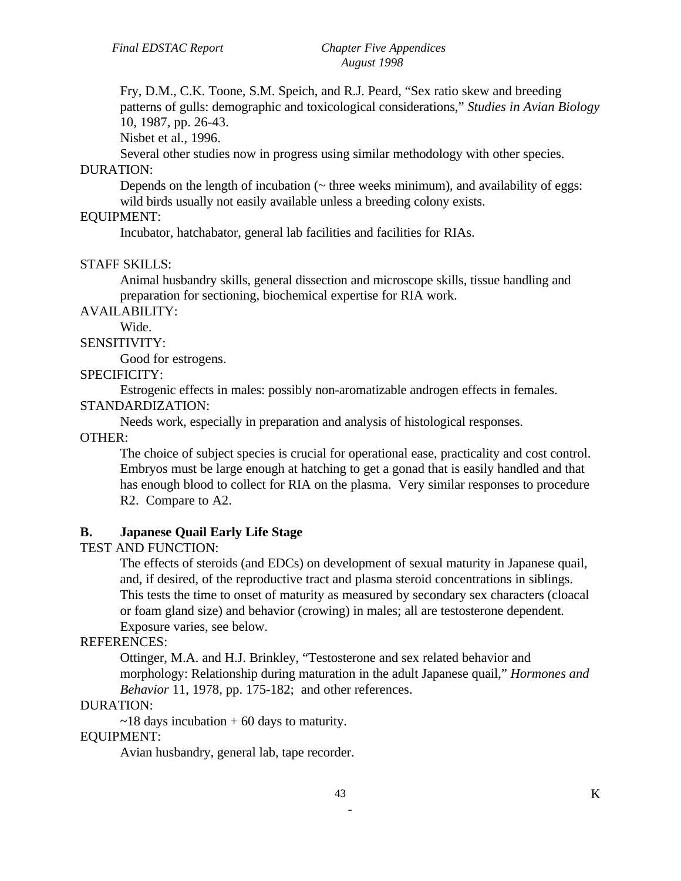Fry, D.M., C.K. Toone, S.M. Speich, and R.J. Peard, "Sex ratio skew and breeding patterns of gulls: demographic and toxicological considerations," *Studies in Avian Biology* 10, 1987, pp. 26-43.

Nisbet et al., 1996.

Several other studies now in progress using similar methodology with other species.

#### DURATION:

Depends on the length of incubation  $(\sim$  three weeks minimum), and availability of eggs: wild birds usually not easily available unless a breeding colony exists.

# EQUIPMENT:

Incubator, hatchabator, general lab facilities and facilities for RIAs.

#### STAFF SKILLS:

Animal husbandry skills, general dissection and microscope skills, tissue handling and preparation for sectioning, biochemical expertise for RIA work.

AVAILABILITY:

# Wide.

SENSITIVITY:

Good for estrogens.

#### SPECIFICITY:

Estrogenic effects in males: possibly non-aromatizable androgen effects in females.

#### STANDARDIZATION:

Needs work, especially in preparation and analysis of histological responses.

OTHER:

The choice of subject species is crucial for operational ease, practicality and cost control. Embryos must be large enough at hatching to get a gonad that is easily handled and that has enough blood to collect for RIA on the plasma. Very similar responses to procedure R2. Compare to A2.

#### **B. Japanese Quail Early Life Stage**

TEST AND FUNCTION:

The effects of steroids (and EDCs) on development of sexual maturity in Japanese quail, and, if desired, of the reproductive tract and plasma steroid concentrations in siblings. This tests the time to onset of maturity as measured by secondary sex characters (cloacal or foam gland size) and behavior (crowing) in males; all are testosterone dependent. Exposure varies, see below.

#### REFERENCES:

Ottinger, M.A. and H.J. Brinkley, "Testosterone and sex related behavior and morphology: Relationship during maturation in the adult Japanese quail," *Hormones and Behavior* 11, 1978, pp. 175-182; and other references.

#### DURATION:

 $\sim$ 18 days incubation + 60 days to maturity.

#### EQUIPMENT:

Avian husbandry, general lab, tape recorder.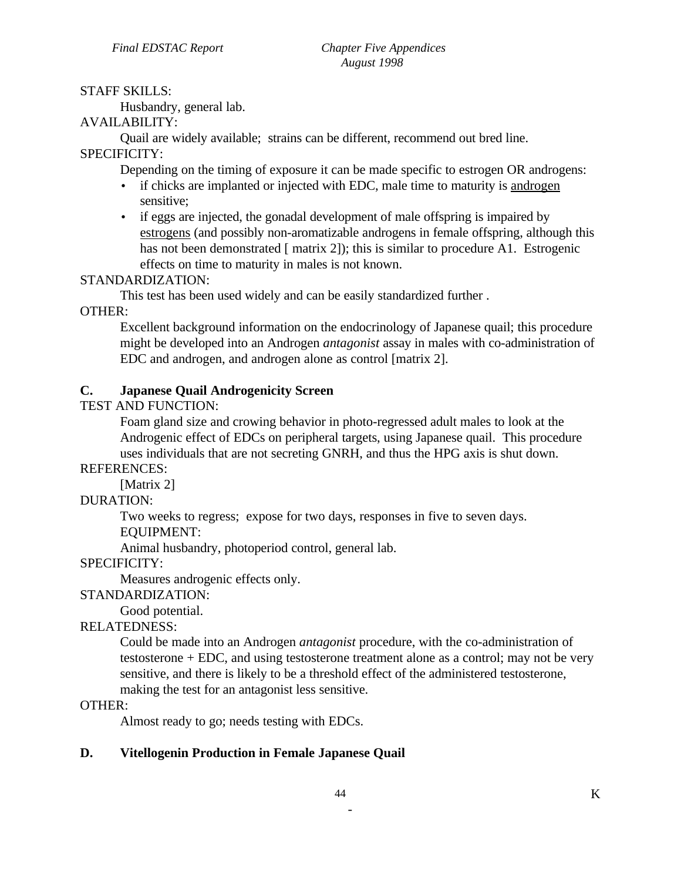# STAFF SKILLS:

Husbandry, general lab.

# AVAILABILITY:

Quail are widely available; strains can be different, recommend out bred line.

# SPECIFICITY:

Depending on the timing of exposure it can be made specific to estrogen OR androgens:

- if chicks are implanted or injected with EDC, male time to maturity is androgen sensitive;
- if eggs are injected, the gonadal development of male offspring is impaired by estrogens (and possibly non-aromatizable androgens in female offspring, although this has not been demonstrated [ matrix 2]); this is similar to procedure A1. Estrogenic effects on time to maturity in males is not known.

# STANDARDIZATION:

This test has been used widely and can be easily standardized further .

### OTHER:

Excellent background information on the endocrinology of Japanese quail; this procedure might be developed into an Androgen *antagonist* assay in males with co-administration of EDC and androgen, and androgen alone as control [matrix 2].

# **C. Japanese Quail Androgenicity Screen**

TEST AND FUNCTION:

Foam gland size and crowing behavior in photo-regressed adult males to look at the Androgenic effect of EDCs on peripheral targets, using Japanese quail. This procedure uses individuals that are not secreting GNRH, and thus the HPG axis is shut down.

REFERENCES:

[Matrix 2]

# DURATION:

Two weeks to regress; expose for two days, responses in five to seven days.

EQUIPMENT:

Animal husbandry, photoperiod control, general lab.

# SPECIFICITY:

Measures androgenic effects only.

# STANDARDIZATION:

Good potential.

# RELATEDNESS:

Could be made into an Androgen *antagonist* procedure, with the co-administration of testosterone + EDC, and using testosterone treatment alone as a control; may not be very sensitive, and there is likely to be a threshold effect of the administered testosterone, making the test for an antagonist less sensitive.

#### OTHER:

Almost ready to go; needs testing with EDCs.

# **D. Vitellogenin Production in Female Japanese Quail**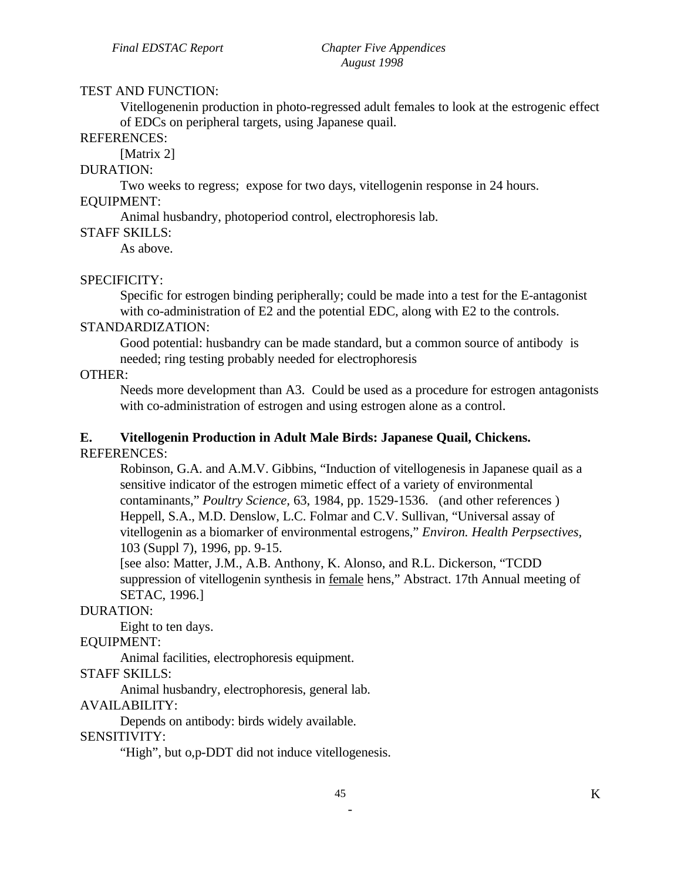#### TEST AND FUNCTION:

Vitellogenenin production in photo-regressed adult females to look at the estrogenic effect of EDCs on peripheral targets, using Japanese quail.

#### REFERENCES:

[Matrix 2]

# DURATION:

Two weeks to regress; expose for two days, vitellogenin response in 24 hours. EQUIPMENT:

Animal husbandry, photoperiod control, electrophoresis lab.

#### STAFF SKILLS:

As above.

#### SPECIFICITY:

Specific for estrogen binding peripherally; could be made into a test for the E-antagonist with co-administration of E2 and the potential EDC, along with E2 to the controls.

#### STANDARDIZATION:

Good potential: husbandry can be made standard, but a common source of antibody is needed; ring testing probably needed for electrophoresis

# OTHER:

Needs more development than A3. Could be used as a procedure for estrogen antagonists with co-administration of estrogen and using estrogen alone as a control.

#### **E. Vitellogenin Production in Adult Male Birds: Japanese Quail, Chickens.**  REFERENCES:

Robinson, G.A. and A.M.V. Gibbins, "Induction of vitellogenesis in Japanese quail as a sensitive indicator of the estrogen mimetic effect of a variety of environmental contaminants," *Poultry Science,* 63, 1984, pp. 1529-1536. (and other references ) Heppell, S.A., M.D. Denslow, L.C. Folmar and C.V. Sullivan, "Universal assay of vitellogenin as a biomarker of environmental estrogens," *Environ. Health Perpsectives,*  103 (Suppl 7), 1996, pp. 9-15.

[see also: Matter, J.M., A.B. Anthony, K. Alonso, and R.L. Dickerson, "TCDD suppression of vitellogenin synthesis in female hens," Abstract. 17th Annual meeting of SETAC, 1996.]

#### DURATION:

Eight to ten days.

## EQUIPMENT:

Animal facilities, electrophoresis equipment.

STAFF SKILLS:

Animal husbandry, electrophoresis, general lab.

#### AVAILABILITY:

Depends on antibody: birds widely available.

#### SENSITIVITY:

"High", but o,p-DDT did not induce vitellogenesis.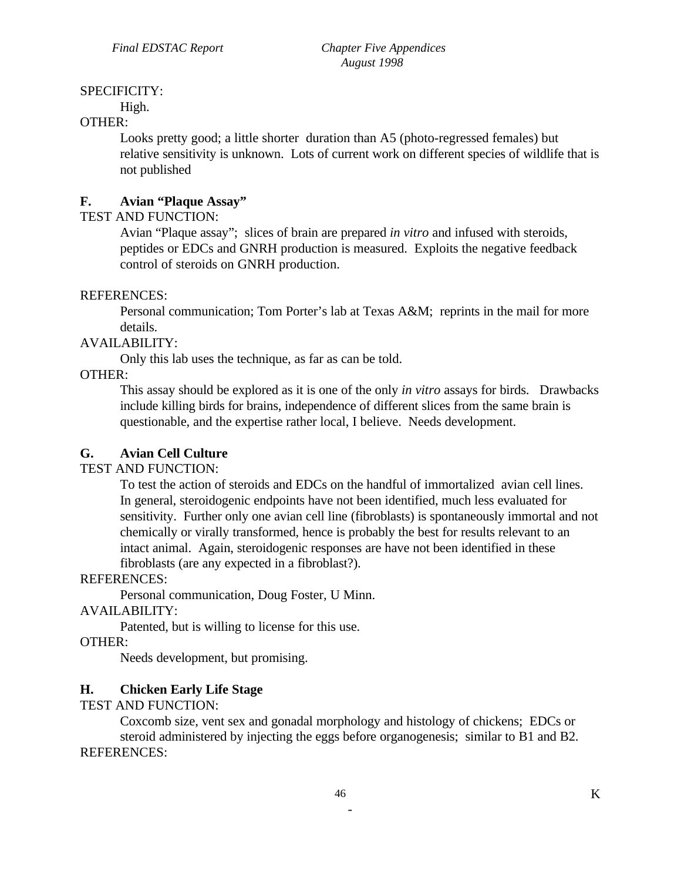# SPECIFICITY:

High.

#### OTHER:

Looks pretty good; a little shorter duration than A5 (photo-regressed females) but relative sensitivity is unknown. Lots of current work on different species of wildlife that is not published

# **F. Avian "Plaque Assay"**

# TEST AND FUNCTION:

Avian "Plaque assay"; slices of brain are prepared *in vitro* and infused with steroids, peptides or EDCs and GNRH production is measured. Exploits the negative feedback control of steroids on GNRH production.

### REFERENCES:

Personal communication; Tom Porter's lab at Texas A&M; reprints in the mail for more details.

### AVAILABILITY:

Only this lab uses the technique, as far as can be told.

### OTHER:

This assay should be explored as it is one of the only *in vitro* assays for birds. Drawbacks include killing birds for brains, independence of different slices from the same brain is questionable, and the expertise rather local, I believe. Needs development.

# **G. Avian Cell Culture**

# TEST AND FUNCTION:

To test the action of steroids and EDCs on the handful of immortalized avian cell lines. In general, steroidogenic endpoints have not been identified, much less evaluated for sensitivity. Further only one avian cell line (fibroblasts) is spontaneously immortal and not chemically or virally transformed, hence is probably the best for results relevant to an intact animal. Again, steroidogenic responses are have not been identified in these fibroblasts (are any expected in a fibroblast?).

#### REFERENCES:

Personal communication, Doug Foster, U Minn.

#### AVAILABILITY:

Patented, but is willing to license for this use.

# OTHER:

Needs development, but promising.

# **H. Chicken Early Life Stage**

#### TEST AND FUNCTION:

Coxcomb size, vent sex and gonadal morphology and histology of chickens; EDCs or steroid administered by injecting the eggs before organogenesis; similar to B1 and B2. REFERENCES: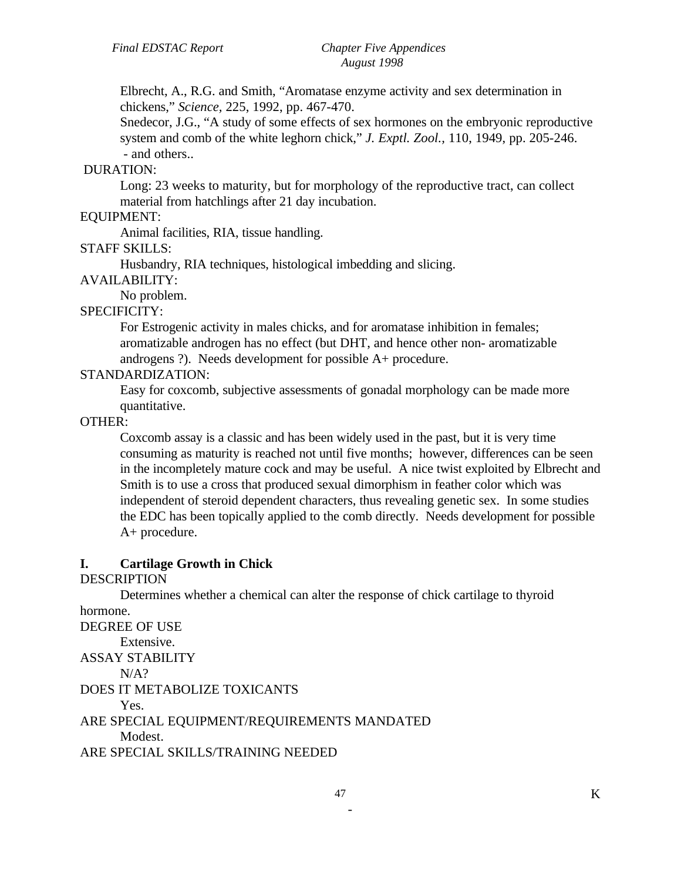Elbrecht, A., R.G. and Smith, "Aromatase enzyme activity and sex determination in chickens," *Science,* 225, 1992, pp. 467-470.

Snedecor, J.G., "A study of some effects of sex hormones on the embryonic reproductive system and comb of the white leghorn chick," *J. Exptl. Zool.,* 110, 1949, pp. 205-246. - and others..

#### DURATION:

Long: 23 weeks to maturity, but for morphology of the reproductive tract, can collect material from hatchlings after 21 day incubation.

#### EQUIPMENT:

Animal facilities, RIA, tissue handling.

# STAFF SKILLS:

Husbandry, RIA techniques, histological imbedding and slicing.

#### AVAILABILITY:

No problem.

#### SPECIFICITY:

For Estrogenic activity in males chicks, and for aromatase inhibition in females; aromatizable androgen has no effect (but DHT, and hence other non- aromatizable androgens ?). Needs development for possible A+ procedure.

#### STANDARDIZATION:

Easy for coxcomb, subjective assessments of gonadal morphology can be made more quantitative.

#### OTHER:

Coxcomb assay is a classic and has been widely used in the past, but it is very time consuming as maturity is reached not until five months; however, differences can be seen in the incompletely mature cock and may be useful. A nice twist exploited by Elbrecht and Smith is to use a cross that produced sexual dimorphism in feather color which was independent of steroid dependent characters, thus revealing genetic sex. In some studies the EDC has been topically applied to the comb directly. Needs development for possible A+ procedure.

#### **I. Cartilage Growth in Chick**

#### DESCRIPTION

Determines whether a chemical can alter the response of chick cartilage to thyroid hormone. DEGREE OF USE

Extensive. ASSAY STABILITY  $N/A$ ? DOES IT METABOLIZE TOXICANTS Yes. ARE SPECIAL EQUIPMENT/REQUIREMENTS MANDATED **Modest** ARE SPECIAL SKILLS/TRAINING NEEDED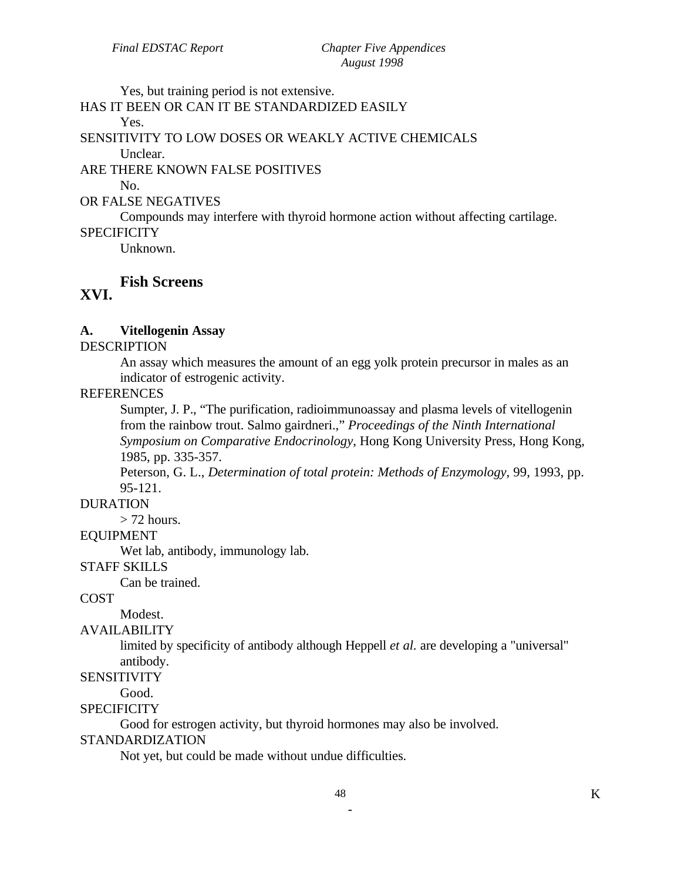Yes, but training period is not extensive.

#### HAS IT BEEN OR CAN IT BE STANDARDIZED EASILY Yes.

SENSITIVITY TO LOW DOSES OR WEAKLY ACTIVE CHEMICALS

Unclear.

ARE THERE KNOWN FALSE POSITIVES

No.

#### OR FALSE NEGATIVES

Compounds may interfere with thyroid hormone action without affecting cartilage.

# **SPECIFICITY**

Unknown.

#### **Fish Screens XVI.**

# **A. Vitellogenin Assay**

#### DESCRIPTION

An assay which measures the amount of an egg yolk protein precursor in males as an indicator of estrogenic activity.

### **REFERENCES**

Sumpter, J. P., "The purification, radioimmunoassay and plasma levels of vitellogenin from the rainbow trout. Salmo gairdneri.," *Proceedings of the Ninth International Symposium on Comparative Endocrinology*, Hong Kong University Press, Hong Kong, 1985, pp. 335-357.

Peterson, G. L., *Determination of total protein: Methods of Enzymology*, 99, 1993, pp. 95-121.

# DURATION

 $>$  72 hours.

# EQUIPMENT

Wet lab, antibody, immunology lab.

#### STAFF SKILLS

Can be trained.

#### COST

Modest.

#### AVAILABILITY

limited by specificity of antibody although Heppell *et al.* are developing a "universal" antibody.

#### **SENSITIVITY**

Good.

#### **SPECIFICITY**

Good for estrogen activity, but thyroid hormones may also be involved.

#### STANDARDIZATION

Not yet, but could be made without undue difficulties.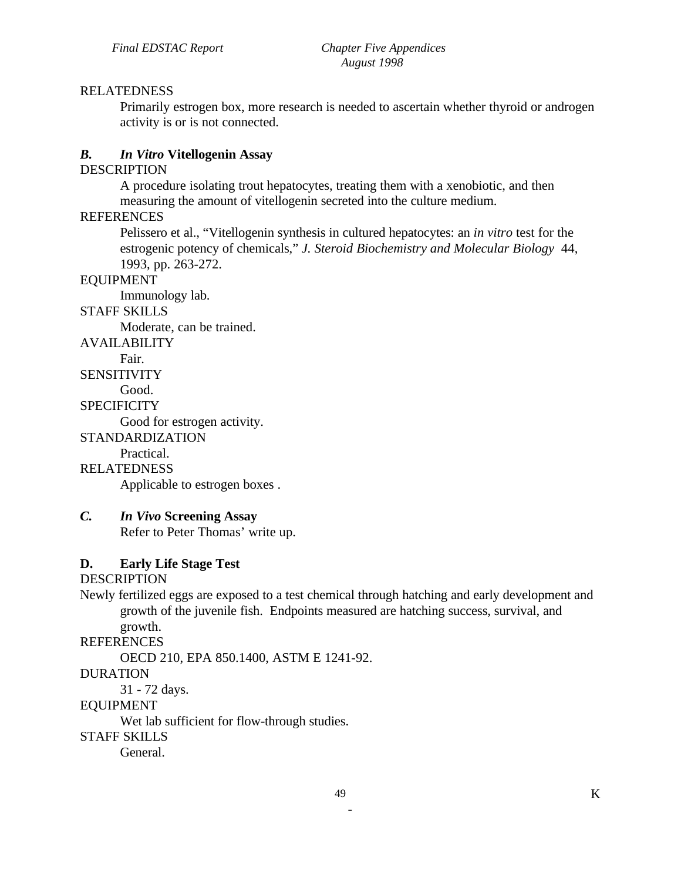### RELATEDNESS

Primarily estrogen box, more research is needed to ascertain whether thyroid or androgen activity is or is not connected.

# *B. In Vitro* **Vitellogenin Assay**

#### **DESCRIPTION**

A procedure isolating trout hepatocytes, treating them with a xenobiotic, and then measuring the amount of vitellogenin secreted into the culture medium.

#### **REFERENCES**

Pelissero et al., "Vitellogenin synthesis in cultured hepatocytes: an *in vitro* test for the estrogenic potency of chemicals," *J. Steroid Biochemistry and Molecular Biology* 44, 1993, pp. 263-272.

#### EQUIPMENT

Immunology lab.

# STAFF SKILLS

Moderate, can be trained.

AVAILABILITY

Fair.

**SENSITIVITY** 

Good.

# **SPECIFICITY**

Good for estrogen activity.

STANDARDIZATION

Practical.

# RELATEDNESS

Applicable to estrogen boxes .

# *C. In Vivo* **Screening Assay**

Refer to Peter Thomas' write up.

# **D. Early Life Stage Test**

#### DESCRIPTION

Newly fertilized eggs are exposed to a test chemical through hatching and early development and growth of the juvenile fish. Endpoints measured are hatching success, survival, and growth.

#### **REFERENCES**

OECD 210, EPA 850.1400, ASTM E 1241-92.

# DURATION

31 - 72 days.

#### EQUIPMENT

Wet lab sufficient for flow-through studies.

#### STAFF SKILLS

General.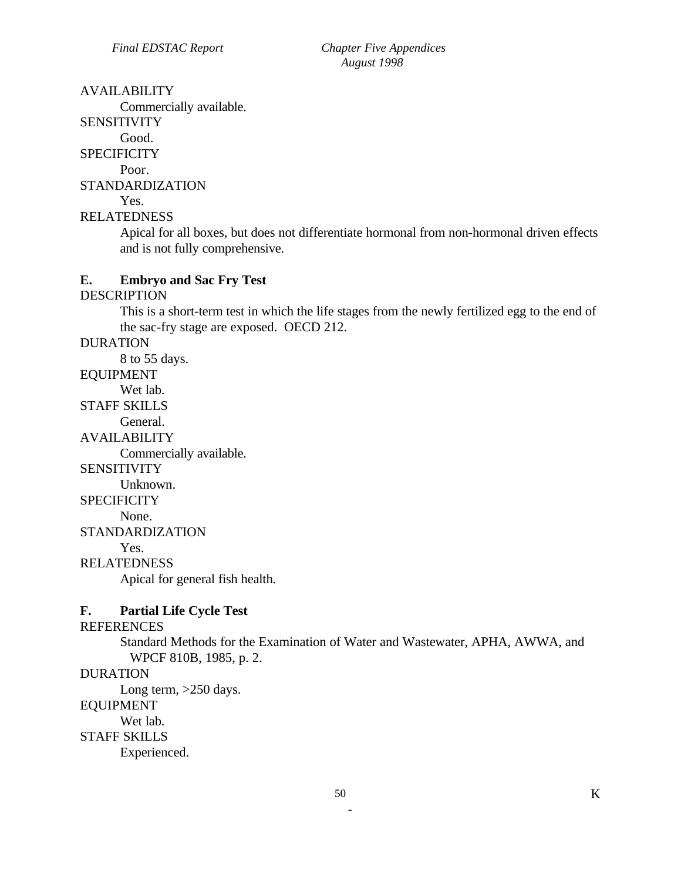#### AVAILABILITY

Commercially available.

SENSITIVITY

Good.

**SPECIFICITY** 

Poor.

STANDARDIZATION

Yes.

RELATEDNESS

Apical for all boxes, but does not differentiate hormonal from non-hormonal driven effects and is not fully comprehensive.

#### **E. Embryo and Sac Fry Test**

### DESCRIPTION

This is a short-term test in which the life stages from the newly fertilized egg to the end of the sac-fry stage are exposed. OECD 212.

#### DURATION

8 to 55 days.

EQUIPMENT

Wet lab.

STAFF SKILLS

General.

AVAILABILITY

Commercially available.

**SENSITIVITY** 

Unknown.

#### **SPECIFICITY**

None.

STANDARDIZATION

Yes.

RELATEDNESS

Apical for general fish health.

# **F. Partial Life Cycle Test**

#### **REFERENCES**

Standard Methods for the Examination of Water and Wastewater, APHA, AWWA, and WPCF 810B, 1985, p. 2.

#### DURATION

Long term, >250 days.

#### EQUIPMENT

Wet lab.

#### STAFF SKILLS

Experienced.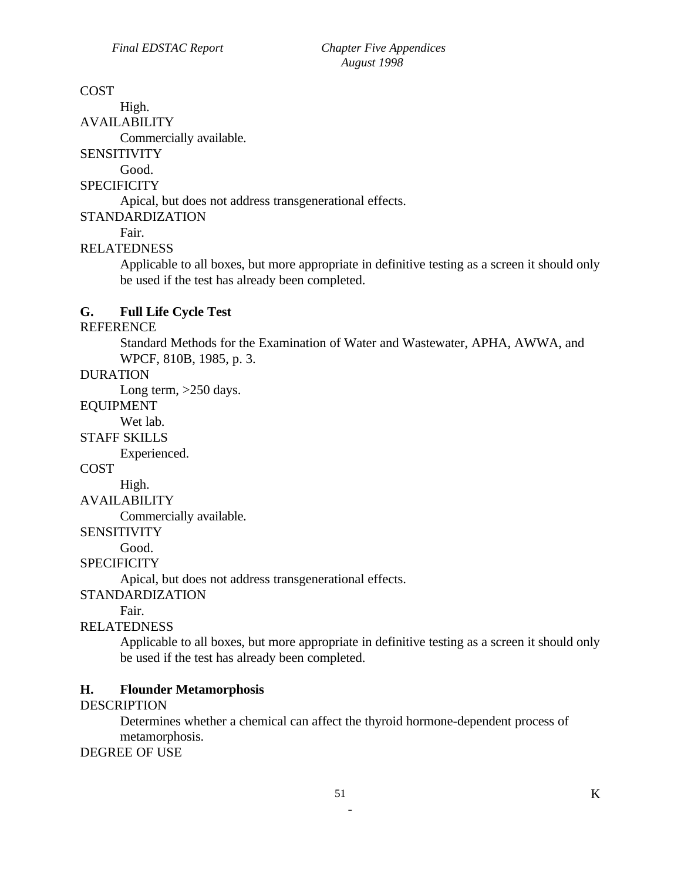# **COST**

High. AVAILABILITY

Commercially available.

**SENSITIVITY** 

Good.

# **SPECIFICITY**

Apical, but does not address transgenerational effects.

STANDARDIZATION

# Fair.

# RELATEDNESS

Applicable to all boxes, but more appropriate in definitive testing as a screen it should only be used if the test has already been completed.

# **G. Full Life Cycle Test**

#### REFERENCE

Standard Methods for the Examination of Water and Wastewater, APHA, AWWA, and WPCF, 810B, 1985, p. 3.

# DURATION

Long term, >250 days.

#### EQUIPMENT

Wet lab.

STAFF SKILLS

Experienced.

#### **COST**

High.

# AVAILABILITY

Commercially available.

#### **SENSITIVITY**

Good.

# **SPECIFICITY**

Apical, but does not address transgenerational effects.

#### STANDARDIZATION

Fair.

# RELATEDNESS

Applicable to all boxes, but more appropriate in definitive testing as a screen it should only be used if the test has already been completed.

# **H. Flounder Metamorphosis**

# **DESCRIPTION**

Determines whether a chemical can affect the thyroid hormone-dependent process of metamorphosis.

#### DEGREE OF USE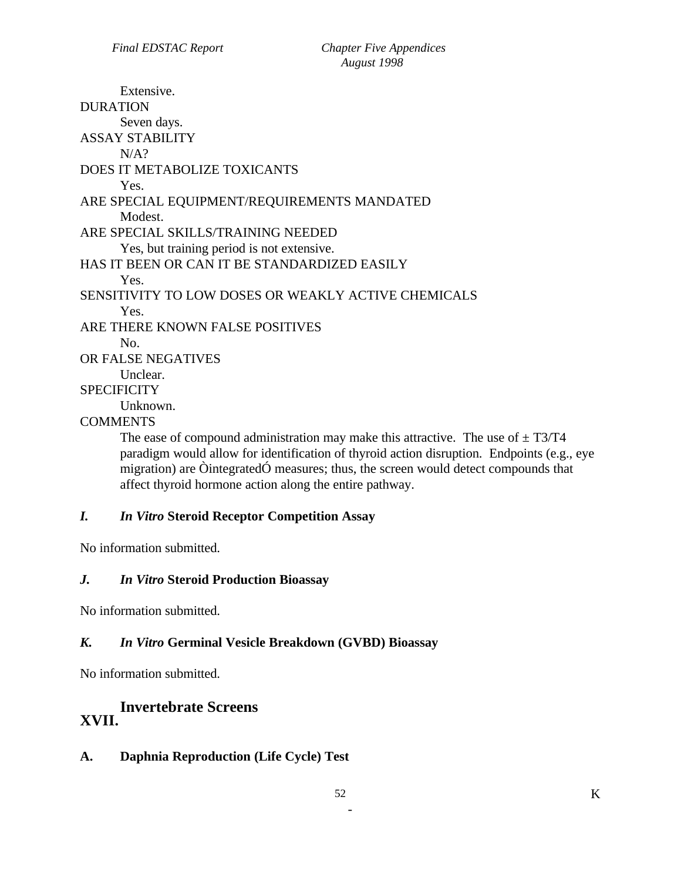Extensive. DURATION Seven days. ASSAY STABILITY  $N/A$ ? DOES IT METABOLIZE TOXICANTS Yes. ARE SPECIAL EQUIPMENT/REQUIREMENTS MANDATED Modest. ARE SPECIAL SKILLS/TRAINING NEEDED Yes, but training period is not extensive. HAS IT BEEN OR CAN IT BE STANDARDIZED EASILY Yes. SENSITIVITY TO LOW DOSES OR WEAKLY ACTIVE CHEMICALS Yes. ARE THERE KNOWN FALSE POSITIVES No. OR FALSE NEGATIVES Unclear. **SPECIFICITY** Unknown. **COMMENTS** 

The ease of compound administration may make this attractive. The use of  $\pm$  T3/T4 paradigm would allow for identification of thyroid action disruption. Endpoints (e.g., eye migration) are ÒintegratedÓ measures; thus, the screen would detect compounds that affect thyroid hormone action along the entire pathway.

# *I. In Vitro* **Steroid Receptor Competition Assay**

No information submitted.

# *J. In Vitro* **Steroid Production Bioassay**

No information submitted.

# *K. In Vitro* **Germinal Vesicle Breakdown (GVBD) Bioassay**

No information submitted.

# **Invertebrate Screens XVII.**

# **A. Daphnia Reproduction (Life Cycle) Test**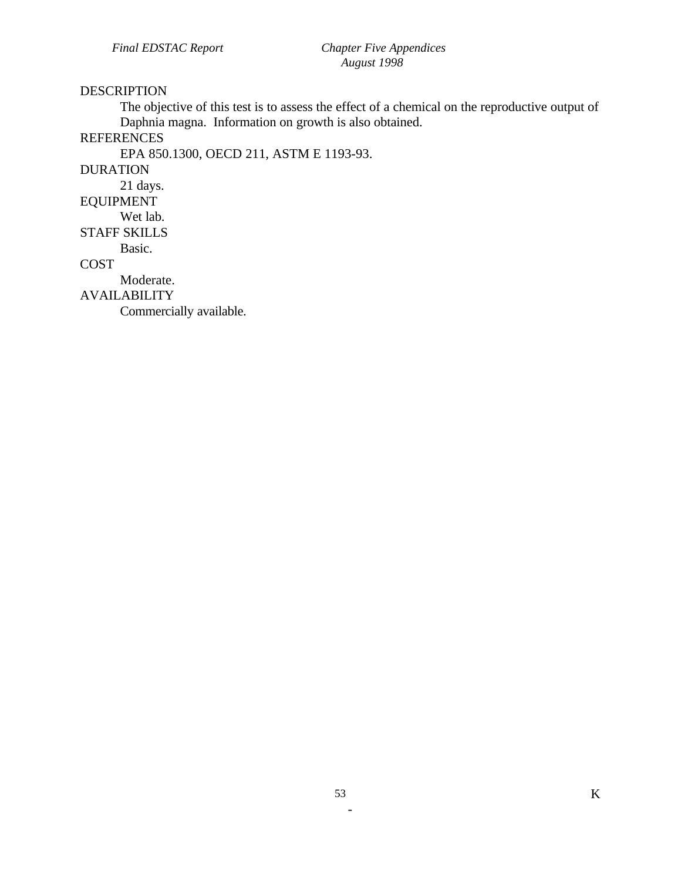#### DESCRIPTION

The objective of this test is to assess the effect of a chemical on the reproductive output of Daphnia magna. Information on growth is also obtained.

# **REFERENCES**

EPA 850.1300, OECD 211, ASTM E 1193-93.

DURATION

21 days.

EQUIPMENT

Wet lab.

STAFF SKILLS

Basic.

COST

Moderate.

AVAILABILITY

Commercially available.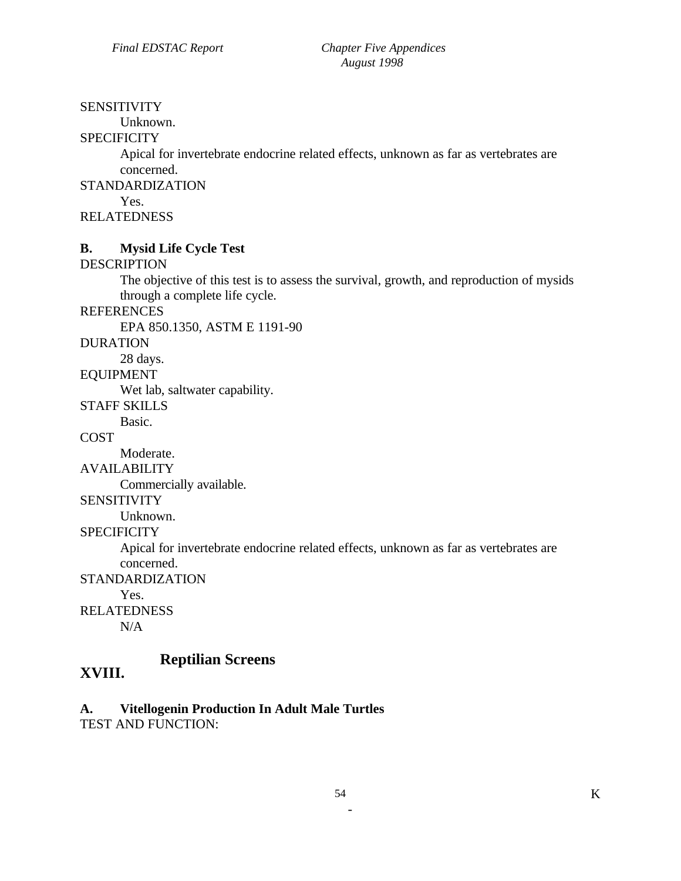#### **SENSITIVITY**

Unknown.

# **SPECIFICITY**

Apical for invertebrate endocrine related effects, unknown as far as vertebrates are concerned.

STANDARDIZATION

Yes.

RELATEDNESS

# **B. Mysid Life Cycle Test**

### **DESCRIPTION**

The objective of this test is to assess the survival, growth, and reproduction of mysids through a complete life cycle.

REFERENCES

EPA 850.1350, ASTM E 1191-90

#### DURATION

28 days.

EQUIPMENT

Wet lab, saltwater capability.

# STAFF SKILLS

Basic.

**COST** 

Moderate.

AVAILABILITY

Commercially available.

#### SENSITIVITY

Unknown.

**SPECIFICITY** 

Apical for invertebrate endocrine related effects, unknown as far as vertebrates are concerned.

STANDARDIZATION

Yes.

RELATEDNESS

 $N/A$ 

# **Reptilian Screens XVIII.**

**A. Vitellogenin Production In Adult Male Turtles** 

TEST AND FUNCTION: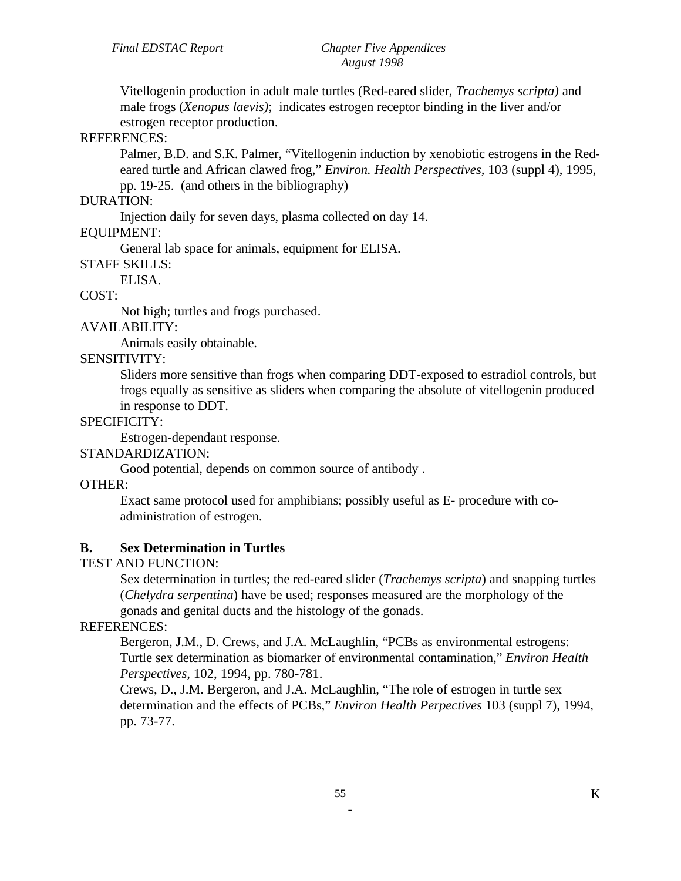Vitellogenin production in adult male turtles (Red-eared slider, *Trachemys scripta)* and male frogs (*Xenopus laevis)*; indicates estrogen receptor binding in the liver and/or estrogen receptor production.

# REFERENCES:

Palmer, B.D. and S.K. Palmer, "Vitellogenin induction by xenobiotic estrogens in the Redeared turtle and African clawed frog," *Environ. Health Perspectives,* 103 (suppl 4), 1995, pp. 19-25. (and others in the bibliography)

### DURATION:

Injection daily for seven days, plasma collected on day 14.

### EQUIPMENT:

General lab space for animals, equipment for ELISA.

#### STAFF SKILLS:

ELISA.

# COST:

Not high; turtles and frogs purchased.

# AVAILABILITY:

Animals easily obtainable.

# SENSITIVITY:

Sliders more sensitive than frogs when comparing DDT-exposed to estradiol controls, but frogs equally as sensitive as sliders when comparing the absolute of vitellogenin produced in response to DDT.

### SPECIFICITY:

Estrogen-dependant response.

# STANDARDIZATION:

Good potential, depends on common source of antibody .

# OTHER:

Exact same protocol used for amphibians; possibly useful as E- procedure with coadministration of estrogen.

# **B. Sex Determination in Turtles**

# TEST AND FUNCTION:

Sex determination in turtles; the red-eared slider (*Trachemys scripta*) and snapping turtles (*Chelydra serpentina*) have be used; responses measured are the morphology of the gonads and genital ducts and the histology of the gonads.

# REFERENCES:

Bergeron, J.M., D. Crews, and J.A. McLaughlin, "PCBs as environmental estrogens: Turtle sex determination as biomarker of environmental contamination," *Environ Health Perspectives,* 102, 1994, pp. 780-781.

Crews, D., J.M. Bergeron, and J.A. McLaughlin, "The role of estrogen in turtle sex determination and the effects of PCBs," *Environ Health Perpectives* 103 (suppl 7), 1994, pp. 73-77.